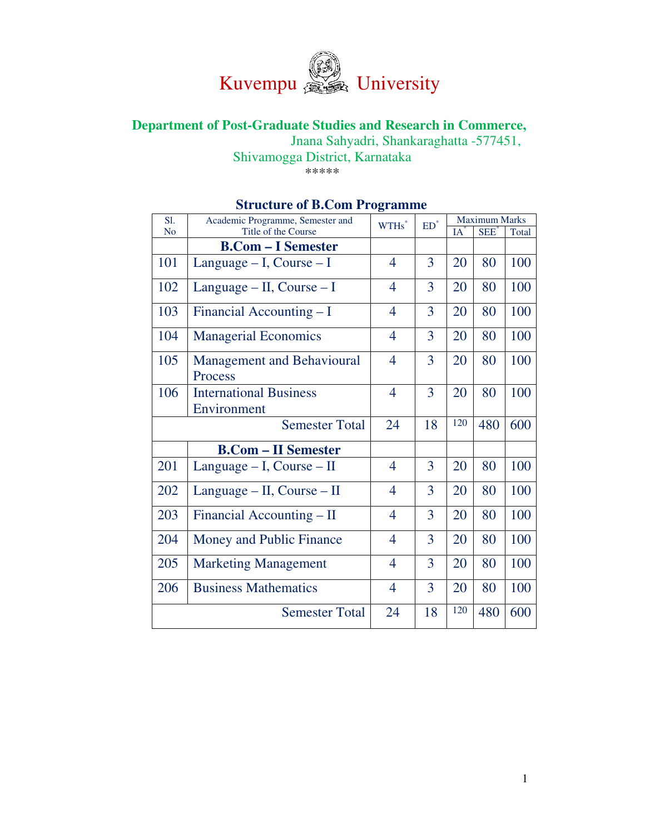

# **Department of Post-Graduate Studies and Research in Commerce,**

Jnana Sahyadri, Shankaraghatta -577451,

Shivamogga District, Karnataka

\*\*\*\*\*

|                       |                                              | 0              |                          |                      |            |       |  |
|-----------------------|----------------------------------------------|----------------|--------------------------|----------------------|------------|-------|--|
| S1.                   | Academic Programme, Semester and             |                | $\mathrm{ED}^*$<br>WTHs* | <b>Maximum Marks</b> |            |       |  |
| N <sub>o</sub>        | Title of the Course                          |                |                          | IA                   | <b>SEE</b> | Total |  |
|                       | <b>B.Com – I Semester</b>                    |                |                          |                      |            |       |  |
| 101                   | Language $- I$ , Course $- I$                | $\overline{4}$ | 3                        | 20                   | 80         | 100   |  |
| 102                   | Language $-$ II, Course $-$ I                | $\overline{4}$ | 3                        | 20                   | 80         | 100   |  |
| 103                   | Financial Accounting - I                     | $\overline{4}$ | 3                        | 20                   | 80         | 100   |  |
| 104                   | <b>Managerial Economics</b>                  | 4              | 3                        | 20                   | 80         | 100   |  |
| 105                   | <b>Management and Behavioural</b><br>Process | $\overline{4}$ | 3                        | 20                   | 80         | 100   |  |
| 106                   | <b>International Business</b><br>Environment | $\overline{4}$ | 3                        | 20                   | 80         | 100   |  |
| <b>Semester Total</b> |                                              | 24             | 18                       | 120                  | 480        | 600   |  |
|                       | <b>B.Com - II Semester</b>                   |                |                          |                      |            |       |  |
| 201                   | Language - I, Course - II                    | $\overline{4}$ | 3                        | 20                   | 80         | 100   |  |
| 202                   | Language $-$ II, Course $-$ II               | $\overline{4}$ | 3                        | 20                   | 80         | 100   |  |
| 203                   | Financial Accounting - II                    | $\overline{4}$ | 3                        | 20                   | 80         | 100   |  |
| 204                   | Money and Public Finance                     | $\overline{4}$ | 3                        | 20                   | 80         | 100   |  |
| 205                   | <b>Marketing Management</b>                  | $\overline{4}$ | 3                        | 20                   | 80         | 100   |  |
| 206                   | <b>Business Mathematics</b>                  | $\overline{4}$ | 3                        | 20                   | 80         | 100   |  |
| <b>Semester Total</b> |                                              | 24             | 18                       | 120                  | 480        | 600   |  |

# **Structure of B.Com Programme**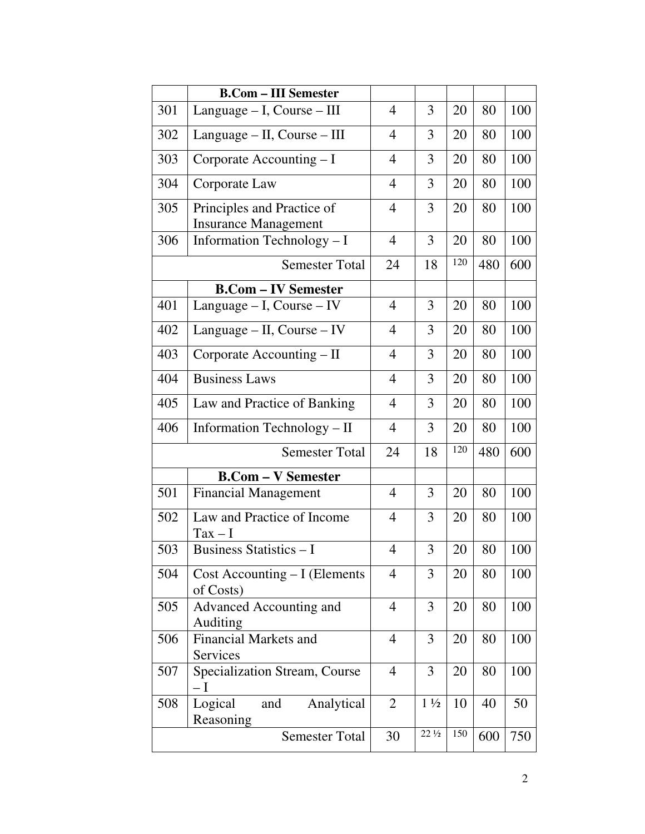|     | <b>B.Com - III Semester</b>                               |                |                 |     |     |     |
|-----|-----------------------------------------------------------|----------------|-----------------|-----|-----|-----|
| 301 | Language - I, Course - III                                | 4              | 3               | 20  | 80  | 100 |
| 302 | Language – II, Course – III                               | 4              | 3               | 20  | 80  | 100 |
| 303 | Corporate Accounting - I                                  | $\overline{4}$ | 3               | 20  | 80  | 100 |
| 304 | Corporate Law                                             | $\overline{4}$ | 3               | 20  | 80  | 100 |
| 305 | Principles and Practice of<br><b>Insurance Management</b> | $\overline{4}$ | 3               | 20  | 80  | 100 |
| 306 | Information Technology - I                                | $\overline{4}$ | 3               | 20  | 80  | 100 |
|     | <b>Semester Total</b>                                     | 24             | 18              | 120 | 480 | 600 |
|     | <b>B.Com – IV Semester</b>                                |                |                 |     |     |     |
| 401 | Language $- I$ , Course $- IV$                            | 4              | 3               | 20  | 80  | 100 |
| 402 | Language - II, Course - IV                                | 4              | 3               | 20  | 80  | 100 |
| 403 | Corporate Accounting – II                                 | $\overline{4}$ | 3               | 20  | 80  | 100 |
| 404 | <b>Business Laws</b>                                      | $\overline{4}$ | 3               | 20  | 80  | 100 |
| 405 | Law and Practice of Banking                               | $\overline{4}$ | 3               | 20  | 80  | 100 |
| 406 | Information Technology - II                               | $\overline{4}$ | 3               | 20  | 80  | 100 |
|     | <b>Semester Total</b>                                     | 24             | 18              | 120 | 480 | 600 |
|     | <b>B.Com - V Semester</b>                                 |                |                 |     |     |     |
| 501 | <b>Financial Management</b>                               | $\overline{4}$ | 3               | 20  | 80  | 100 |
| 502 | Law and Practice of Income<br>$Tax - I$                   | $\overline{4}$ | 3               | 20  | 80  | 100 |
| 503 | <b>Business Statistics - I</b>                            | $\overline{4}$ | $\mathfrak{Z}$  | 20  | 80  | 100 |
| 504 | Cost Accounting - I (Elements<br>of Costs)                | $\overline{4}$ | 3               | 20  | 80  | 100 |
| 505 | <b>Advanced Accounting and</b><br>Auditing                | 4              | 3               | 20  | 80  | 100 |
| 506 | <b>Financial Markets and</b><br>Services                  | $\overline{4}$ | 3               | 20  | 80  | 100 |
| 507 | <b>Specialization Stream, Course</b><br>$-I$              | $\overline{4}$ | 3               | 20  | 80  | 100 |
| 508 | Logical<br>and<br>Analytical<br>Reasoning                 | $\overline{2}$ | $1\frac{1}{2}$  | 10  | 40  | 50  |
|     | <b>Semester Total</b>                                     | 30             | $22\frac{1}{2}$ | 150 | 600 | 750 |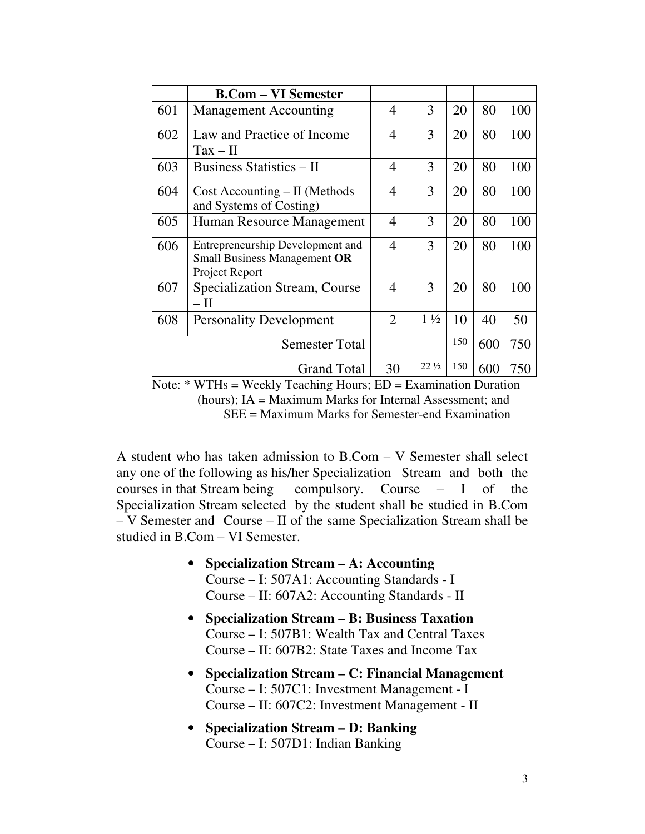|                       | <b>B.Com – VI Semester</b>                                                         |                |                 |     |     |     |
|-----------------------|------------------------------------------------------------------------------------|----------------|-----------------|-----|-----|-----|
| 601                   | <b>Management Accounting</b>                                                       | 4              | 3               | 20  | 80  | 100 |
| 602                   | Law and Practice of Income<br>$Tax - II$                                           | $\overline{4}$ | 3               | 20  | 80  | 100 |
| 603                   | <b>Business Statistics – II</b>                                                    | $\overline{4}$ | 3               | 20  | 80  | 100 |
| 604                   | $Cost$ Accounting $-$ II (Methods<br>and Systems of Costing)                       | $\overline{4}$ | 3               | 20  | 80  | 100 |
| 605                   | Human Resource Management                                                          | $\overline{4}$ | 3               | 20  | 80  | 100 |
| 606                   | Entrepreneurship Development and<br>Small Business Management OR<br>Project Report | $\overline{4}$ | 3               | 20  | 80  | 100 |
| 607                   | Specialization Stream, Course<br>– П                                               | $\overline{4}$ | 3               | 20  | 80  | 100 |
| 608                   | <b>Personality Development</b>                                                     | 2              | $1\frac{1}{2}$  | 10  | 40  | 50  |
| <b>Semester Total</b> |                                                                                    |                |                 | 150 | 600 | 750 |
|                       | <b>Grand Total</b>                                                                 | 30             | $22\frac{1}{2}$ | 150 | 600 | 750 |

Note: \* WTHs = Weekly Teaching Hours; ED = Examination Duration (hours); IA = Maximum Marks for Internal Assessment; and SEE = Maximum Marks for Semester-end Examination

A student who has taken admission to B.Com – V Semester shall select any one of the following as his/her Specialization Stream and both the courses in that Stream being compulsory. Course – I of the Specialization Stream selected by the student shall be studied in B.Com – V Semester and Course – II of the same Specialization Stream shall be studied in B.Com – VI Semester.

- **Specialization Stream A: Accounting**  Course – I: 507A1: Accounting Standards - I Course – II: 607A2: Accounting Standards - II
- **Specialization Stream B: Business Taxation**  Course – I: 507B1: Wealth Tax and Central Taxes Course – II: 607B2: State Taxes and Income Tax
- **Specialization Stream C: Financial Management**  Course – I: 507C1: Investment Management - I Course – II: 607C2: Investment Management - II
- **Specialization Stream D: Banking**  Course – I: 507D1: Indian Banking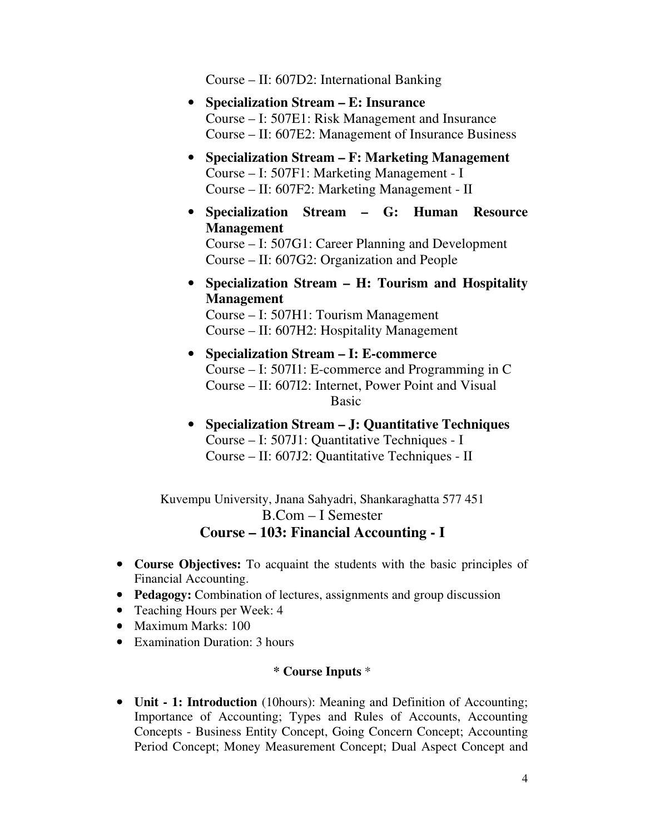Course – II: 607D2: International Banking

- **Specialization Stream E: Insurance**  Course – I: 507E1: Risk Management and Insurance Course – II: 607E2: Management of Insurance Business
- **Specialization Stream F: Marketing Management**  Course – I: 507F1: Marketing Management - I Course – II: 607F2: Marketing Management - II
- **Specialization Stream G: Human Resource Management**  Course – I: 507G1: Career Planning and Development Course – II: 607G2: Organization and People
- **Specialization Stream H: Tourism and Hospitality Management**

Course – I: 507H1: Tourism Management Course – II: 607H2: Hospitality Management

- **Specialization Stream I: E-commerce**  Course – I: 507I1: E-commerce and Programming in C Course – II: 607I2: Internet, Power Point and Visual Basic
- **Specialization Stream J: Quantitative Techniques**  Course – I: 507J1: Quantitative Techniques - I Course – II: 607J2: Quantitative Techniques - II

Kuvempu University, Jnana Sahyadri, Shankaraghatta 577 451 B.Com – I Semester **Course – 103: Financial Accounting - I** 

- **Course Objectives:** To acquaint the students with the basic principles of Financial Accounting.
- **Pedagogy:** Combination of lectures, assignments and group discussion
- Teaching Hours per Week: 4
- Maximum Marks: 100
- Examination Duration: 3 hours

### **\* Course Inputs** \*

• **Unit - 1: Introduction** (10hours): Meaning and Definition of Accounting; Importance of Accounting; Types and Rules of Accounts, Accounting Concepts - Business Entity Concept, Going Concern Concept; Accounting Period Concept; Money Measurement Concept; Dual Aspect Concept and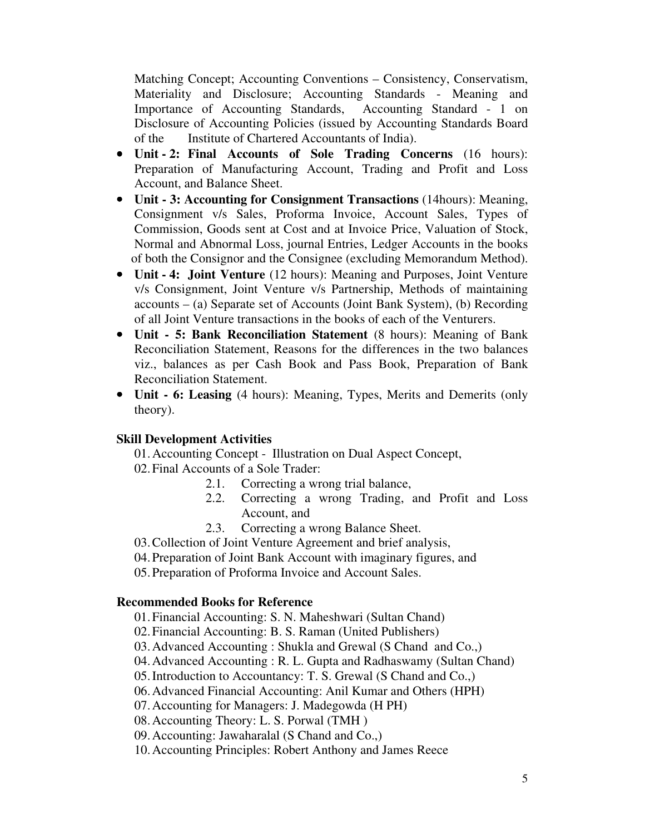Matching Concept; Accounting Conventions – Consistency, Conservatism, Materiality and Disclosure; Accounting Standards - Meaning and Importance of Accounting Standards, Accounting Standard - 1 on Disclosure of Accounting Policies (issued by Accounting Standards Board of the Institute of Chartered Accountants of India).

- **Unit 2: Final Accounts of Sole Trading Concerns** (16 hours): Preparation of Manufacturing Account, Trading and Profit and Loss Account, and Balance Sheet.
- **Unit 3: Accounting for Consignment Transactions** (14hours): Meaning, Consignment v/s Sales, Proforma Invoice, Account Sales, Types of Commission, Goods sent at Cost and at Invoice Price, Valuation of Stock, Normal and Abnormal Loss, journal Entries, Ledger Accounts in the books of both the Consignor and the Consignee (excluding Memorandum Method).
- **Unit 4: Joint Venture** (12 hours): Meaning and Purposes, Joint Venture v/s Consignment, Joint Venture v/s Partnership, Methods of maintaining accounts – (a) Separate set of Accounts (Joint Bank System), (b) Recording of all Joint Venture transactions in the books of each of the Venturers.
- **Unit 5: Bank Reconciliation Statement** (8 hours): Meaning of Bank Reconciliation Statement, Reasons for the differences in the two balances viz., balances as per Cash Book and Pass Book, Preparation of Bank Reconciliation Statement.
- **Unit 6: Leasing** (4 hours): Meaning, Types, Merits and Demerits (only theory).

# **Skill Development Activities**

01.Accounting Concept - Illustration on Dual Aspect Concept, 02.Final Accounts of a Sole Trader:

- 2.1. Correcting a wrong trial balance,
- 2.2. Correcting a wrong Trading, and Profit and Loss Account, and
- 2.3. Correcting a wrong Balance Sheet.
- 03.Collection of Joint Venture Agreement and brief analysis,
- 04.Preparation of Joint Bank Account with imaginary figures, and

05.Preparation of Proforma Invoice and Account Sales.

### **Recommended Books for Reference**

- 01.Financial Accounting: S. N. Maheshwari (Sultan Chand)
- 02.Financial Accounting: B. S. Raman (United Publishers)
- 03.Advanced Accounting : Shukla and Grewal (S Chand and Co.,)
- 04.Advanced Accounting : R. L. Gupta and Radhaswamy (Sultan Chand)
- 05.Introduction to Accountancy: T. S. Grewal (S Chand and Co.,)
- 06.Advanced Financial Accounting: Anil Kumar and Others (HPH)
- 07.Accounting for Managers: J. Madegowda (H PH)
- 08.Accounting Theory: L. S. Porwal (TMH )
- 09.Accounting: Jawaharalal (S Chand and Co.,)
- 10.Accounting Principles: Robert Anthony and James Reece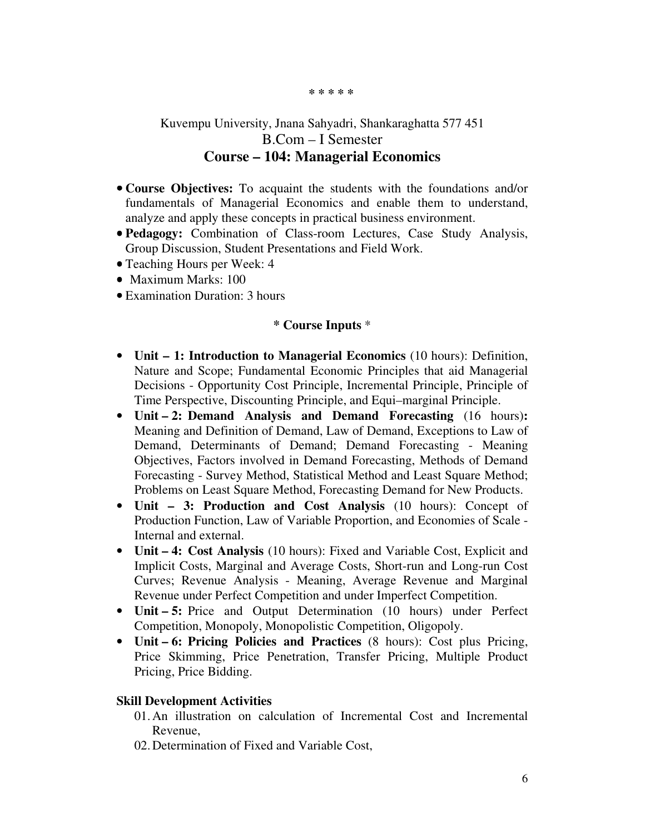#### **\* \* \* \* \***

# Kuvempu University, Jnana Sahyadri, Shankaraghatta 577 451 B.Com – I Semester **Course – 104: Managerial Economics**

- **Course Objectives:** To acquaint the students with the foundations and/or fundamentals of Managerial Economics and enable them to understand, analyze and apply these concepts in practical business environment.
- **Pedagogy:** Combination of Class-room Lectures, Case Study Analysis, Group Discussion, Student Presentations and Field Work.
- Teaching Hours per Week: 4
- Maximum Marks: 100
- Examination Duration: 3 hours

#### **\* Course Inputs** \*

- **Unit 1: Introduction to Managerial Economics** (10 hours): Definition, Nature and Scope; Fundamental Economic Principles that aid Managerial Decisions - Opportunity Cost Principle, Incremental Principle, Principle of Time Perspective, Discounting Principle, and Equi–marginal Principle.
- **Unit 2: Demand Analysis and Demand Forecasting** (16 hours)**:** Meaning and Definition of Demand, Law of Demand, Exceptions to Law of Demand, Determinants of Demand; Demand Forecasting - Meaning Objectives, Factors involved in Demand Forecasting, Methods of Demand Forecasting - Survey Method, Statistical Method and Least Square Method; Problems on Least Square Method, Forecasting Demand for New Products.
- **Unit 3: Production and Cost Analysis** (10 hours): Concept of Production Function, Law of Variable Proportion, and Economies of Scale - Internal and external.
- **Unit 4: Cost Analysis** (10 hours): Fixed and Variable Cost, Explicit and Implicit Costs, Marginal and Average Costs, Short-run and Long-run Cost Curves; Revenue Analysis - Meaning, Average Revenue and Marginal Revenue under Perfect Competition and under Imperfect Competition.
- **Unit 5:** Price and Output Determination (10 hours) under Perfect Competition, Monopoly, Monopolistic Competition, Oligopoly.
- **Unit 6: Pricing Policies and Practices** (8 hours): Cost plus Pricing, Price Skimming, Price Penetration, Transfer Pricing, Multiple Product Pricing, Price Bidding.

### **Skill Development Activities**

- 01.An illustration on calculation of Incremental Cost and Incremental Revenue,
- 02.Determination of Fixed and Variable Cost,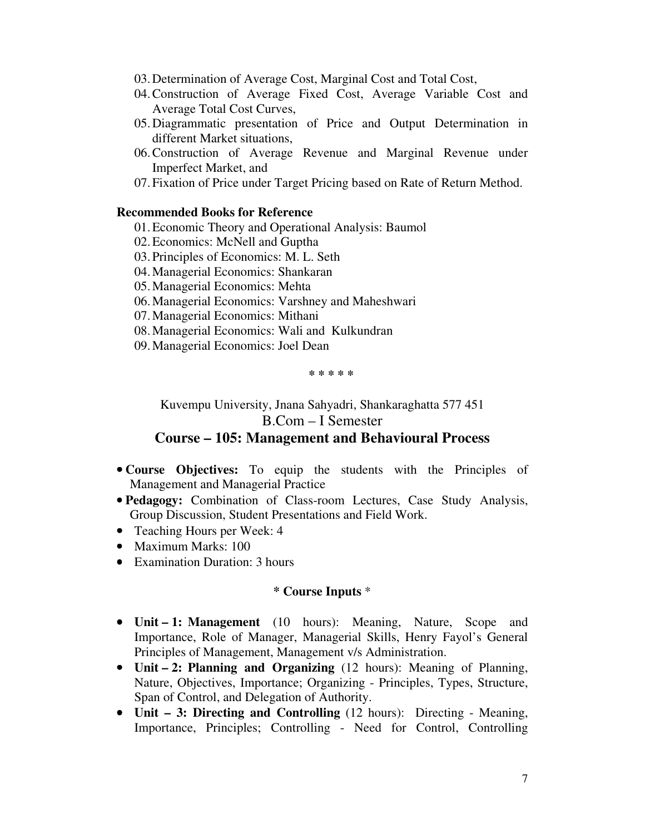- 03.Determination of Average Cost, Marginal Cost and Total Cost,
- 04.Construction of Average Fixed Cost, Average Variable Cost and Average Total Cost Curves,
- 05.Diagrammatic presentation of Price and Output Determination in different Market situations,
- 06.Construction of Average Revenue and Marginal Revenue under Imperfect Market, and
- 07.Fixation of Price under Target Pricing based on Rate of Return Method.

#### **Recommended Books for Reference**

- 01.Economic Theory and Operational Analysis: Baumol
- 02.Economics: McNell and Guptha
- 03.Principles of Economics: M. L. Seth
- 04.Managerial Economics: Shankaran
- 05.Managerial Economics: Mehta
- 06.Managerial Economics: Varshney and Maheshwari
- 07.Managerial Economics: Mithani
- 08.Managerial Economics: Wali and Kulkundran
- 09.Managerial Economics: Joel Dean

**\* \* \* \* \*** 

Kuvempu University, Jnana Sahyadri, Shankaraghatta 577 451 B.Com – I Semester

## **Course – 105: Management and Behavioural Process**

- **Course Objectives:** To equip the students with the Principles of Management and Managerial Practice
- **Pedagogy:** Combination of Class-room Lectures, Case Study Analysis, Group Discussion, Student Presentations and Field Work.
- Teaching Hours per Week: 4
- Maximum Marks: 100
- Examination Duration: 3 hours

- **Unit 1: Management** (10 hours): Meaning, Nature, Scope and Importance, Role of Manager, Managerial Skills, Henry Fayol's General Principles of Management, Management v/s Administration.
- **Unit 2: Planning and Organizing** (12 hours): Meaning of Planning, Nature, Objectives, Importance; Organizing - Principles, Types, Structure, Span of Control, and Delegation of Authority.
- **Unit 3: Directing and Controlling** (12 hours): Directing Meaning, Importance, Principles; Controlling - Need for Control, Controlling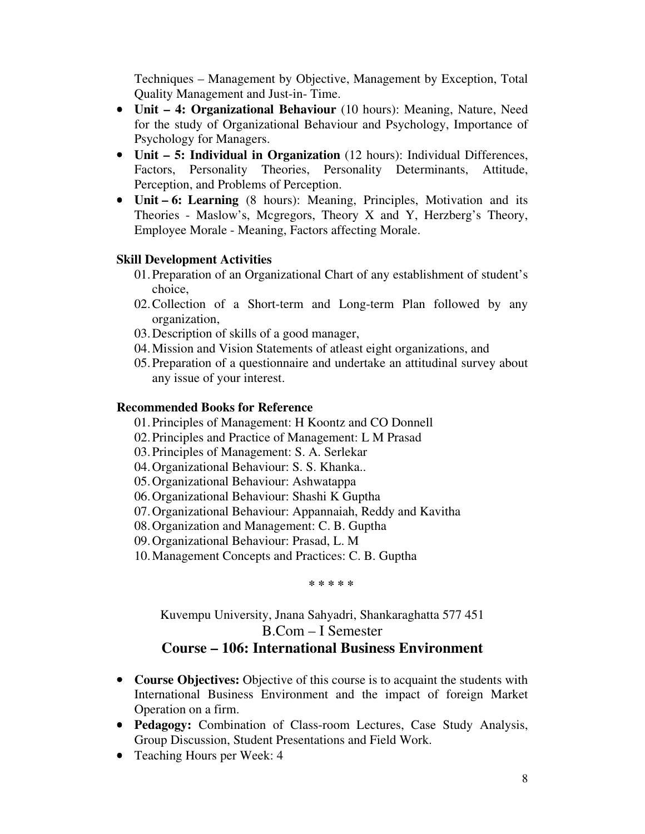Techniques – Management by Objective, Management by Exception, Total Quality Management and Just-in- Time.

- **Unit 4: Organizational Behaviour** (10 hours): Meaning, Nature, Need for the study of Organizational Behaviour and Psychology, Importance of Psychology for Managers.
- **Unit 5: Individual in Organization** (12 hours): Individual Differences, Factors, Personality Theories, Personality Determinants, Attitude, Perception, and Problems of Perception.
- **Unit 6: Learning** (8 hours): Meaning, Principles, Motivation and its Theories - Maslow's, Mcgregors, Theory X and Y, Herzberg's Theory, Employee Morale - Meaning, Factors affecting Morale.

## **Skill Development Activities**

- 01.Preparation of an Organizational Chart of any establishment of student's choice,
- 02.Collection of a Short-term and Long-term Plan followed by any organization,
- 03.Description of skills of a good manager,
- 04.Mission and Vision Statements of atleast eight organizations, and
- 05.Preparation of a questionnaire and undertake an attitudinal survey about any issue of your interest.

## **Recommended Books for Reference**

- 01.Principles of Management: H Koontz and CO Donnell
- 02.Principles and Practice of Management: L M Prasad
- 03.Principles of Management: S. A. Serlekar
- 04.Organizational Behaviour: S. S. Khanka..
- 05.Organizational Behaviour: Ashwatappa
- 06.Organizational Behaviour: Shashi K Guptha
- 07.Organizational Behaviour: Appannaiah, Reddy and Kavitha
- 08.Organization and Management: C. B. Guptha
- 09.Organizational Behaviour: Prasad, L. M
- 10.Management Concepts and Practices: C. B. Guptha

**\* \* \* \* \*** 

Kuvempu University, Jnana Sahyadri, Shankaraghatta 577 451 B.Com – I Semester

# **Course – 106: International Business Environment**

- **Course Objectives:** Objective of this course is to acquaint the students with International Business Environment and the impact of foreign Market Operation on a firm.
- **Pedagogy:** Combination of Class-room Lectures, Case Study Analysis, Group Discussion, Student Presentations and Field Work.
- Teaching Hours per Week: 4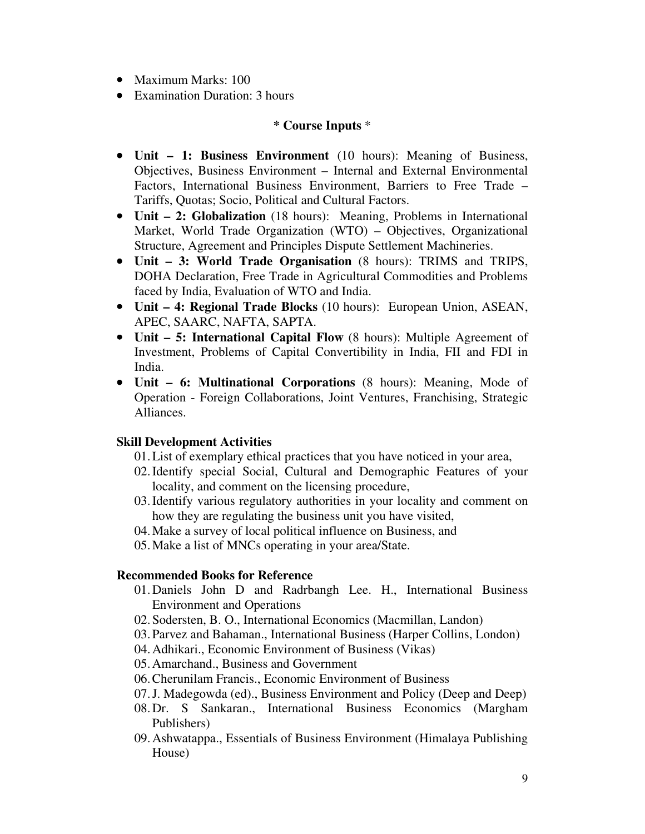- Maximum Marks: 100
- Examination Duration: 3 hours

## **\* Course Inputs** \*

- **Unit 1: Business Environment** (10 hours): Meaning of Business, Objectives, Business Environment – Internal and External Environmental Factors, International Business Environment, Barriers to Free Trade – Tariffs, Quotas; Socio, Political and Cultural Factors.
- **Unit 2: Globalization** (18 hours): Meaning, Problems in International Market, World Trade Organization (WTO) – Objectives, Organizational Structure, Agreement and Principles Dispute Settlement Machineries.
- **Unit 3: World Trade Organisation** (8 hours): TRIMS and TRIPS, DOHA Declaration, Free Trade in Agricultural Commodities and Problems faced by India, Evaluation of WTO and India.
- **Unit 4: Regional Trade Blocks** (10 hours): European Union, ASEAN, APEC, SAARC, NAFTA, SAPTA.
- **Unit 5: International Capital Flow** (8 hours): Multiple Agreement of Investment, Problems of Capital Convertibility in India, FII and FDI in India.
- **Unit 6: Multinational Corporations** (8 hours): Meaning, Mode of Operation - Foreign Collaborations, Joint Ventures, Franchising, Strategic Alliances.

# **Skill Development Activities**

- 01.List of exemplary ethical practices that you have noticed in your area,
- 02.Identify special Social, Cultural and Demographic Features of your locality, and comment on the licensing procedure,
- 03.Identify various regulatory authorities in your locality and comment on how they are regulating the business unit you have visited,
- 04.Make a survey of local political influence on Business, and
- 05.Make a list of MNCs operating in your area/State.

### **Recommended Books for Reference**

- 01.Daniels John D and Radrbangh Lee. H., International Business Environment and Operations
- 02.Sodersten, B. O., International Economics (Macmillan, Landon)
- 03.Parvez and Bahaman., International Business (Harper Collins, London)
- 04.Adhikari., Economic Environment of Business (Vikas)
- 05.Amarchand., Business and Government
- 06.Cherunilam Francis., Economic Environment of Business
- 07.J. Madegowda (ed)., Business Environment and Policy (Deep and Deep)
- 08.Dr. S Sankaran., International Business Economics (Margham Publishers)
- 09.Ashwatappa., Essentials of Business Environment (Himalaya Publishing House)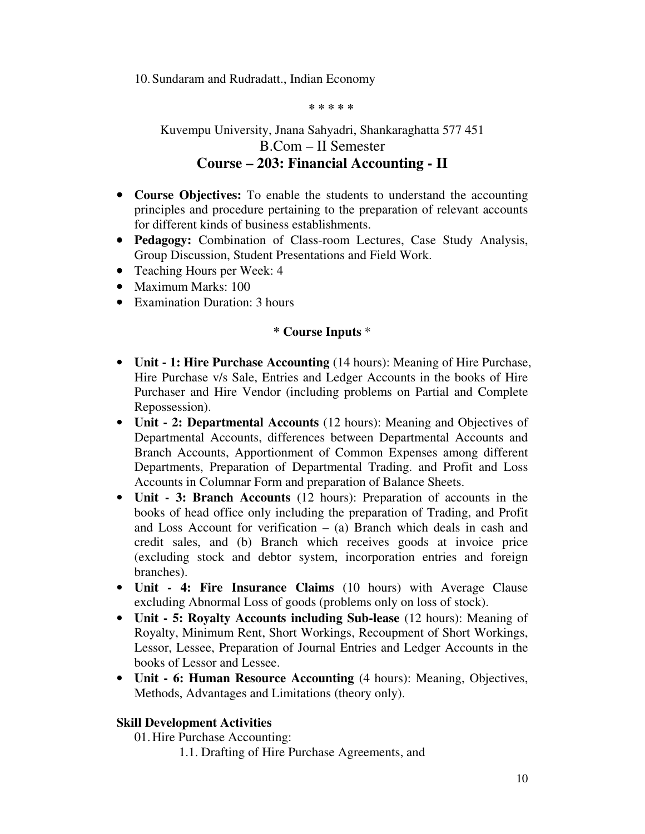10.Sundaram and Rudradatt., Indian Economy

#### **\* \* \* \* \***

# Kuvempu University, Jnana Sahyadri, Shankaraghatta 577 451 B.Com – II Semester **Course – 203: Financial Accounting - II**

- **Course Objectives:** To enable the students to understand the accounting principles and procedure pertaining to the preparation of relevant accounts for different kinds of business establishments.
- **Pedagogy:** Combination of Class-room Lectures, Case Study Analysis, Group Discussion, Student Presentations and Field Work.
- Teaching Hours per Week: 4
- Maximum Marks: 100
- Examination Duration: 3 hours

# **\* Course Inputs** \*

- **Unit 1: Hire Purchase Accounting** (14 hours): Meaning of Hire Purchase, Hire Purchase v/s Sale, Entries and Ledger Accounts in the books of Hire Purchaser and Hire Vendor (including problems on Partial and Complete Repossession).
- **Unit 2: Departmental Accounts** (12 hours): Meaning and Objectives of Departmental Accounts, differences between Departmental Accounts and Branch Accounts, Apportionment of Common Expenses among different Departments, Preparation of Departmental Trading. and Profit and Loss Accounts in Columnar Form and preparation of Balance Sheets.
- **Unit 3: Branch Accounts** (12 hours): Preparation of accounts in the books of head office only including the preparation of Trading, and Profit and Loss Account for verification  $-$  (a) Branch which deals in cash and credit sales, and (b) Branch which receives goods at invoice price (excluding stock and debtor system, incorporation entries and foreign branches).
- **Unit 4: Fire Insurance Claims** (10 hours) with Average Clause excluding Abnormal Loss of goods (problems only on loss of stock).
- **Unit 5: Royalty Accounts including Sub-lease** (12 hours): Meaning of Royalty, Minimum Rent, Short Workings, Recoupment of Short Workings, Lessor, Lessee, Preparation of Journal Entries and Ledger Accounts in the books of Lessor and Lessee.
- **Unit 6: Human Resource Accounting** (4 hours): Meaning, Objectives, Methods, Advantages and Limitations (theory only).

# **Skill Development Activities**

01.Hire Purchase Accounting:

1.1. Drafting of Hire Purchase Agreements, and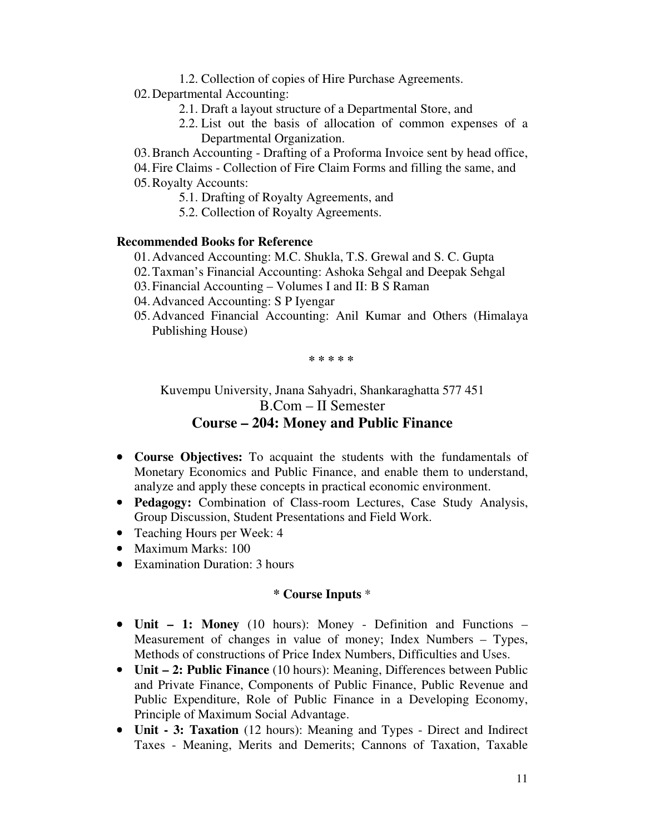- 1.2. Collection of copies of Hire Purchase Agreements.
- 02.Departmental Accounting:
	- 2.1. Draft a layout structure of a Departmental Store, and
	- 2.2. List out the basis of allocation of common expenses of a Departmental Organization.
- 03.Branch Accounting Drafting of a Proforma Invoice sent by head office,
- 04.Fire Claims Collection of Fire Claim Forms and filling the same, and 05.Royalty Accounts:
	- 5.1. Drafting of Royalty Agreements, and
	- 5.2. Collection of Royalty Agreements.

#### **Recommended Books for Reference**

- 01.Advanced Accounting: M.C. Shukla, T.S. Grewal and S. C. Gupta
- 02.Taxman's Financial Accounting: Ashoka Sehgal and Deepak Sehgal
- 03.Financial Accounting Volumes I and II: B S Raman
- 04.Advanced Accounting: S P Iyengar
- 05.Advanced Financial Accounting: Anil Kumar and Others (Himalaya Publishing House)

**\* \* \* \* \*** 

Kuvempu University, Jnana Sahyadri, Shankaraghatta 577 451 B.Com – II Semester **Course – 204: Money and Public Finance** 

- **Course Objectives:** To acquaint the students with the fundamentals of Monetary Economics and Public Finance, and enable them to understand, analyze and apply these concepts in practical economic environment.
- **Pedagogy:** Combination of Class-room Lectures, Case Study Analysis, Group Discussion, Student Presentations and Field Work.
- Teaching Hours per Week: 4
- Maximum Marks: 100
- Examination Duration: 3 hours

- **Unit 1: Money** (10 hours): Money Definition and Functions Measurement of changes in value of money; Index Numbers – Types, Methods of constructions of Price Index Numbers, Difficulties and Uses.
- **Unit 2: Public Finance** (10 hours): Meaning, Differences between Public and Private Finance, Components of Public Finance, Public Revenue and Public Expenditure, Role of Public Finance in a Developing Economy, Principle of Maximum Social Advantage.
- **Unit 3: Taxation** (12 hours): Meaning and Types Direct and Indirect Taxes - Meaning, Merits and Demerits; Cannons of Taxation, Taxable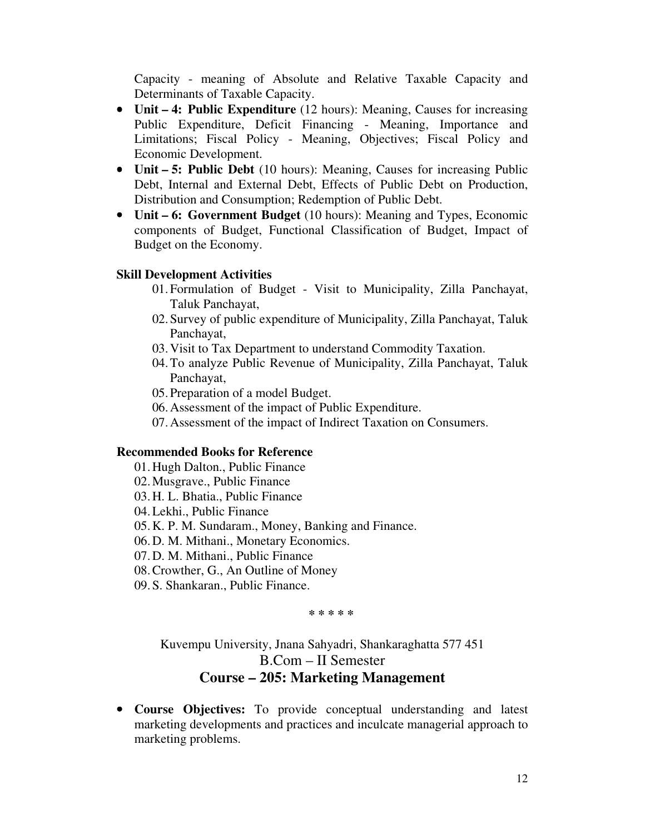Capacity - meaning of Absolute and Relative Taxable Capacity and Determinants of Taxable Capacity.

- **Unit 4: Public Expenditure** (12 hours): Meaning, Causes for increasing Public Expenditure, Deficit Financing - Meaning, Importance and Limitations; Fiscal Policy - Meaning, Objectives; Fiscal Policy and Economic Development.
- **Unit 5: Public Debt** (10 hours): Meaning, Causes for increasing Public Debt, Internal and External Debt, Effects of Public Debt on Production, Distribution and Consumption; Redemption of Public Debt.
- **Unit 6: Government Budget** (10 hours): Meaning and Types, Economic components of Budget, Functional Classification of Budget, Impact of Budget on the Economy.

### **Skill Development Activities**

- 01.Formulation of Budget Visit to Municipality, Zilla Panchayat, Taluk Panchayat,
- 02.Survey of public expenditure of Municipality, Zilla Panchayat, Taluk Panchayat,
- 03.Visit to Tax Department to understand Commodity Taxation.
- 04.To analyze Public Revenue of Municipality, Zilla Panchayat, Taluk Panchayat,
- 05.Preparation of a model Budget.
- 06.Assessment of the impact of Public Expenditure.
- 07.Assessment of the impact of Indirect Taxation on Consumers.

## **Recommended Books for Reference**

- 01.Hugh Dalton., Public Finance
- 02.Musgrave., Public Finance
- 03.H. L. Bhatia., Public Finance
- 04.Lekhi., Public Finance
- 05.K. P. M. Sundaram., Money, Banking and Finance.
- 06.D. M. Mithani., Monetary Economics.
- 07.D. M. Mithani., Public Finance
- 08.Crowther, G., An Outline of Money
- 09.S. Shankaran., Public Finance.

#### **\* \* \* \* \***

Kuvempu University, Jnana Sahyadri, Shankaraghatta 577 451 B.Com – II Semester **Course – 205: Marketing Management** 

• **Course Objectives:** To provide conceptual understanding and latest marketing developments and practices and inculcate managerial approach to marketing problems.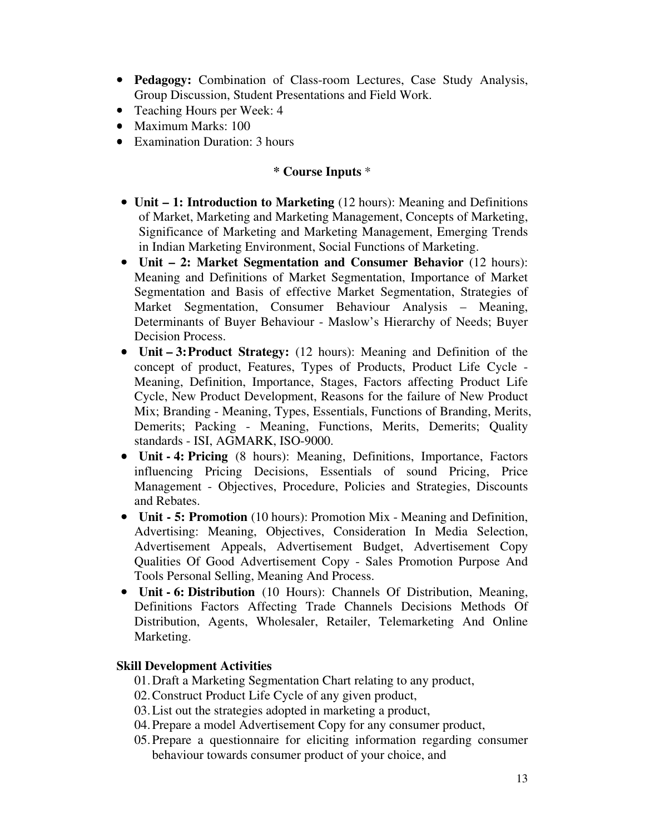- **Pedagogy:** Combination of Class-room Lectures, Case Study Analysis, Group Discussion, Student Presentations and Field Work.
- Teaching Hours per Week: 4
- Maximum Marks: 100
- Examination Duration: 3 hours

## **\* Course Inputs** \*

- **Unit 1: Introduction to Marketing** (12 hours): Meaning and Definitions of Market, Marketing and Marketing Management, Concepts of Marketing, Significance of Marketing and Marketing Management, Emerging Trends in Indian Marketing Environment, Social Functions of Marketing.
- **Unit – 2: Market Segmentation and Consumer Behavior** (12 hours): Meaning and Definitions of Market Segmentation, Importance of Market Segmentation and Basis of effective Market Segmentation, Strategies of Market Segmentation, Consumer Behaviour Analysis – Meaning, Determinants of Buyer Behaviour - Maslow's Hierarchy of Needs; Buyer Decision Process.
- **Unit 3: Product Strategy:** (12 hours): Meaning and Definition of the concept of product, Features, Types of Products, Product Life Cycle -Meaning, Definition, Importance, Stages, Factors affecting Product Life Cycle, New Product Development, Reasons for the failure of New Product Mix; Branding - Meaning, Types, Essentials, Functions of Branding, Merits, Demerits; Packing - Meaning, Functions, Merits, Demerits; Quality standards - ISI, AGMARK, ISO-9000.
- **Unit 4: Pricing** (8 hours): Meaning, Definitions, Importance, Factors influencing Pricing Decisions, Essentials of sound Pricing, Price Management - Objectives, Procedure, Policies and Strategies, Discounts and Rebates.
- **Unit 5: Promotion** (10 hours): Promotion Mix Meaning and Definition, Advertising: Meaning, Objectives, Consideration In Media Selection, Advertisement Appeals, Advertisement Budget, Advertisement Copy Qualities Of Good Advertisement Copy - Sales Promotion Purpose And Tools Personal Selling, Meaning And Process.
- **Unit 6: Distribution** (10 Hours): Channels Of Distribution, Meaning, Definitions Factors Affecting Trade Channels Decisions Methods Of Distribution, Agents, Wholesaler, Retailer, Telemarketing And Online Marketing.

# **Skill Development Activities**

- 01.Draft a Marketing Segmentation Chart relating to any product,
- 02.Construct Product Life Cycle of any given product,
- 03.List out the strategies adopted in marketing a product,
- 04.Prepare a model Advertisement Copy for any consumer product,
- 05.Prepare a questionnaire for eliciting information regarding consumer behaviour towards consumer product of your choice, and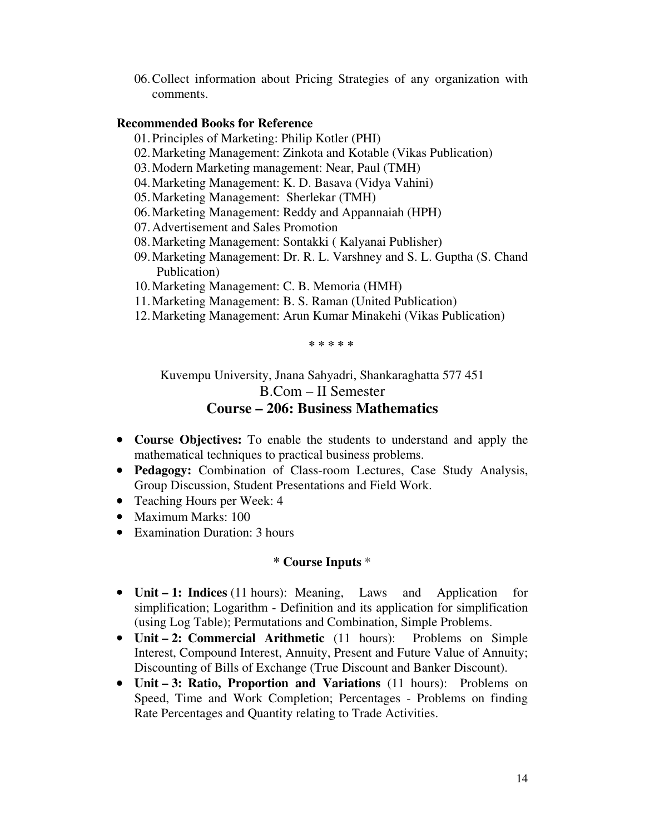06.Collect information about Pricing Strategies of any organization with comments.

## **Recommended Books for Reference**

- 01.Principles of Marketing: Philip Kotler (PHI)
- 02.Marketing Management: Zinkota and Kotable (Vikas Publication)
- 03.Modern Marketing management: Near, Paul (TMH)
- 04.Marketing Management: K. D. Basava (Vidya Vahini)
- 05.Marketing Management: Sherlekar (TMH)
- 06.Marketing Management: Reddy and Appannaiah (HPH)
- 07.Advertisement and Sales Promotion
- 08.Marketing Management: Sontakki ( Kalyanai Publisher)
- 09.Marketing Management: Dr. R. L. Varshney and S. L. Guptha (S. Chand Publication)
- 10.Marketing Management: C. B. Memoria (HMH)
- 11.Marketing Management: B. S. Raman (United Publication)
- 12.Marketing Management: Arun Kumar Minakehi (Vikas Publication)

**\* \* \* \* \*** 

Kuvempu University, Jnana Sahyadri, Shankaraghatta 577 451 B.Com – II Semester **Course – 206: Business Mathematics** 

- **Course Objectives:** To enable the students to understand and apply the mathematical techniques to practical business problems.
- **Pedagogy:** Combination of Class-room Lectures, Case Study Analysis, Group Discussion, Student Presentations and Field Work.
- Teaching Hours per Week: 4
- Maximum Marks: 100
- Examination Duration: 3 hours

- **Unit 1: Indices** (11 hours): Meaning, Laws and Application for simplification; Logarithm - Definition and its application for simplification (using Log Table); Permutations and Combination, Simple Problems.
- **Unit 2: Commercial Arithmetic** (11 hours): Problems on Simple Interest, Compound Interest, Annuity, Present and Future Value of Annuity; Discounting of Bills of Exchange (True Discount and Banker Discount).
- **Unit 3: Ratio, Proportion and Variations** (11 hours): Problems on Speed, Time and Work Completion; Percentages - Problems on finding Rate Percentages and Quantity relating to Trade Activities.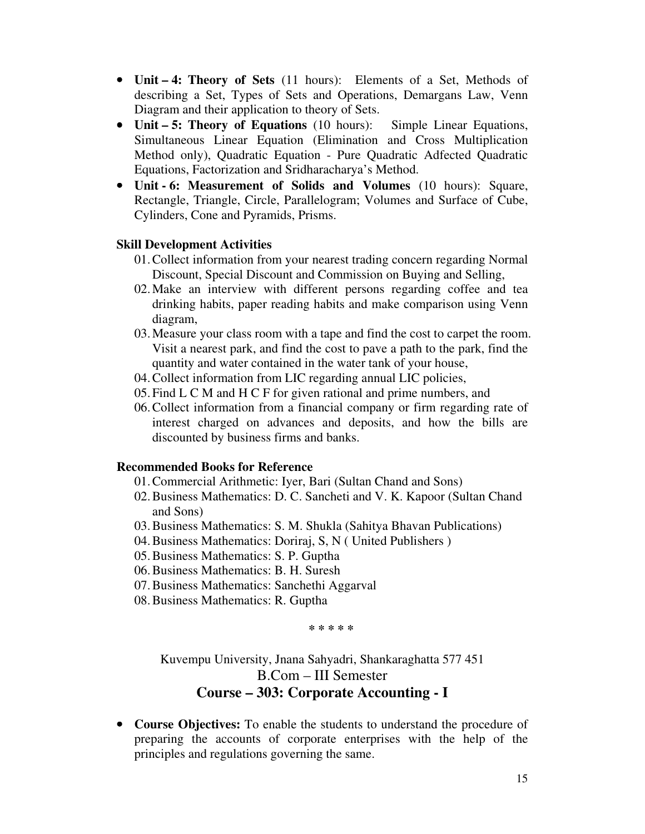- **Unit 4: Theory of Sets** (11 hours): Elements of a Set, Methods of describing a Set, Types of Sets and Operations, Demargans Law, Venn Diagram and their application to theory of Sets.
- **Unit 5: Theory of Equations** (10 hours): Simple Linear Equations, Simultaneous Linear Equation (Elimination and Cross Multiplication Method only), Quadratic Equation - Pure Quadratic Adfected Quadratic Equations, Factorization and Sridharacharya's Method.
- **Unit 6: Measurement of Solids and Volumes** (10 hours): Square, Rectangle, Triangle, Circle, Parallelogram; Volumes and Surface of Cube, Cylinders, Cone and Pyramids, Prisms.

## **Skill Development Activities**

- 01.Collect information from your nearest trading concern regarding Normal Discount, Special Discount and Commission on Buying and Selling,
- 02.Make an interview with different persons regarding coffee and tea drinking habits, paper reading habits and make comparison using Venn diagram,
- 03.Measure your class room with a tape and find the cost to carpet the room. Visit a nearest park, and find the cost to pave a path to the park, find the quantity and water contained in the water tank of your house,
- 04.Collect information from LIC regarding annual LIC policies,
- 05.Find L C M and H C F for given rational and prime numbers, and
- 06.Collect information from a financial company or firm regarding rate of interest charged on advances and deposits, and how the bills are discounted by business firms and banks.

### **Recommended Books for Reference**

- 01.Commercial Arithmetic: Iyer, Bari (Sultan Chand and Sons)
- 02.Business Mathematics: D. C. Sancheti and V. K. Kapoor (Sultan Chand and Sons)
- 03.Business Mathematics: S. M. Shukla (Sahitya Bhavan Publications)
- 04.Business Mathematics: Doriraj, S, N ( United Publishers )
- 05.Business Mathematics: S. P. Guptha
- 06.Business Mathematics: B. H. Suresh
- 07.Business Mathematics: Sanchethi Aggarval
- 08.Business Mathematics: R. Guptha

**\* \* \* \* \*** 

Kuvempu University, Jnana Sahyadri, Shankaraghatta 577 451

# B.Com – III Semester

# **Course – 303: Corporate Accounting - I**

• **Course Objectives:** To enable the students to understand the procedure of preparing the accounts of corporate enterprises with the help of the principles and regulations governing the same.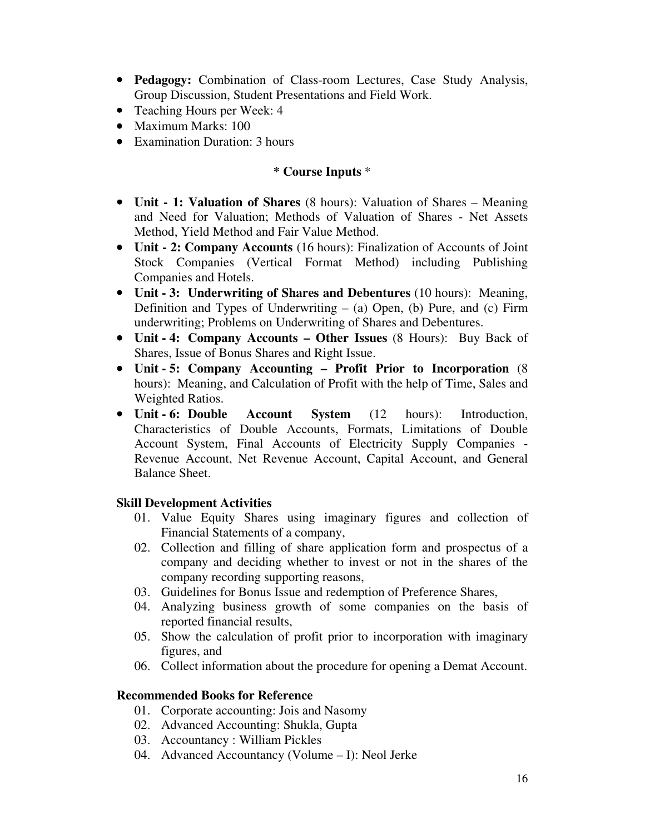- **Pedagogy:** Combination of Class-room Lectures, Case Study Analysis, Group Discussion, Student Presentations and Field Work.
- Teaching Hours per Week: 4
- Maximum Marks: 100
- Examination Duration: 3 hours

## **\* Course Inputs** \*

- **Unit 1: Valuation of Shares** (8 hours): Valuation of Shares Meaning and Need for Valuation; Methods of Valuation of Shares - Net Assets Method, Yield Method and Fair Value Method.
- **Unit 2: Company Accounts** (16 hours): Finalization of Accounts of Joint Stock Companies (Vertical Format Method) including Publishing Companies and Hotels.
- **Unit 3: Underwriting of Shares and Debentures** (10 hours): Meaning, Definition and Types of Underwriting  $-$  (a) Open, (b) Pure, and (c) Firm underwriting; Problems on Underwriting of Shares and Debentures.
- **Unit 4: Company Accounts Other Issues** (8 Hours): Buy Back of Shares, Issue of Bonus Shares and Right Issue.
- **Unit 5: Company Accounting – Profit Prior to Incorporation** (8 hours): Meaning, and Calculation of Profit with the help of Time, Sales and Weighted Ratios.
- **Unit 6: Double Account System** (12 hours): Introduction, Characteristics of Double Accounts, Formats, Limitations of Double Account System, Final Accounts of Electricity Supply Companies - Revenue Account, Net Revenue Account, Capital Account, and General Balance Sheet.

# **Skill Development Activities**

- 01. Value Equity Shares using imaginary figures and collection of Financial Statements of a company,
- 02. Collection and filling of share application form and prospectus of a company and deciding whether to invest or not in the shares of the company recording supporting reasons,
- 03. Guidelines for Bonus Issue and redemption of Preference Shares,
- 04. Analyzing business growth of some companies on the basis of reported financial results,
- 05. Show the calculation of profit prior to incorporation with imaginary figures, and
- 06. Collect information about the procedure for opening a Demat Account.

### **Recommended Books for Reference**

- 01. Corporate accounting: Jois and Nasomy
- 02. Advanced Accounting: Shukla, Gupta
- 03. Accountancy : William Pickles
- 04. Advanced Accountancy (Volume I): Neol Jerke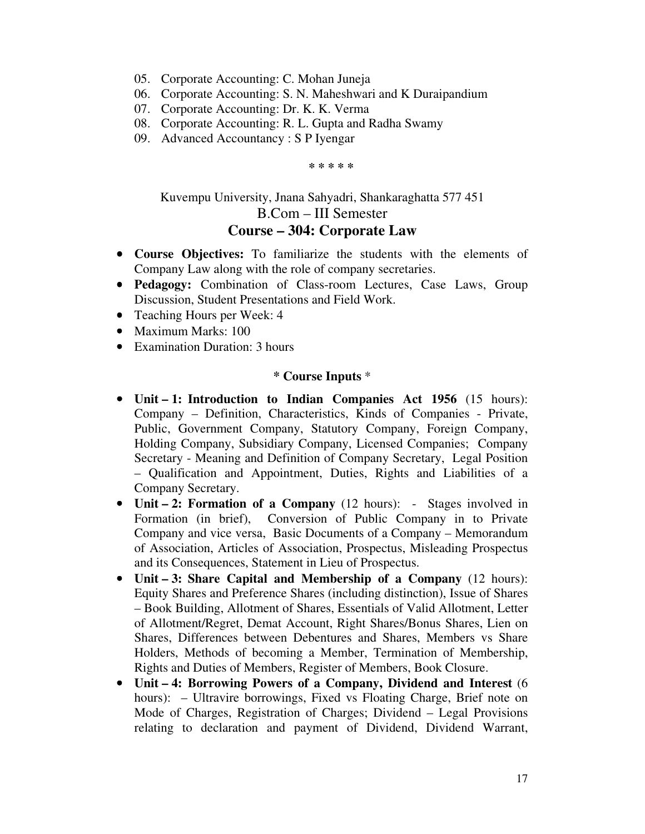- 05. Corporate Accounting: C. Mohan Juneja
- 06. Corporate Accounting: S. N. Maheshwari and K Duraipandium
- 07. Corporate Accounting: Dr. K. K. Verma
- 08. Corporate Accounting: R. L. Gupta and Radha Swamy
- 09. Advanced Accountancy : S P Iyengar

**\* \* \* \* \*** 

# Kuvempu University, Jnana Sahyadri, Shankaraghatta 577 451 B.Com – III Semester **Course – 304: Corporate Law**

- **Course Objectives:** To familiarize the students with the elements of Company Law along with the role of company secretaries.
- **Pedagogy:** Combination of Class-room Lectures, Case Laws, Group Discussion, Student Presentations and Field Work.
- Teaching Hours per Week: 4
- Maximum Marks: 100
- Examination Duration: 3 hours

- **Unit 1: Introduction to Indian Companies Act 1956** (15 hours): Company – Definition, Characteristics, Kinds of Companies - Private, Public, Government Company, Statutory Company, Foreign Company, Holding Company, Subsidiary Company, Licensed Companies; Company Secretary - Meaning and Definition of Company Secretary, Legal Position – Qualification and Appointment, Duties, Rights and Liabilities of a Company Secretary.
- **Unit 2: Formation of a Company** (12 hours): Stages involved in Formation (in brief), Conversion of Public Company in to Private Company and vice versa, Basic Documents of a Company – Memorandum of Association, Articles of Association, Prospectus, Misleading Prospectus and its Consequences, Statement in Lieu of Prospectus.
- **Unit 3: Share Capital and Membership of a Company** (12 hours): Equity Shares and Preference Shares (including distinction), Issue of Shares – Book Building, Allotment of Shares, Essentials of Valid Allotment, Letter of Allotment/Regret, Demat Account, Right Shares/Bonus Shares, Lien on Shares, Differences between Debentures and Shares, Members vs Share Holders, Methods of becoming a Member, Termination of Membership, Rights and Duties of Members, Register of Members, Book Closure.
- **Unit 4: Borrowing Powers of a Company, Dividend and Interest** (6 hours): – Ultravire borrowings, Fixed vs Floating Charge, Brief note on Mode of Charges, Registration of Charges; Dividend – Legal Provisions relating to declaration and payment of Dividend, Dividend Warrant,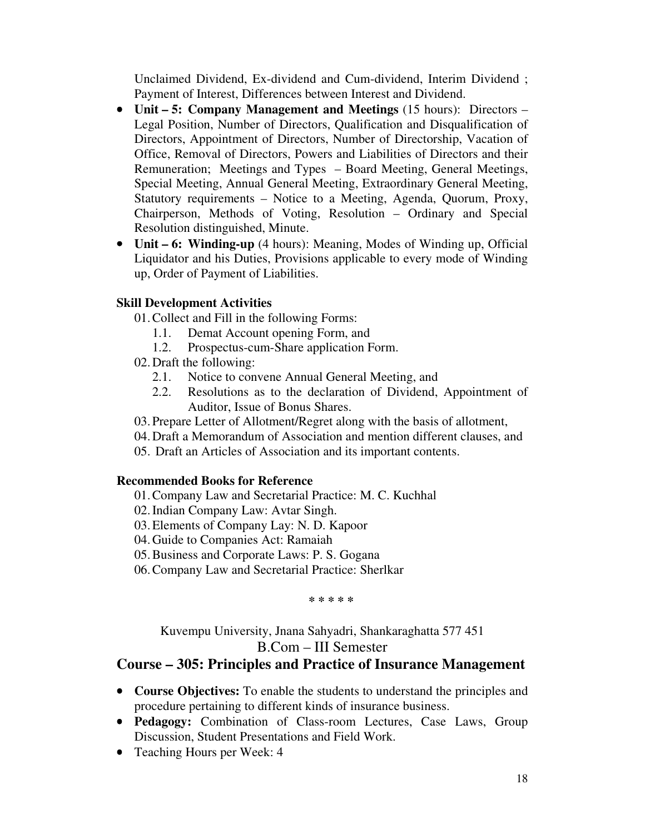Unclaimed Dividend, Ex-dividend and Cum-dividend, Interim Dividend ; Payment of Interest, Differences between Interest and Dividend.

- **Unit 5: Company Management and Meetings** (15 hours): Directors Legal Position, Number of Directors, Qualification and Disqualification of Directors, Appointment of Directors, Number of Directorship, Vacation of Office, Removal of Directors, Powers and Liabilities of Directors and their Remuneration; Meetings and Types – Board Meeting, General Meetings, Special Meeting, Annual General Meeting, Extraordinary General Meeting, Statutory requirements – Notice to a Meeting, Agenda, Quorum, Proxy, Chairperson, Methods of Voting, Resolution – Ordinary and Special Resolution distinguished, Minute.
- **Unit 6: Winding-up** (4 hours): Meaning, Modes of Winding up, Official Liquidator and his Duties, Provisions applicable to every mode of Winding up, Order of Payment of Liabilities.

# **Skill Development Activities**

01.Collect and Fill in the following Forms:

- 1.1. Demat Account opening Form, and
- 1.2. Prospectus-cum-Share application Form.
- 02.Draft the following:
	- 2.1. Notice to convene Annual General Meeting, and
	- 2.2. Resolutions as to the declaration of Dividend, Appointment of Auditor, Issue of Bonus Shares.
- 03.Prepare Letter of Allotment/Regret along with the basis of allotment,
- 04.Draft a Memorandum of Association and mention different clauses, and
- 05. Draft an Articles of Association and its important contents.

# **Recommended Books for Reference**

- 01.Company Law and Secretarial Practice: M. C. Kuchhal
- 02.Indian Company Law: Avtar Singh.
- 03.Elements of Company Lay: N. D. Kapoor
- 04.Guide to Companies Act: Ramaiah
- 05.Business and Corporate Laws: P. S. Gogana
- 06.Company Law and Secretarial Practice: Sherlkar

**\* \* \* \* \*** 

# Kuvempu University, Jnana Sahyadri, Shankaraghatta 577 451 B.Com – III Semester

# **Course – 305: Principles and Practice of Insurance Management**

- **Course Objectives:** To enable the students to understand the principles and procedure pertaining to different kinds of insurance business.
- **Pedagogy:** Combination of Class-room Lectures, Case Laws, Group Discussion, Student Presentations and Field Work.
- Teaching Hours per Week: 4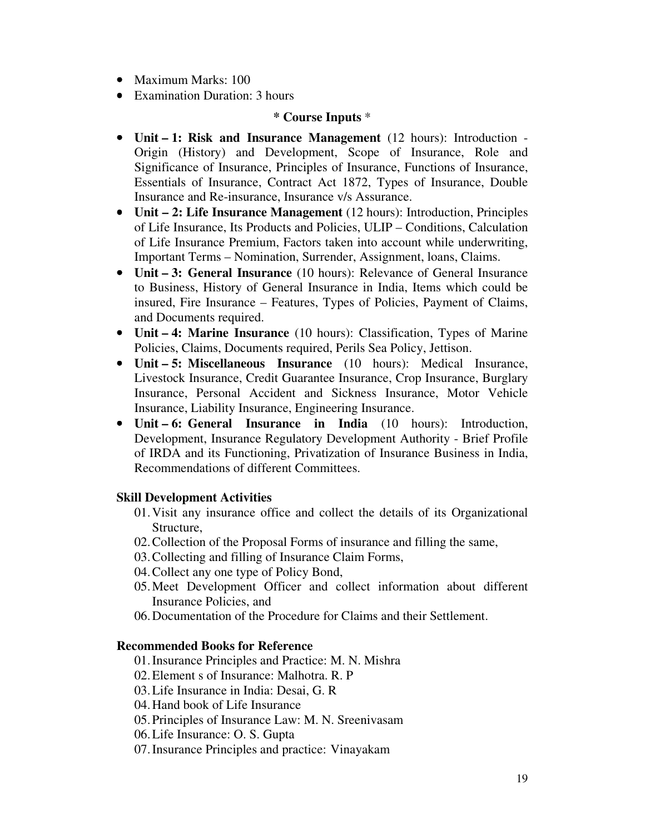- Maximum Marks: 100
- Examination Duration: 3 hours

### **\* Course Inputs** \*

- **Unit 1: Risk and Insurance Management** (12 hours): Introduction Origin (History) and Development, Scope of Insurance, Role and Significance of Insurance, Principles of Insurance, Functions of Insurance, Essentials of Insurance, Contract Act 1872, Types of Insurance, Double Insurance and Re-insurance, Insurance v/s Assurance.
- **Unit 2: Life Insurance Management** (12 hours): Introduction, Principles of Life Insurance, Its Products and Policies, ULIP – Conditions, Calculation of Life Insurance Premium, Factors taken into account while underwriting, Important Terms – Nomination, Surrender, Assignment, loans, Claims.
- **Unit 3: General Insurance** (10 hours): Relevance of General Insurance to Business, History of General Insurance in India, Items which could be insured, Fire Insurance – Features, Types of Policies, Payment of Claims, and Documents required.
- **Unit 4: Marine Insurance** (10 hours): Classification, Types of Marine Policies, Claims, Documents required, Perils Sea Policy, Jettison.
- **Unit 5: Miscellaneous Insurance** (10 hours): Medical Insurance, Livestock Insurance, Credit Guarantee Insurance, Crop Insurance, Burglary Insurance, Personal Accident and Sickness Insurance, Motor Vehicle Insurance, Liability Insurance, Engineering Insurance.
- **Unit 6: General Insurance in India** (10 hours): Introduction, Development, Insurance Regulatory Development Authority - Brief Profile of IRDA and its Functioning, Privatization of Insurance Business in India, Recommendations of different Committees.

# **Skill Development Activities**

- 01.Visit any insurance office and collect the details of its Organizational Structure,
- 02.Collection of the Proposal Forms of insurance and filling the same,
- 03.Collecting and filling of Insurance Claim Forms,
- 04.Collect any one type of Policy Bond,
- 05.Meet Development Officer and collect information about different Insurance Policies, and
- 06.Documentation of the Procedure for Claims and their Settlement.

### **Recommended Books for Reference**

- 01.Insurance Principles and Practice: M. N. Mishra
- 02.Element s of Insurance: Malhotra. R. P
- 03.Life Insurance in India: Desai, G. R
- 04.Hand book of Life Insurance
- 05.Principles of Insurance Law: M. N. Sreenivasam
- 06.Life Insurance: O. S. Gupta
- 07.Insurance Principles and practice: Vinayakam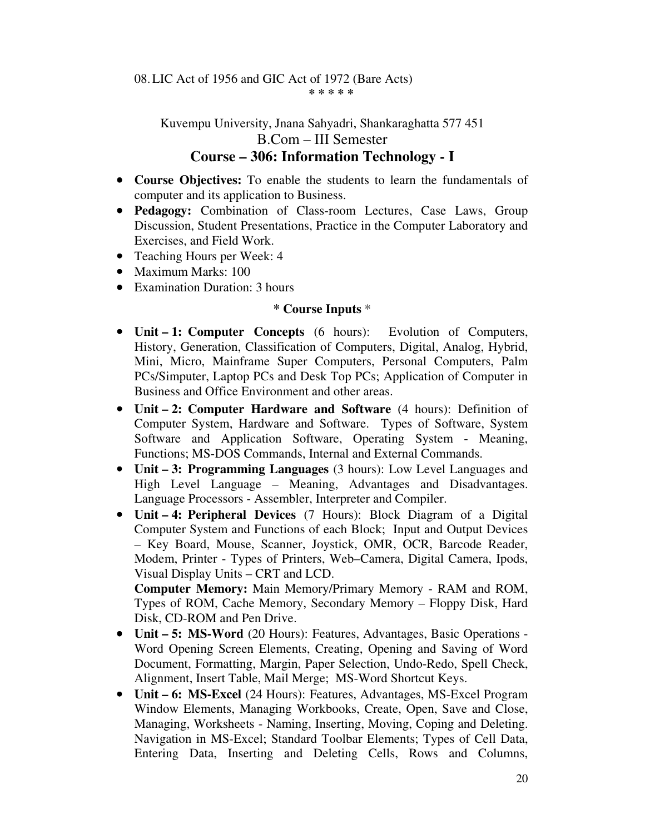# Kuvempu University, Jnana Sahyadri, Shankaraghatta 577 451 B.Com – III Semester **Course – 306: Information Technology - I**

- **Course Objectives:** To enable the students to learn the fundamentals of computer and its application to Business.
- **Pedagogy:** Combination of Class-room Lectures, Case Laws, Group Discussion, Student Presentations, Practice in the Computer Laboratory and Exercises, and Field Work.
- Teaching Hours per Week: 4
- Maximum Marks: 100
- Examination Duration: 3 hours

## **\* Course Inputs** \*

- **Unit 1: Computer Concepts** (6 hours):Evolution of Computers, History, Generation, Classification of Computers, Digital, Analog, Hybrid, Mini, Micro, Mainframe Super Computers, Personal Computers, Palm PCs/Simputer, Laptop PCs and Desk Top PCs; Application of Computer in Business and Office Environment and other areas.
- **Unit 2: Computer Hardware and Software** (4 hours): Definition of Computer System, Hardware and Software. Types of Software, System Software and Application Software, Operating System - Meaning, Functions; MS-DOS Commands, Internal and External Commands.
- **Unit 3: Programming Languages** (3 hours): Low Level Languages and High Level Language – Meaning, Advantages and Disadvantages. Language Processors - Assembler, Interpreter and Compiler.
- **Unit 4: Peripheral Devices** (7 Hours): Block Diagram of a Digital Computer System and Functions of each Block; Input and Output Devices – Key Board, Mouse, Scanner, Joystick, OMR, OCR, Barcode Reader, Modem, Printer - Types of Printers, Web–Camera, Digital Camera, Ipods, Visual Display Units – CRT and LCD.

**Computer Memory:** Main Memory/Primary Memory - RAM and ROM, Types of ROM, Cache Memory, Secondary Memory – Floppy Disk, Hard Disk, CD-ROM and Pen Drive.

- **Unit 5: MS-Word** (20 Hours): Features, Advantages, Basic Operations Word Opening Screen Elements, Creating, Opening and Saving of Word Document, Formatting, Margin, Paper Selection, Undo-Redo, Spell Check, Alignment, Insert Table, Mail Merge; MS-Word Shortcut Keys.
- **Unit 6: MS-Excel** (24 Hours): Features, Advantages, MS-Excel Program Window Elements, Managing Workbooks, Create, Open, Save and Close, Managing, Worksheets - Naming, Inserting, Moving, Coping and Deleting. Navigation in MS-Excel; Standard Toolbar Elements; Types of Cell Data, Entering Data, Inserting and Deleting Cells, Rows and Columns,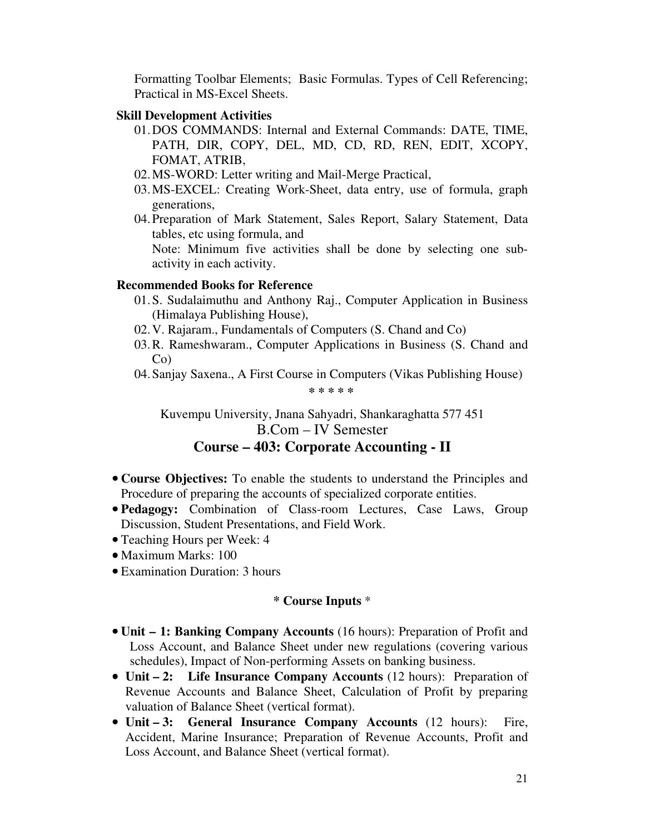Formatting Toolbar Elements; Basic Formulas. Types of Cell Referencing; Practical in MS-Excel Sheets.

#### **Skill Development Activities**

- 01.DOS COMMANDS: Internal and External Commands: DATE, TIME, PATH, DIR, COPY, DEL, MD, CD, RD, REN, EDIT, XCOPY, FOMAT, ATRIB,
- 02.MS-WORD: Letter writing and Mail-Merge Practical,
- 03.MS-EXCEL: Creating Work-Sheet, data entry, use of formula, graph generations,
- 04.Preparation of Mark Statement, Sales Report, Salary Statement, Data tables, etc using formula, and

Note: Minimum five activities shall be done by selecting one subactivity in each activity.

## **Recommended Books for Reference**

- 01.S. Sudalaimuthu and Anthony Raj., Computer Application in Business (Himalaya Publishing House),
- 02.V. Rajaram., Fundamentals of Computers (S. Chand and Co)
- 03.R. Rameshwaram., Computer Applications in Business (S. Chand and Co)
- 04.Sanjay Saxena., A First Course in Computers (Vikas Publishing House)

**\* \* \* \* \*** 

Kuvempu University, Jnana Sahyadri, Shankaraghatta 577 451 B.Com – IV Semester

# **Course – 403: Corporate Accounting - II**

- **Course Objectives:** To enable the students to understand the Principles and Procedure of preparing the accounts of specialized corporate entities.
- **Pedagogy:** Combination of Class-room Lectures, Case Laws, Group Discussion, Student Presentations, and Field Work.
- Teaching Hours per Week: 4
- Maximum Marks: 100
- Examination Duration: 3 hours

- **Unit 1: Banking Company Accounts** (16 hours): Preparation of Profit and Loss Account, and Balance Sheet under new regulations (covering various schedules), Impact of Non-performing Assets on banking business.
- **Unit 2: Life Insurance Company Accounts** (12 hours): Preparation of Revenue Accounts and Balance Sheet, Calculation of Profit by preparing valuation of Balance Sheet (vertical format).
- **Unit 3: General Insurance Company Accounts** (12 hours): Fire, Accident, Marine Insurance; Preparation of Revenue Accounts, Profit and Loss Account, and Balance Sheet (vertical format).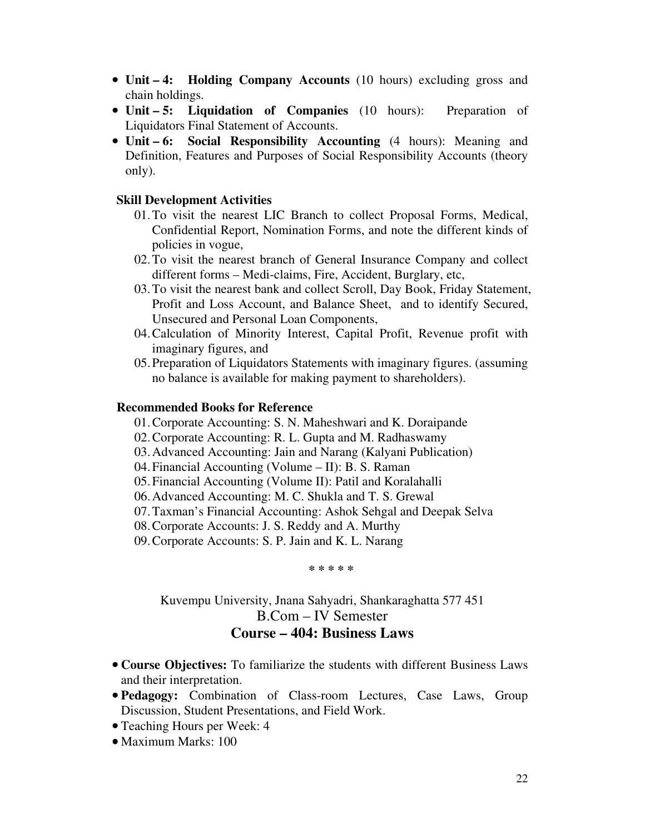- **Unit 4: Holding Company Accounts** (10 hours) excluding gross and chain holdings.
- **Unit 5: Liquidation of Companies** (10 hours): Preparation of Liquidators Final Statement of Accounts.
- **Unit 6: Social Responsibility Accounting** (4 hours): Meaning and Definition, Features and Purposes of Social Responsibility Accounts (theory only).

#### **Skill Development Activities**

- 01.To visit the nearest LIC Branch to collect Proposal Forms, Medical, Confidential Report, Nomination Forms, and note the different kinds of policies in vogue,
- 02.To visit the nearest branch of General Insurance Company and collect different forms – Medi-claims, Fire, Accident, Burglary, etc,
- 03.To visit the nearest bank and collect Scroll, Day Book, Friday Statement, Profit and Loss Account, and Balance Sheet, and to identify Secured, Unsecured and Personal Loan Components,
- 04.Calculation of Minority Interest, Capital Profit, Revenue profit with imaginary figures, and
- 05.Preparation of Liquidators Statements with imaginary figures. (assuming no balance is available for making payment to shareholders).

# **Recommended Books for Reference**

- 01.Corporate Accounting: S. N. Maheshwari and K. Doraipande
- 02.Corporate Accounting: R. L. Gupta and M. Radhaswamy
- 03.Advanced Accounting: Jain and Narang (Kalyani Publication)
- 04.Financial Accounting (Volume II): B. S. Raman
- 05.Financial Accounting (Volume II): Patil and Koralahalli
- 06.Advanced Accounting: M. C. Shukla and T. S. Grewal
- 07.Taxman's Financial Accounting: Ashok Sehgal and Deepak Selva
- 08.Corporate Accounts: J. S. Reddy and A. Murthy
- 09.Corporate Accounts: S. P. Jain and K. L. Narang

**\* \* \* \* \*** 

# Kuvempu University, Jnana Sahyadri, Shankaraghatta 577 451 B.Com – IV Semester **Course – 404: Business Laws**

- **Course Objectives:** To familiarize the students with different Business Laws and their interpretation.
- **Pedagogy:** Combination of Class-room Lectures, Case Laws, Group Discussion, Student Presentations, and Field Work.
- Teaching Hours per Week: 4
- Maximum Marks: 100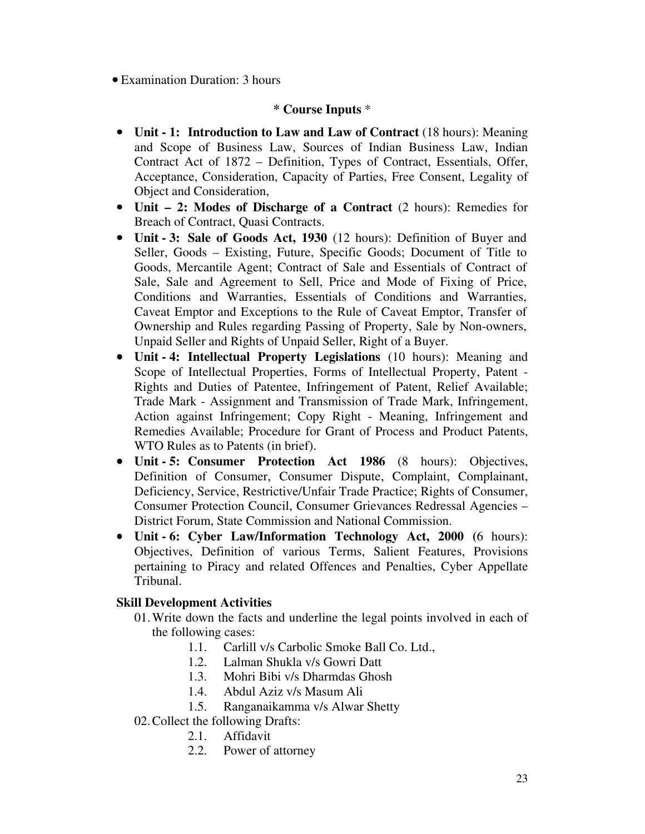• Examination Duration: 3 hours

## **\* Course Inputs** \*

- **Unit 1: Introduction to Law and Law of Contract** (18 hours): Meaning and Scope of Business Law, Sources of Indian Business Law, Indian Contract Act of 1872 – Definition, Types of Contract, Essentials, Offer, Acceptance, Consideration, Capacity of Parties, Free Consent, Legality of Object and Consideration,
- **Unit 2: Modes of Discharge of a Contract** (2 hours): Remedies for Breach of Contract, Quasi Contracts.
- **Unit 3: Sale of Goods Act, 1930** (12 hours): Definition of Buyer and Seller, Goods – Existing, Future, Specific Goods; Document of Title to Goods, Mercantile Agent; Contract of Sale and Essentials of Contract of Sale, Sale and Agreement to Sell, Price and Mode of Fixing of Price, Conditions and Warranties, Essentials of Conditions and Warranties, Caveat Emptor and Exceptions to the Rule of Caveat Emptor, Transfer of Ownership and Rules regarding Passing of Property, Sale by Non-owners, Unpaid Seller and Rights of Unpaid Seller, Right of a Buyer.
- **Unit 4: Intellectual Property Legislations** (10 hours): Meaning and Scope of Intellectual Properties, Forms of Intellectual Property, Patent - Rights and Duties of Patentee, Infringement of Patent, Relief Available; Trade Mark - Assignment and Transmission of Trade Mark, Infringement, Action against Infringement; Copy Right - Meaning, Infringement and Remedies Available; Procedure for Grant of Process and Product Patents, WTO Rules as to Patents (in brief).
- **Unit 5: Consumer Protection Act 1986** (8 hours): Objectives, Definition of Consumer, Consumer Dispute, Complaint, Complainant, Deficiency, Service, Restrictive/Unfair Trade Practice; Rights of Consumer, Consumer Protection Council, Consumer Grievances Redressal Agencies – District Forum, State Commission and National Commission.
- **Unit 6: Cyber Law/Information Technology Act, 2000 (**6 hours): Objectives, Definition of various Terms, Salient Features, Provisions pertaining to Piracy and related Offences and Penalties, Cyber Appellate Tribunal.

# **Skill Development Activities**

- 01.Write down the facts and underline the legal points involved in each of the following cases:
	- 1.1. Carlill v/s Carbolic Smoke Ball Co. Ltd.,
	- 1.2. Lalman Shukla v/s Gowri Datt
	- 1.3. Mohri Bibi v/s Dharmdas Ghosh
	- 1.4. Abdul Aziz v/s Masum Ali
	- 1.5. Ranganaikamma v/s Alwar Shetty
- 02.Collect the following Drafts:
	- 2.1. Affidavit
	- 2.2. Power of attorney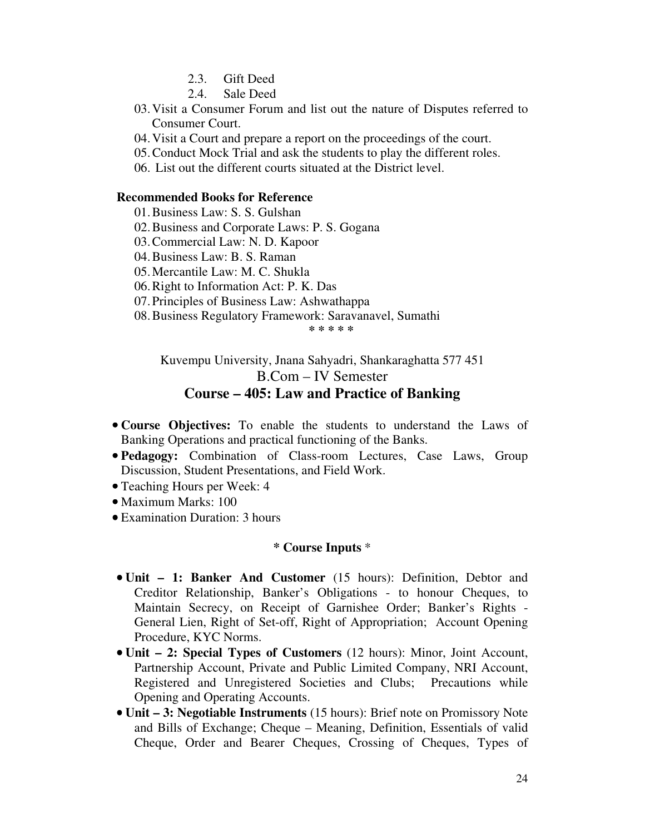- 2.3. Gift Deed
- 2.4. Sale Deed
- 03.Visit a Consumer Forum and list out the nature of Disputes referred to Consumer Court.
- 04.Visit a Court and prepare a report on the proceedings of the court.
- 05.Conduct Mock Trial and ask the students to play the different roles.
- 06. List out the different courts situated at the District level.

#### **Recommended Books for Reference**

- 01.Business Law: S. S. Gulshan
- 02.Business and Corporate Laws: P. S. Gogana
- 03.Commercial Law: N. D. Kapoor
- 04.Business Law: B. S. Raman
- 05.Mercantile Law: M. C. Shukla
- 06.Right to Information Act: P. K. Das
- 07.Principles of Business Law: Ashwathappa
- 08.Business Regulatory Framework: Saravanavel, Sumathi

**\* \* \* \* \*** 

Kuvempu University, Jnana Sahyadri, Shankaraghatta 577 451 B.Com – IV Semester **Course – 405: Law and Practice of Banking** 

- **Course Objectives:** To enable the students to understand the Laws of Banking Operations and practical functioning of the Banks.
- **Pedagogy:** Combination of Class-room Lectures, Case Laws, Group Discussion, Student Presentations, and Field Work.
- Teaching Hours per Week: 4
- Maximum Marks: 100
- Examination Duration: 3 hours

- **Unit 1: Banker And Customer** (15 hours): Definition, Debtor and Creditor Relationship, Banker's Obligations - to honour Cheques, to Maintain Secrecy, on Receipt of Garnishee Order; Banker's Rights - General Lien, Right of Set-off, Right of Appropriation; Account Opening Procedure, KYC Norms.
- **Unit 2: Special Types of Customers** (12 hours): Minor, Joint Account, Partnership Account, Private and Public Limited Company, NRI Account, Registered and Unregistered Societies and Clubs; Precautions while Opening and Operating Accounts.
- **Unit 3: Negotiable Instruments** (15 hours): Brief note on Promissory Note and Bills of Exchange; Cheque – Meaning, Definition, Essentials of valid Cheque, Order and Bearer Cheques, Crossing of Cheques, Types of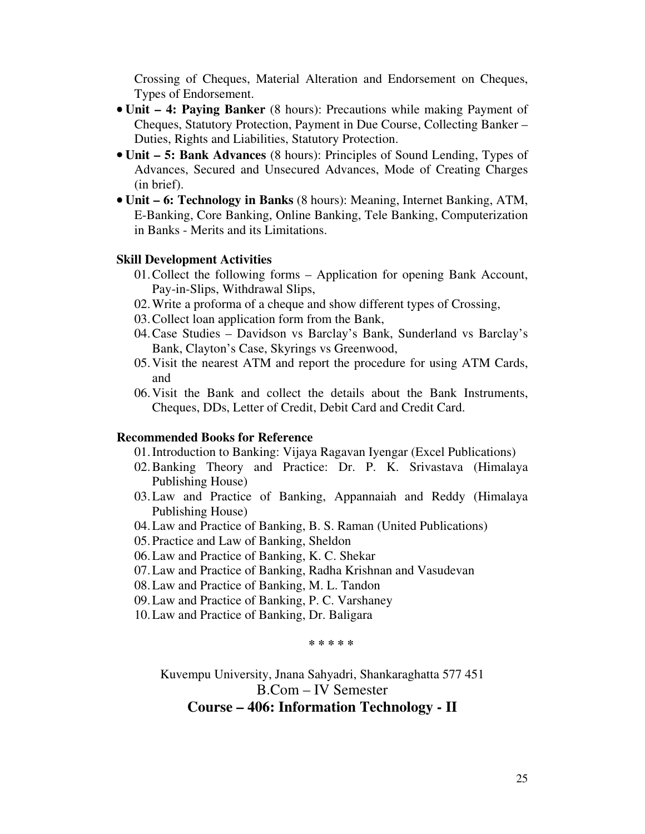Crossing of Cheques, Material Alteration and Endorsement on Cheques, Types of Endorsement.

- **Unit 4: Paying Banker** (8 hours): Precautions while making Payment of Cheques, Statutory Protection, Payment in Due Course, Collecting Banker – Duties, Rights and Liabilities, Statutory Protection.
- **Unit 5: Bank Advances** (8 hours): Principles of Sound Lending, Types of Advances, Secured and Unsecured Advances, Mode of Creating Charges (in brief).
- **Unit 6: Technology in Banks** (8 hours): Meaning, Internet Banking, ATM, E-Banking, Core Banking, Online Banking, Tele Banking, Computerization in Banks - Merits and its Limitations.

#### **Skill Development Activities**

- 01.Collect the following forms Application for opening Bank Account, Pay-in-Slips, Withdrawal Slips,
- 02.Write a proforma of a cheque and show different types of Crossing,
- 03.Collect loan application form from the Bank,
- 04.Case Studies Davidson vs Barclay's Bank, Sunderland vs Barclay's Bank, Clayton's Case, Skyrings vs Greenwood,
- 05.Visit the nearest ATM and report the procedure for using ATM Cards, and
- 06.Visit the Bank and collect the details about the Bank Instruments, Cheques, DDs, Letter of Credit, Debit Card and Credit Card.

#### **Recommended Books for Reference**

- 01.Introduction to Banking: Vijaya Ragavan Iyengar (Excel Publications)
- 02.Banking Theory and Practice: Dr. P. K. Srivastava (Himalaya Publishing House)
- 03.Law and Practice of Banking, Appannaiah and Reddy (Himalaya Publishing House)
- 04.Law and Practice of Banking, B. S. Raman (United Publications)
- 05.Practice and Law of Banking, Sheldon
- 06.Law and Practice of Banking, K. C. Shekar
- 07.Law and Practice of Banking, Radha Krishnan and Vasudevan
- 08.Law and Practice of Banking, M. L. Tandon
- 09.Law and Practice of Banking, P. C. Varshaney
- 10.Law and Practice of Banking, Dr. Baligara

**\* \* \* \* \*** 

Kuvempu University, Jnana Sahyadri, Shankaraghatta 577 451 B.Com – IV Semester **Course – 406: Information Technology - II**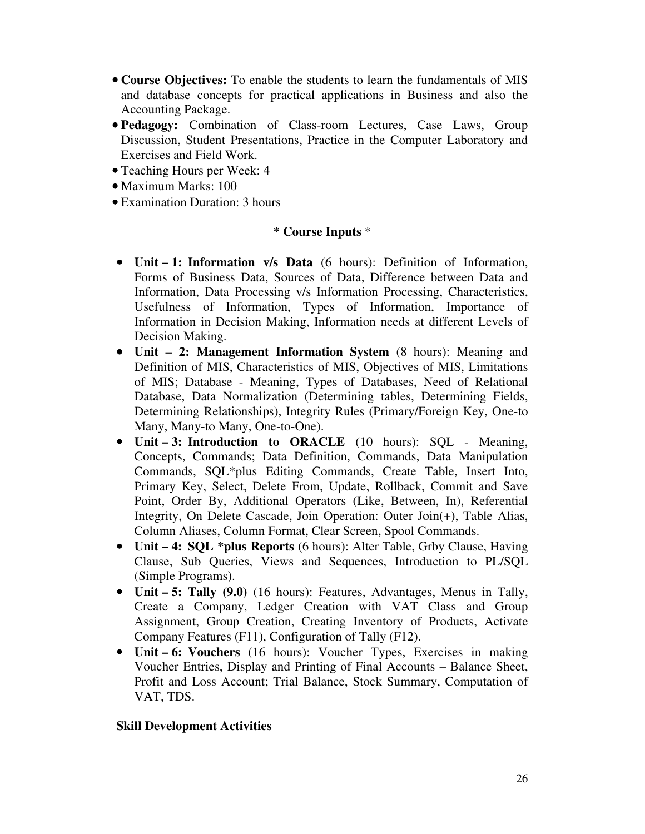- **Course Objectives:** To enable the students to learn the fundamentals of MIS and database concepts for practical applications in Business and also the Accounting Package.
- **Pedagogy:** Combination of Class-room Lectures, Case Laws, Group Discussion, Student Presentations, Practice in the Computer Laboratory and Exercises and Field Work.
- Teaching Hours per Week: 4
- Maximum Marks: 100
- Examination Duration: 3 hours

## **\* Course Inputs** \*

- **Unit 1: Information v/s Data** (6 hours): Definition of Information, Forms of Business Data, Sources of Data, Difference between Data and Information, Data Processing v/s Information Processing, Characteristics, Usefulness of Information, Types of Information, Importance of Information in Decision Making, Information needs at different Levels of Decision Making.
- **Unit 2: Management Information System** (8 hours): Meaning and Definition of MIS, Characteristics of MIS, Objectives of MIS, Limitations of MIS; Database - Meaning, Types of Databases, Need of Relational Database, Data Normalization (Determining tables, Determining Fields, Determining Relationships), Integrity Rules (Primary/Foreign Key, One-to Many, Many-to Many, One-to-One).
- **Unit 3: Introduction to ORACLE** (10 hours): SQL Meaning, Concepts, Commands; Data Definition, Commands, Data Manipulation Commands, SQL\*plus Editing Commands, Create Table, Insert Into, Primary Key, Select, Delete From, Update, Rollback, Commit and Save Point, Order By, Additional Operators (Like, Between, In), Referential Integrity, On Delete Cascade, Join Operation: Outer Join(+), Table Alias, Column Aliases, Column Format, Clear Screen, Spool Commands.
- **Unit 4: SQL \*plus Reports** (6 hours): Alter Table, Grby Clause, Having Clause, Sub Queries, Views and Sequences, Introduction to PL/SQL (Simple Programs).
- **Unit 5: Tally (9.0)** (16 hours): Features, Advantages, Menus in Tally, Create a Company, Ledger Creation with VAT Class and Group Assignment, Group Creation, Creating Inventory of Products, Activate Company Features (F11), Configuration of Tally (F12).
- **Unit 6: Vouchers** (16 hours): Voucher Types, Exercises in making Voucher Entries, Display and Printing of Final Accounts – Balance Sheet, Profit and Loss Account; Trial Balance, Stock Summary, Computation of VAT, TDS.

#### **Skill Development Activities**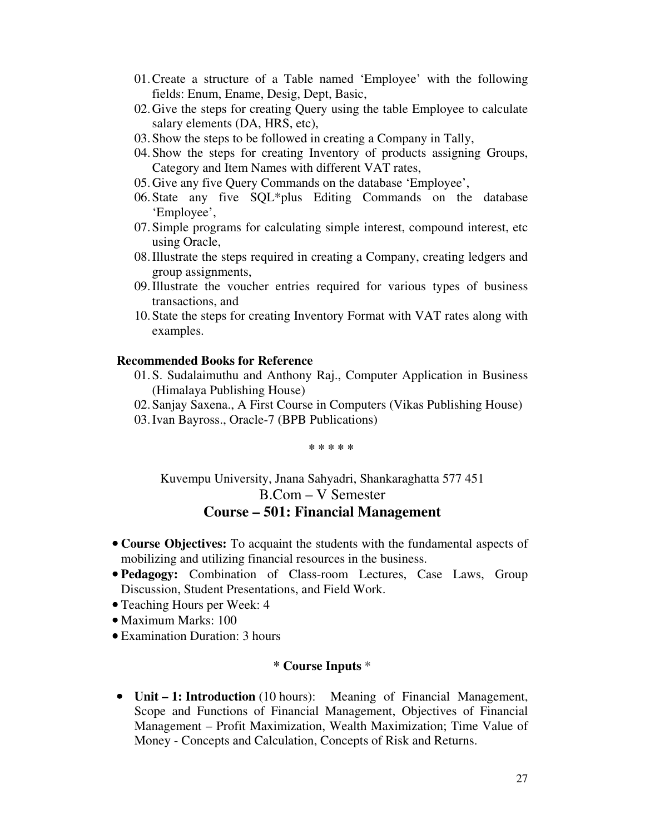- 01.Create a structure of a Table named 'Employee' with the following fields: Enum, Ename, Desig, Dept, Basic,
- 02.Give the steps for creating Query using the table Employee to calculate salary elements (DA, HRS, etc),
- 03.Show the steps to be followed in creating a Company in Tally,
- 04.Show the steps for creating Inventory of products assigning Groups, Category and Item Names with different VAT rates,
- 05.Give any five Query Commands on the database 'Employee',
- 06.State any five SQL\*plus Editing Commands on the database 'Employee',
- 07.Simple programs for calculating simple interest, compound interest, etc using Oracle,
- 08.Illustrate the steps required in creating a Company, creating ledgers and group assignments,
- 09.Illustrate the voucher entries required for various types of business transactions, and
- 10.State the steps for creating Inventory Format with VAT rates along with examples.

#### **Recommended Books for Reference**

- 01.S. Sudalaimuthu and Anthony Raj., Computer Application in Business (Himalaya Publishing House)
- 02.Sanjay Saxena., A First Course in Computers (Vikas Publishing House)
- 03.Ivan Bayross., Oracle-7 (BPB Publications)

**\* \* \* \* \*** 

# Kuvempu University, Jnana Sahyadri, Shankaraghatta 577 451 B.Com – V Semester **Course – 501: Financial Management**

- **Course Objectives:** To acquaint the students with the fundamental aspects of mobilizing and utilizing financial resources in the business.
- **Pedagogy:** Combination of Class-room Lectures, Case Laws, Group Discussion, Student Presentations, and Field Work.
- Teaching Hours per Week: 4
- Maximum Marks: 100
- Examination Duration: 3 hours

#### **\* Course Inputs** \*

• **Unit – 1: Introduction** (10 hours): Meaning of Financial Management, Scope and Functions of Financial Management, Objectives of Financial Management – Profit Maximization, Wealth Maximization; Time Value of Money - Concepts and Calculation, Concepts of Risk and Returns.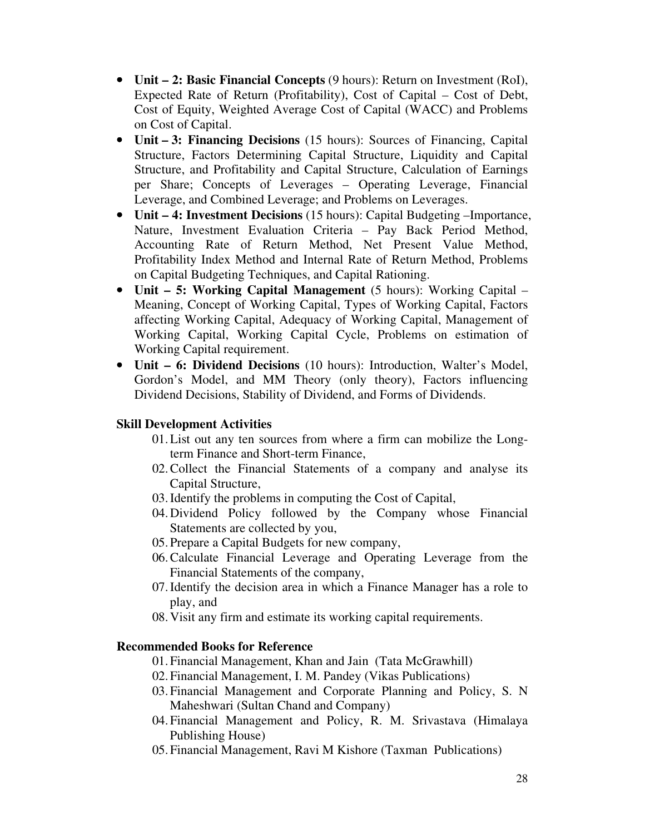- **Unit 2: Basic Financial Concepts** (9 hours): Return on Investment (RoI), Expected Rate of Return (Profitability), Cost of Capital – Cost of Debt, Cost of Equity, Weighted Average Cost of Capital (WACC) and Problems on Cost of Capital.
- **Unit 3: Financing Decisions** (15 hours): Sources of Financing, Capital Structure, Factors Determining Capital Structure, Liquidity and Capital Structure, and Profitability and Capital Structure, Calculation of Earnings per Share; Concepts of Leverages – Operating Leverage, Financial Leverage, and Combined Leverage; and Problems on Leverages.
- **Unit 4: Investment Decisions** (15 hours): Capital Budgeting –Importance, Nature, Investment Evaluation Criteria – Pay Back Period Method, Accounting Rate of Return Method, Net Present Value Method, Profitability Index Method and Internal Rate of Return Method, Problems on Capital Budgeting Techniques, and Capital Rationing.
- **Unit 5: Working Capital Management** (5 hours): Working Capital Meaning, Concept of Working Capital, Types of Working Capital, Factors affecting Working Capital, Adequacy of Working Capital, Management of Working Capital, Working Capital Cycle, Problems on estimation of Working Capital requirement.
- **Unit 6: Dividend Decisions** (10 hours): Introduction, Walter's Model, Gordon's Model, and MM Theory (only theory), Factors influencing Dividend Decisions, Stability of Dividend, and Forms of Dividends.

# **Skill Development Activities**

- 01.List out any ten sources from where a firm can mobilize the Longterm Finance and Short-term Finance,
- 02.Collect the Financial Statements of a company and analyse its Capital Structure,
- 03.Identify the problems in computing the Cost of Capital,
- 04.Dividend Policy followed by the Company whose Financial Statements are collected by you,
- 05.Prepare a Capital Budgets for new company,
- 06.Calculate Financial Leverage and Operating Leverage from the Financial Statements of the company,
- 07.Identify the decision area in which a Finance Manager has a role to play, and
- 08.Visit any firm and estimate its working capital requirements.

# **Recommended Books for Reference**

- 01.Financial Management, Khan and Jain (Tata McGrawhill)
- 02.Financial Management, I. M. Pandey (Vikas Publications)
- 03.Financial Management and Corporate Planning and Policy, S. N Maheshwari (Sultan Chand and Company)
- 04.Financial Management and Policy, R. M. Srivastava (Himalaya Publishing House)
- 05.Financial Management, Ravi M Kishore (Taxman Publications)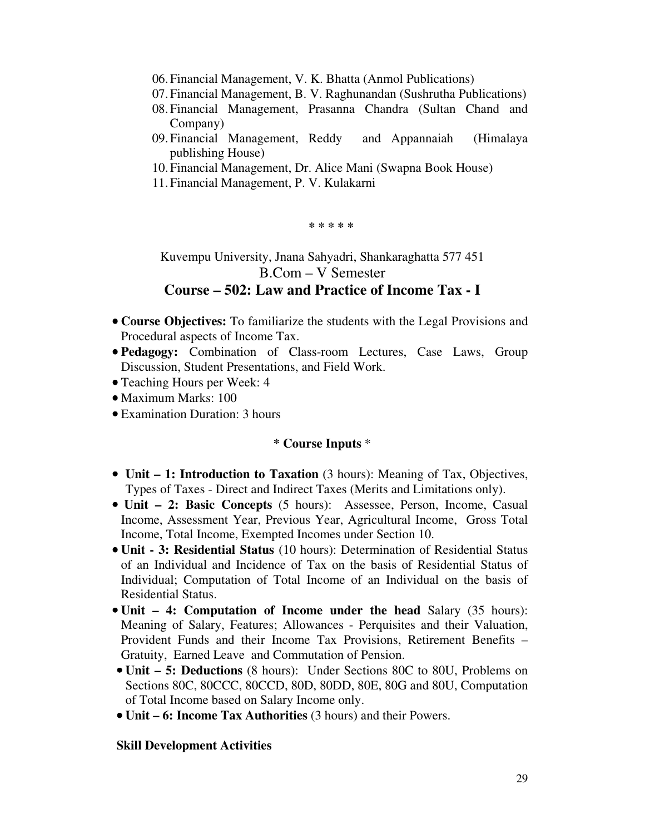- 06.Financial Management, V. K. Bhatta (Anmol Publications)
- 07.Financial Management, B. V. Raghunandan (Sushrutha Publications)
- 08.Financial Management, Prasanna Chandra (Sultan Chand and Company)
- 09.Financial Management, Reddy and Appannaiah (Himalaya publishing House)
- 10.Financial Management, Dr. Alice Mani (Swapna Book House)
- 11.Financial Management, P. V. Kulakarni

**\* \* \* \* \*** 

Kuvempu University, Jnana Sahyadri, Shankaraghatta 577 451 B.Com – V Semester

# **Course – 502: Law and Practice of Income Tax - I**

- **Course Objectives:** To familiarize the students with the Legal Provisions and Procedural aspects of Income Tax.
- **Pedagogy:** Combination of Class-room Lectures, Case Laws, Group Discussion, Student Presentations, and Field Work.
- Teaching Hours per Week: 4
- Maximum Marks: 100
- Examination Duration: 3 hours

#### **\* Course Inputs** \*

- **Unit 1: Introduction to Taxation** (3 hours): Meaning of Tax, Objectives, Types of Taxes - Direct and Indirect Taxes (Merits and Limitations only).
- • **Unit 2: Basic Concepts** (5 hours): Assessee, Person, Income, Casual Income, Assessment Year, Previous Year, Agricultural Income, Gross Total Income, Total Income, Exempted Incomes under Section 10.
- **Unit 3: Residential Status** (10 hours): Determination of Residential Status of an Individual and Incidence of Tax on the basis of Residential Status of Individual; Computation of Total Income of an Individual on the basis of Residential Status.
- **Unit 4: Computation of Income under the head** Salary (35 hours): Meaning of Salary, Features; Allowances - Perquisites and their Valuation, Provident Funds and their Income Tax Provisions, Retirement Benefits – Gratuity, Earned Leave and Commutation of Pension.
- **Unit 5: Deductions** (8 hours): Under Sections 80C to 80U, Problems on Sections 80C, 80CCC, 80CCD, 80D, 80DD, 80E, 80G and 80U, Computation of Total Income based on Salary Income only.
- **Unit 6: Income Tax Authorities** (3 hours) and their Powers.

#### **Skill Development Activities**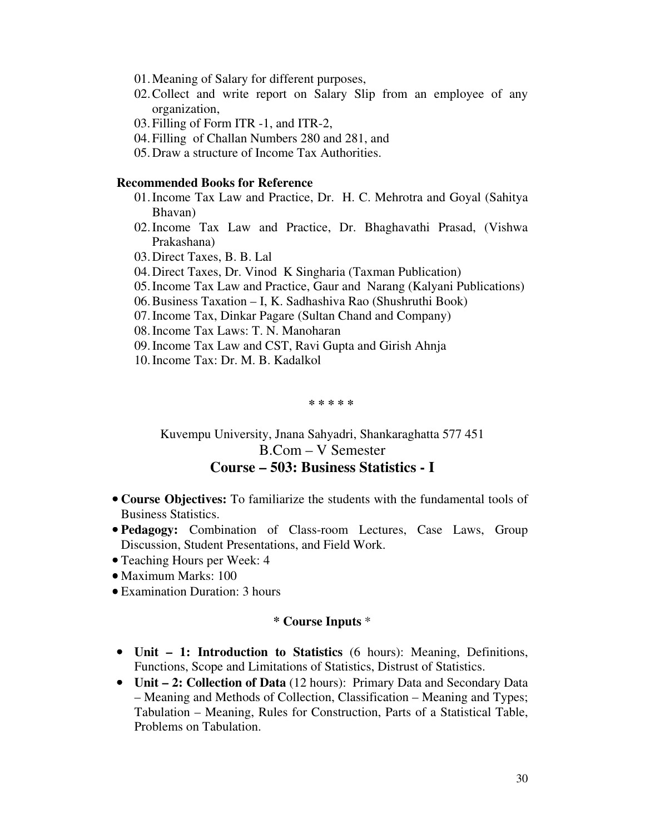- 01.Meaning of Salary for different purposes,
- 02.Collect and write report on Salary Slip from an employee of any organization,
- 03. Filling of Form ITR -1, and ITR-2,
- 04. Filling of Challan Numbers 280 and 281, and
- 05. Draw a structure of Income Tax Authorities.

#### **Recommended Books for Reference**

- 01.Income Tax Law and Practice, Dr. H. C. Mehrotra and Goyal (Sahitya Bhavan)
- 02.Income Tax Law and Practice, Dr. Bhaghavathi Prasad, (Vishwa Prakashana)
- 03.Direct Taxes, B. B. Lal
- 04.Direct Taxes, Dr. Vinod K Singharia (Taxman Publication)
- 05.Income Tax Law and Practice, Gaur and Narang (Kalyani Publications)
- 06.Business Taxation I, K. Sadhashiva Rao (Shushruthi Book)
- 07.Income Tax, Dinkar Pagare (Sultan Chand and Company)
- 08.Income Tax Laws: T. N. Manoharan
- 09.Income Tax Law and CST, Ravi Gupta and Girish Ahnja
- 10.Income Tax: Dr. M. B. Kadalkol

**\* \* \* \* \*** 

Kuvempu University, Jnana Sahyadri, Shankaraghatta 577 451 B.Com – V Semester

# **Course – 503: Business Statistics - I**

- **Course Objectives:** To familiarize the students with the fundamental tools of Business Statistics.
- **Pedagogy:** Combination of Class-room Lectures, Case Laws, Group Discussion, Student Presentations, and Field Work.
- Teaching Hours per Week: 4
- Maximum Marks: 100
- Examination Duration: 3 hours

- **Unit 1: Introduction to Statistics** (6 hours): Meaning, Definitions, Functions, Scope and Limitations of Statistics, Distrust of Statistics.
- **Unit 2: Collection of Data** (12 hours): Primary Data and Secondary Data – Meaning and Methods of Collection, Classification – Meaning and Types; Tabulation – Meaning, Rules for Construction, Parts of a Statistical Table, Problems on Tabulation.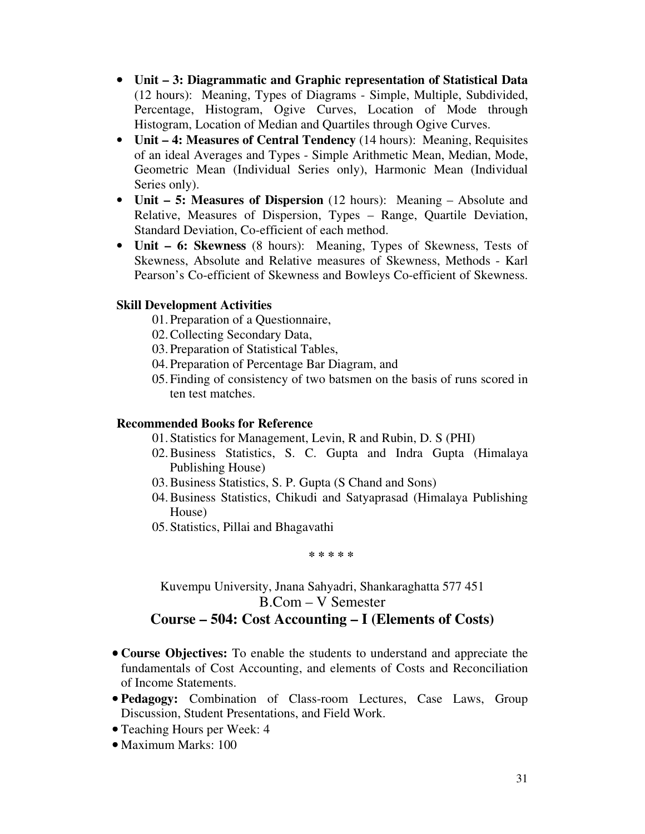- **Unit 3: Diagrammatic and Graphic representation of Statistical Data** (12 hours): Meaning, Types of Diagrams - Simple, Multiple, Subdivided, Percentage, Histogram, Ogive Curves, Location of Mode through Histogram, Location of Median and Quartiles through Ogive Curves.
- **Unit 4: Measures of Central Tendency** (14 hours): Meaning, Requisites of an ideal Averages and Types - Simple Arithmetic Mean, Median, Mode, Geometric Mean (Individual Series only), Harmonic Mean (Individual Series only).
- **Unit 5: Measures of Dispersion** (12 hours): Meaning Absolute and Relative, Measures of Dispersion, Types – Range, Quartile Deviation, Standard Deviation, Co-efficient of each method.
- **Unit 6: Skewness** (8 hours): Meaning, Types of Skewness, Tests of Skewness, Absolute and Relative measures of Skewness, Methods - Karl Pearson's Co-efficient of Skewness and Bowleys Co-efficient of Skewness.

### **Skill Development Activities**

- 01.Preparation of a Questionnaire,
- 02.Collecting Secondary Data,
- 03.Preparation of Statistical Tables,
- 04.Preparation of Percentage Bar Diagram, and
- 05.Finding of consistency of two batsmen on the basis of runs scored in ten test matches.

## **Recommended Books for Reference**

- 01.Statistics for Management, Levin, R and Rubin, D. S (PHI)
- 02.Business Statistics, S. C. Gupta and Indra Gupta (Himalaya Publishing House)
- 03.Business Statistics, S. P. Gupta (S Chand and Sons)
- 04.Business Statistics, Chikudi and Satyaprasad (Himalaya Publishing House)
- 05.Statistics, Pillai and Bhagavathi

**\* \* \* \* \*** 

Kuvempu University, Jnana Sahyadri, Shankaraghatta 577 451 B.Com – V Semester

# **Course – 504: Cost Accounting – I (Elements of Costs)**

- **Course Objectives:** To enable the students to understand and appreciate the fundamentals of Cost Accounting, and elements of Costs and Reconciliation of Income Statements.
- **Pedagogy:** Combination of Class-room Lectures, Case Laws, Group Discussion, Student Presentations, and Field Work.
- Teaching Hours per Week: 4
- Maximum Marks: 100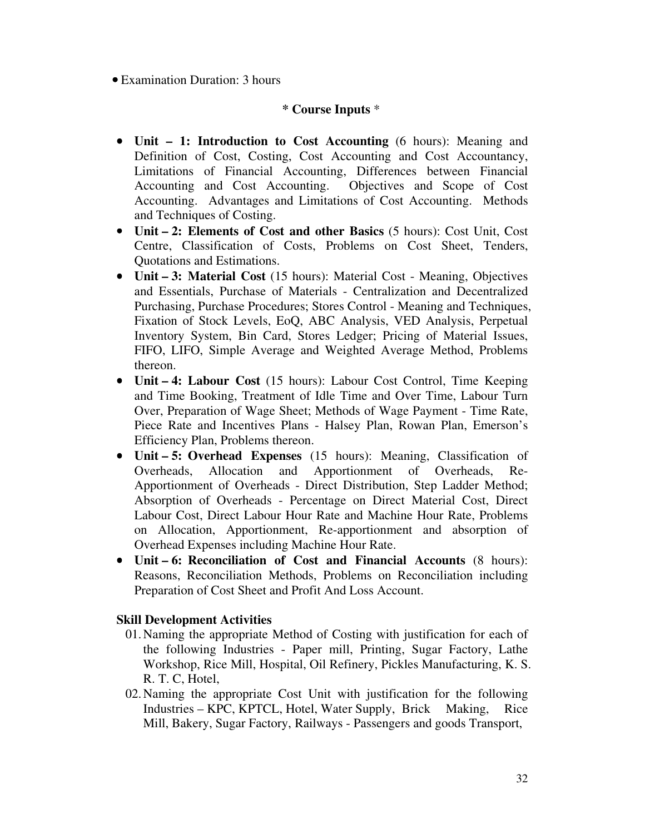• Examination Duration: 3 hours

# **\* Course Inputs** \*

- **Unit 1: Introduction to Cost Accounting** (6 hours): Meaning and Definition of Cost, Costing, Cost Accounting and Cost Accountancy, Limitations of Financial Accounting, Differences between Financial Accounting and Cost Accounting. Objectives and Scope of Cost Accounting. Advantages and Limitations of Cost Accounting. Methods and Techniques of Costing.
- **Unit 2: Elements of Cost and other Basics** (5 hours): Cost Unit, Cost Centre, Classification of Costs, Problems on Cost Sheet, Tenders, Quotations and Estimations.
- **Unit 3: Material Cost** (15 hours): Material Cost Meaning, Objectives and Essentials, Purchase of Materials - Centralization and Decentralized Purchasing, Purchase Procedures; Stores Control - Meaning and Techniques, Fixation of Stock Levels, EoQ, ABC Analysis, VED Analysis, Perpetual Inventory System, Bin Card, Stores Ledger; Pricing of Material Issues, FIFO, LIFO, Simple Average and Weighted Average Method, Problems thereon.
- **Unit 4: Labour Cost** (15 hours): Labour Cost Control, Time Keeping and Time Booking, Treatment of Idle Time and Over Time, Labour Turn Over, Preparation of Wage Sheet; Methods of Wage Payment - Time Rate, Piece Rate and Incentives Plans - Halsey Plan, Rowan Plan, Emerson's Efficiency Plan, Problems thereon.
- **Unit 5: Overhead Expenses** (15 hours): Meaning, Classification of Overheads, Allocation and Apportionment of Overheads, Re-Apportionment of Overheads - Direct Distribution, Step Ladder Method; Absorption of Overheads - Percentage on Direct Material Cost, Direct Labour Cost, Direct Labour Hour Rate and Machine Hour Rate, Problems on Allocation, Apportionment, Re-apportionment and absorption of Overhead Expenses including Machine Hour Rate.
- **Unit 6: Reconciliation of Cost and Financial Accounts** (8 hours): Reasons, Reconciliation Methods, Problems on Reconciliation including Preparation of Cost Sheet and Profit And Loss Account.

# **Skill Development Activities**

- 01.Naming the appropriate Method of Costing with justification for each of the following Industries - Paper mill, Printing, Sugar Factory, Lathe Workshop, Rice Mill, Hospital, Oil Refinery, Pickles Manufacturing, K. S. R. T. C, Hotel,
- 02.Naming the appropriate Cost Unit with justification for the following Industries – KPC, KPTCL, Hotel, Water Supply, Brick Making, Rice Mill, Bakery, Sugar Factory, Railways - Passengers and goods Transport,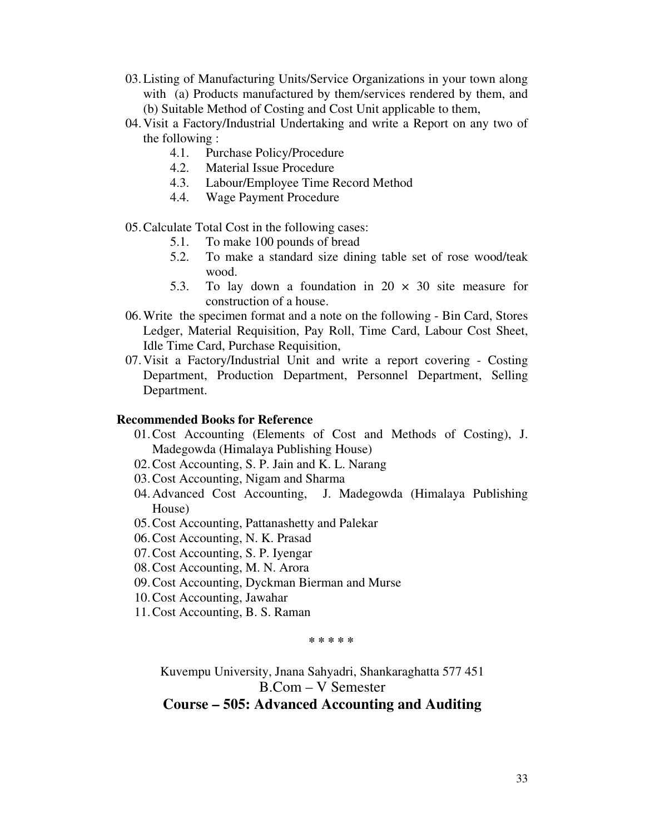- 03.Listing of Manufacturing Units/Service Organizations in your town along with (a) Products manufactured by them/services rendered by them, and (b) Suitable Method of Costing and Cost Unit applicable to them,
- 04.Visit a Factory/Industrial Undertaking and write a Report on any two of the following :
	- 4.1. Purchase Policy/Procedure
	- 4.2. Material Issue Procedure
	- 4.3. Labour/Employee Time Record Method
	- 4.4. Wage Payment Procedure

05.Calculate Total Cost in the following cases:

- 5.1. To make 100 pounds of bread
- 5.2. To make a standard size dining table set of rose wood/teak wood.
- 5.3. To lay down a foundation in  $20 \times 30$  site measure for construction of a house.
- 06.Write the specimen format and a note on the following Bin Card, Stores Ledger, Material Requisition, Pay Roll, Time Card, Labour Cost Sheet, Idle Time Card, Purchase Requisition,
- 07.Visit a Factory/Industrial Unit and write a report covering Costing Department, Production Department, Personnel Department, Selling Department.

#### **Recommended Books for Reference**

- 01.Cost Accounting (Elements of Cost and Methods of Costing), J. Madegowda (Himalaya Publishing House)
- 02.Cost Accounting, S. P. Jain and K. L. Narang
- 03.Cost Accounting, Nigam and Sharma
- 04.Advanced Cost Accounting, J. Madegowda (Himalaya Publishing House)
- 05.Cost Accounting, Pattanashetty and Palekar
- 06.Cost Accounting, N. K. Prasad
- 07.Cost Accounting, S. P. Iyengar
- 08.Cost Accounting, M. N. Arora
- 09.Cost Accounting, Dyckman Bierman and Murse
- 10.Cost Accounting, Jawahar
- 11.Cost Accounting, B. S. Raman

**\* \* \* \* \*** 

Kuvempu University, Jnana Sahyadri, Shankaraghatta 577 451 B.Com – V Semester

# **Course – 505: Advanced Accounting and Auditing**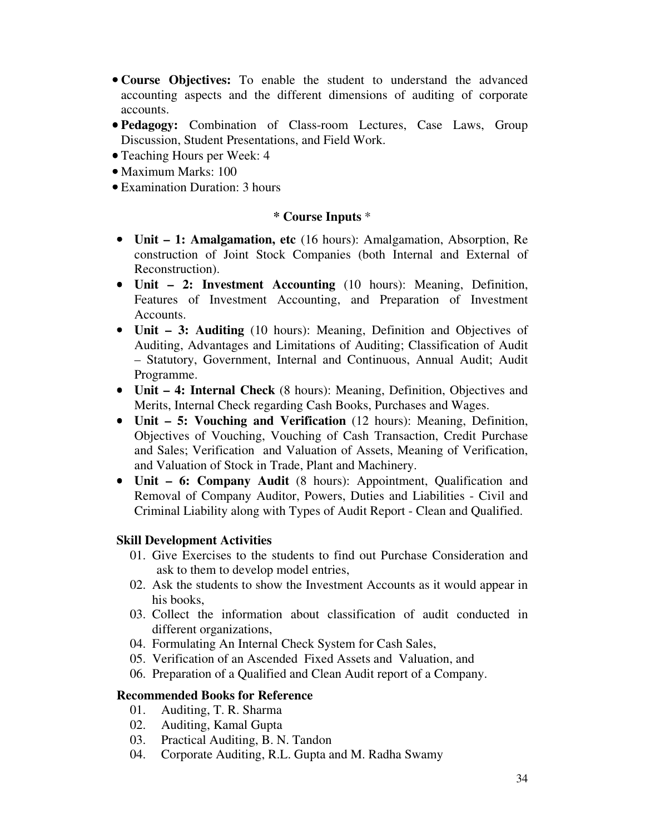- **Course Objectives:** To enable the student to understand the advanced accounting aspects and the different dimensions of auditing of corporate accounts.
- **Pedagogy:** Combination of Class-room Lectures, Case Laws, Group Discussion, Student Presentations, and Field Work.
- Teaching Hours per Week: 4
- Maximum Marks: 100
- Examination Duration: 3 hours

#### **\* Course Inputs** \*

- **Unit 1: Amalgamation, etc** (16 hours): Amalgamation, Absorption, Re construction of Joint Stock Companies (both Internal and External of Reconstruction).
- **Unit 2: Investment Accounting** (10 hours): Meaning, Definition, Features of Investment Accounting, and Preparation of Investment Accounts.
- **Unit 3: Auditing** (10 hours): Meaning, Definition and Objectives of Auditing, Advantages and Limitations of Auditing; Classification of Audit – Statutory, Government, Internal and Continuous, Annual Audit; Audit Programme.
- **Unit 4: Internal Check** (8 hours): Meaning, Definition, Objectives and Merits, Internal Check regarding Cash Books, Purchases and Wages.
- **Unit 5: Vouching and Verification** (12 hours): Meaning, Definition, Objectives of Vouching, Vouching of Cash Transaction, Credit Purchase and Sales; Verification and Valuation of Assets, Meaning of Verification, and Valuation of Stock in Trade, Plant and Machinery.
- **Unit 6: Company Audit** (8 hours): Appointment, Qualification and Removal of Company Auditor, Powers, Duties and Liabilities - Civil and Criminal Liability along with Types of Audit Report - Clean and Qualified.

#### **Skill Development Activities**

- 01. Give Exercises to the students to find out Purchase Consideration and ask to them to develop model entries,
- 02. Ask the students to show the Investment Accounts as it would appear in his books,
- 03. Collect the information about classification of audit conducted in different organizations,
- 04. Formulating An Internal Check System for Cash Sales,
- 05. Verification of an Ascended Fixed Assets and Valuation, and
- 06. Preparation of a Qualified and Clean Audit report of a Company.

### **Recommended Books for Reference**

- 01. Auditing, T. R. Sharma
- 02. Auditing, Kamal Gupta
- 03. Practical Auditing, B. N. Tandon
- 04. Corporate Auditing, R.L. Gupta and M. Radha Swamy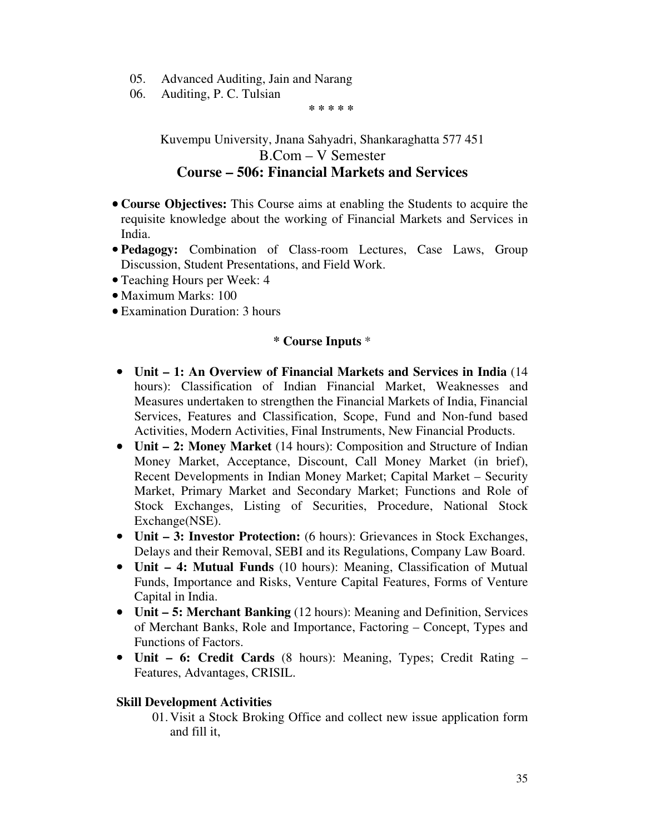- 05. Advanced Auditing, Jain and Narang
- 06. Auditing, P. C. Tulsian

**\* \* \* \* \*** 

Kuvempu University, Jnana Sahyadri, Shankaraghatta 577 451 B.Com – V Semester **Course – 506: Financial Markets and Services** 

- **Course Objectives:** This Course aims at enabling the Students to acquire the requisite knowledge about the working of Financial Markets and Services in India.
- **Pedagogy:** Combination of Class-room Lectures, Case Laws, Group Discussion, Student Presentations, and Field Work.
- Teaching Hours per Week: 4
- Maximum Marks: 100
- Examination Duration: 3 hours

### **\* Course Inputs** \*

- **Unit 1: An Overview of Financial Markets and Services in India** (14 hours): Classification of Indian Financial Market, Weaknesses and Measures undertaken to strengthen the Financial Markets of India, Financial Services, Features and Classification, Scope, Fund and Non-fund based Activities, Modern Activities, Final Instruments, New Financial Products.
- **Unit 2: Money Market** (14 hours): Composition and Structure of Indian Money Market, Acceptance, Discount, Call Money Market (in brief), Recent Developments in Indian Money Market; Capital Market – Security Market, Primary Market and Secondary Market; Functions and Role of Stock Exchanges, Listing of Securities, Procedure, National Stock Exchange(NSE).
- **Unit 3: Investor Protection:** (6 hours): Grievances in Stock Exchanges, Delays and their Removal, SEBI and its Regulations, Company Law Board.
- **Unit 4: Mutual Funds** (10 hours): Meaning, Classification of Mutual Funds, Importance and Risks, Venture Capital Features, Forms of Venture Capital in India.
- **Unit 5: Merchant Banking** (12 hours): Meaning and Definition, Services of Merchant Banks, Role and Importance, Factoring – Concept, Types and Functions of Factors.
- **Unit 6: Credit Cards** (8 hours): Meaning, Types; Credit Rating Features, Advantages, CRISIL.

### **Skill Development Activities**

01.Visit a Stock Broking Office and collect new issue application form and fill it,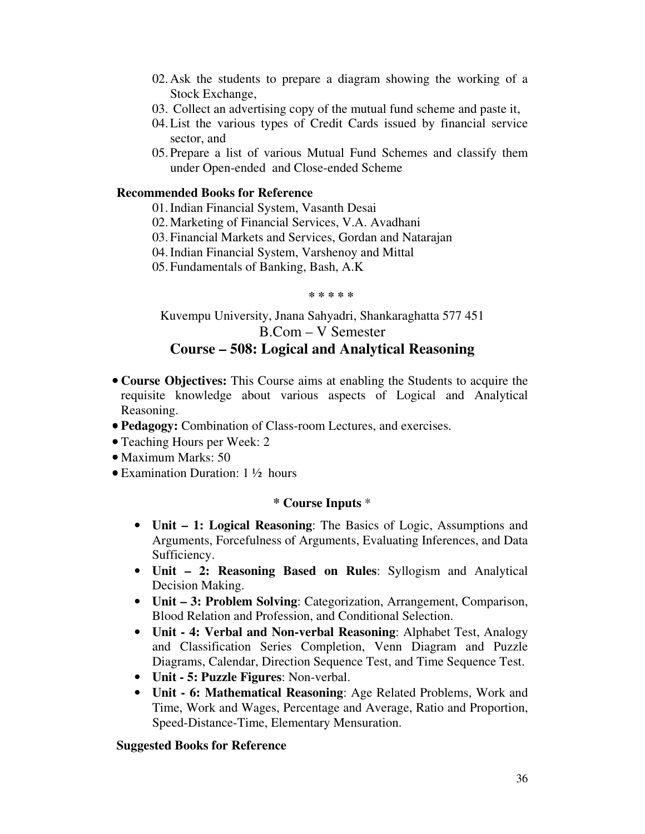- 02.Ask the students to prepare a diagram showing the working of a Stock Exchange,
- 03. Collect an advertising copy of the mutual fund scheme and paste it,
- 04.List the various types of Credit Cards issued by financial service sector, and
- 05.Prepare a list of various Mutual Fund Schemes and classify them under Open-ended and Close-ended Scheme

## **Recommended Books for Reference**

- 01.Indian Financial System, Vasanth Desai
- 02.Marketing of Financial Services, V.A. Avadhani
- 03.Financial Markets and Services, Gordan and Natarajan
- 04.Indian Financial System, Varshenoy and Mittal
- 05.Fundamentals of Banking, Bash, A.K

#### **\* \* \* \* \***

# Kuvempu University, Jnana Sahyadri, Shankaraghatta 577 451 B.Com – V Semester **Course – 508: Logical and Analytical Reasoning**

- **Course Objectives:** This Course aims at enabling the Students to acquire the requisite knowledge about various aspects of Logical and Analytical Reasoning.
- **Pedagogy:** Combination of Class-room Lectures, and exercises.
- Teaching Hours per Week: 2
- Maximum Marks: 50
- Examination Duration: 1 ½ hours

# **\* Course Inputs** \*

- **Unit 1: Logical Reasoning**: The Basics of Logic, Assumptions and Arguments, Forcefulness of Arguments, Evaluating Inferences, and Data Sufficiency.
- **Unit 2: Reasoning Based on Rules**: Syllogism and Analytical Decision Making.
- **Unit 3: Problem Solving**: Categorization, Arrangement, Comparison, Blood Relation and Profession, and Conditional Selection.
- **Unit 4: Verbal and Non-verbal Reasoning**: Alphabet Test, Analogy and Classification Series Completion, Venn Diagram and Puzzle Diagrams, Calendar, Direction Sequence Test, and Time Sequence Test.
- **Unit 5: Puzzle Figures**: Non-verbal.
- **Unit 6: Mathematical Reasoning**: Age Related Problems, Work and Time, Work and Wages, Percentage and Average, Ratio and Proportion, Speed-Distance-Time, Elementary Mensuration.

# **Suggested Books for Reference**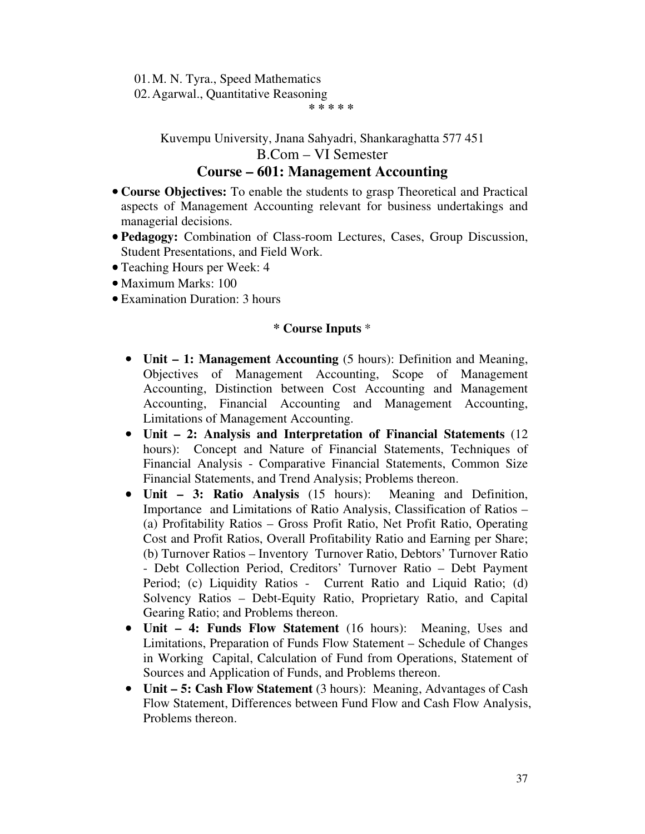01.M. N. Tyra., Speed Mathematics

02.Agarwal., Quantitative Reasoning

**\* \* \* \* \*** 

Kuvempu University, Jnana Sahyadri, Shankaraghatta 577 451

B.Com – VI Semester

# **Course – 601: Management Accounting**

- **Course Objectives:** To enable the students to grasp Theoretical and Practical aspects of Management Accounting relevant for business undertakings and managerial decisions.
- **Pedagogy:** Combination of Class-room Lectures, Cases, Group Discussion, Student Presentations, and Field Work.
- Teaching Hours per Week: 4
- Maximum Marks: 100
- Examination Duration: 3 hours

- **Unit 1: Management Accounting** (5 hours): Definition and Meaning, Objectives of Management Accounting, Scope of Management Accounting, Distinction between Cost Accounting and Management Accounting, Financial Accounting and Management Accounting, Limitations of Management Accounting.
- **Unit 2: Analysis and Interpretation of Financial Statements** (12 hours): Concept and Nature of Financial Statements, Techniques of Financial Analysis - Comparative Financial Statements, Common Size Financial Statements, and Trend Analysis; Problems thereon.
- **Unit 3: Ratio Analysis** (15 hours): Meaning and Definition, Importance and Limitations of Ratio Analysis, Classification of Ratios – (a) Profitability Ratios – Gross Profit Ratio, Net Profit Ratio, Operating Cost and Profit Ratios, Overall Profitability Ratio and Earning per Share; (b) Turnover Ratios – Inventory Turnover Ratio, Debtors' Turnover Ratio - Debt Collection Period, Creditors' Turnover Ratio – Debt Payment Period; (c) Liquidity Ratios - Current Ratio and Liquid Ratio; (d) Solvency Ratios – Debt-Equity Ratio, Proprietary Ratio, and Capital Gearing Ratio; and Problems thereon.
- **Unit 4: Funds Flow Statement** (16 hours): Meaning, Uses and Limitations, Preparation of Funds Flow Statement – Schedule of Changes in Working Capital, Calculation of Fund from Operations, Statement of Sources and Application of Funds, and Problems thereon.
- **Unit 5: Cash Flow Statement** (3 hours): Meaning, Advantages of Cash Flow Statement, Differences between Fund Flow and Cash Flow Analysis, Problems thereon.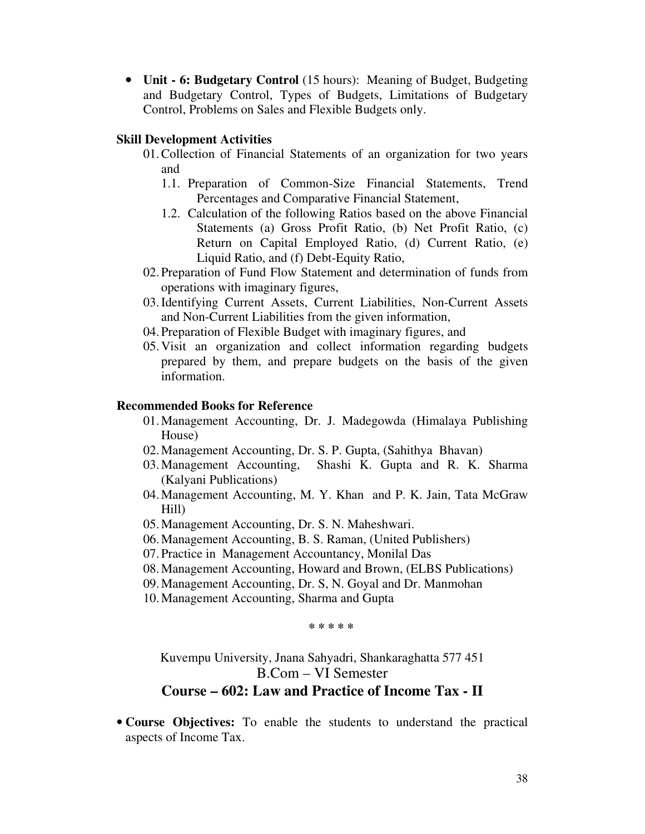• **Unit - 6: Budgetary Control** (15 hours): Meaning of Budget, Budgeting and Budgetary Control, Types of Budgets, Limitations of Budgetary Control, Problems on Sales and Flexible Budgets only.

### **Skill Development Activities**

- 01.Collection of Financial Statements of an organization for two years and
	- 1.1. Preparation of Common-Size Financial Statements, Trend Percentages and Comparative Financial Statement,
	- 1.2. Calculation of the following Ratios based on the above Financial Statements (a) Gross Profit Ratio, (b) Net Profit Ratio, (c) Return on Capital Employed Ratio, (d) Current Ratio, (e) Liquid Ratio, and (f) Debt-Equity Ratio,
- 02.Preparation of Fund Flow Statement and determination of funds from operations with imaginary figures,
- 03.Identifying Current Assets, Current Liabilities, Non-Current Assets and Non-Current Liabilities from the given information,
- 04.Preparation of Flexible Budget with imaginary figures, and
- 05.Visit an organization and collect information regarding budgets prepared by them, and prepare budgets on the basis of the given information.

### **Recommended Books for Reference**

- 01.Management Accounting, Dr. J. Madegowda (Himalaya Publishing House)
- 02.Management Accounting, Dr. S. P. Gupta, (Sahithya Bhavan)
- 03.Management Accounting, Shashi K. Gupta and R. K. Sharma (Kalyani Publications)
- 04.Management Accounting, M. Y. Khan and P. K. Jain, Tata McGraw Hill)
- 05.Management Accounting, Dr. S. N. Maheshwari.
- 06.Management Accounting, B. S. Raman, (United Publishers)
- 07.Practice in Management Accountancy, Monilal Das
- 08.Management Accounting, Howard and Brown, (ELBS Publications)
- 09.Management Accounting, Dr. S, N. Goyal and Dr. Manmohan
- 10.Management Accounting, Sharma and Gupta

**\* \* \* \* \*** 

Kuvempu University, Jnana Sahyadri, Shankaraghatta 577 451 B.Com – VI Semester

# **Course – 602: Law and Practice of Income Tax - II**

• **Course Objectives:** To enable the students to understand the practical aspects of Income Tax.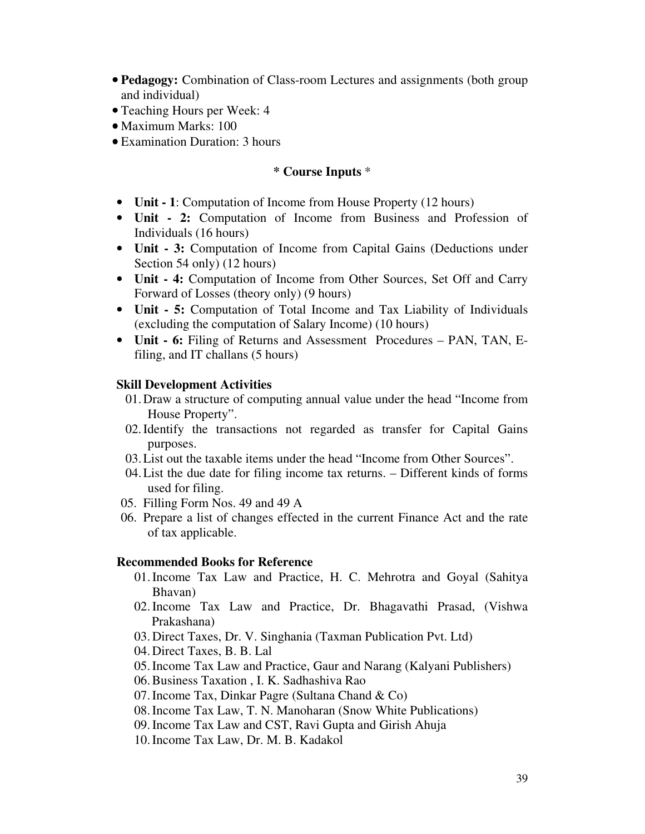- **Pedagogy:** Combination of Class-room Lectures and assignments (both group and individual)
- Teaching Hours per Week: 4
- Maximum Marks: 100
- Examination Duration: 3 hours

### **\* Course Inputs** \*

- **Unit 1**: Computation of Income from House Property (12 hours)
- **Unit 2:** Computation of Income from Business and Profession of Individuals (16 hours)
- **Unit 3:** Computation of Income from Capital Gains (Deductions under Section 54 only) (12 hours)
- **Unit 4:** Computation of Income from Other Sources, Set Off and Carry Forward of Losses (theory only) (9 hours)
- **Unit 5:** Computation of Total Income and Tax Liability of Individuals (excluding the computation of Salary Income) (10 hours)
- **Unit 6:** Filing of Returns and Assessment Procedures PAN, TAN, Efiling, and IT challans (5 hours)

#### **Skill Development Activities**

- 01.Draw a structure of computing annual value under the head "Income from House Property".
- 02.Identify the transactions not regarded as transfer for Capital Gains purposes.
- 03.List out the taxable items under the head "Income from Other Sources".
- 04.List the due date for filing income tax returns. Different kinds of forms used for filing.
- 05. Filling Form Nos. 49 and 49 A
- 06. Prepare a list of changes effected in the current Finance Act and the rate of tax applicable.

#### **Recommended Books for Reference**

- 01.Income Tax Law and Practice, H. C. Mehrotra and Goyal (Sahitya Bhavan)
- 02.Income Tax Law and Practice, Dr. Bhagavathi Prasad, (Vishwa Prakashana)
- 03. Direct Taxes, Dr. V. Singhania (Taxman Publication Pvt. Ltd)
- 04. Direct Taxes, B. B. Lal
- 05.Income Tax Law and Practice, Gaur and Narang (Kalyani Publishers)
- 06.Business Taxation , I. K. Sadhashiva Rao
- 07.Income Tax, Dinkar Pagre (Sultana Chand & Co)
- 08.Income Tax Law, T. N. Manoharan (Snow White Publications)
- 09.Income Tax Law and CST, Ravi Gupta and Girish Ahuja
- 10.Income Tax Law, Dr. M. B. Kadakol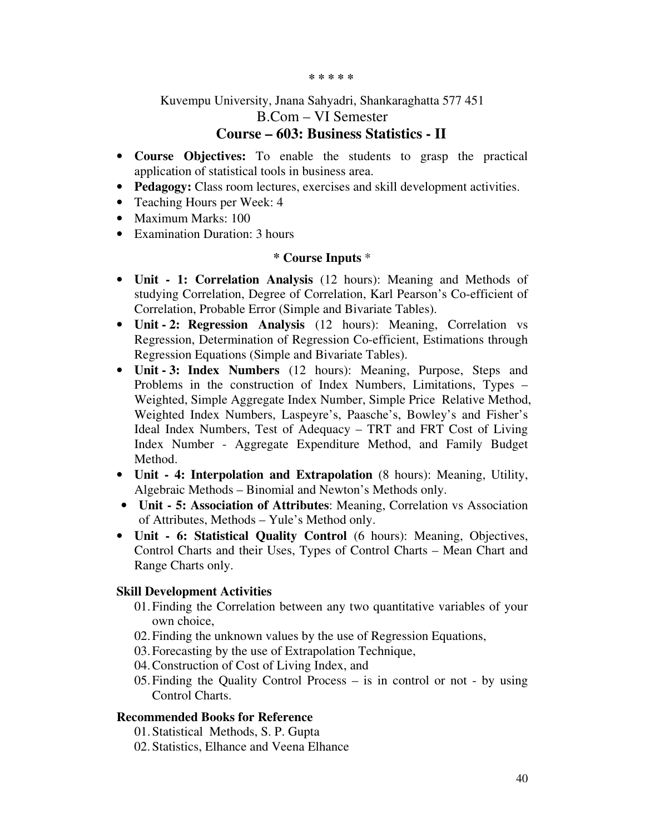#### **\* \* \* \* \***

# Kuvempu University, Jnana Sahyadri, Shankaraghatta 577 451 B.Com – VI Semester

# **Course – 603: Business Statistics - II**

- **Course Objectives:** To enable the students to grasp the practical application of statistical tools in business area.
- **Pedagogy:** Class room lectures, exercises and skill development activities.
- Teaching Hours per Week: 4
- Maximum Marks: 100
- Examination Duration: 3 hours

### **\* Course Inputs** \*

- **Unit 1: Correlation Analysis** (12 hours): Meaning and Methods of studying Correlation, Degree of Correlation, Karl Pearson's Co-efficient of Correlation, Probable Error (Simple and Bivariate Tables).
- **Unit 2: Regression Analysis** (12 hours): Meaning, Correlation vs Regression, Determination of Regression Co-efficient, Estimations through Regression Equations (Simple and Bivariate Tables).
- **Unit 3: Index Numbers** (12 hours): Meaning, Purpose, Steps and Problems in the construction of Index Numbers, Limitations, Types – Weighted, Simple Aggregate Index Number, Simple Price Relative Method, Weighted Index Numbers, Laspeyre's, Paasche's, Bowley's and Fisher's Ideal Index Numbers, Test of Adequacy – TRT and FRT Cost of Living Index Number - Aggregate Expenditure Method, and Family Budget Method.
- **Unit 4: Interpolation and Extrapolation** (8 hours): Meaning, Utility, Algebraic Methods – Binomial and Newton's Methods only.
- **Unit 5: Association of Attributes**: Meaning, Correlation vs Association of Attributes, Methods – Yule's Method only.
- **Unit 6: Statistical Quality Control** (6 hours): Meaning, Objectives, Control Charts and their Uses, Types of Control Charts – Mean Chart and Range Charts only.

### **Skill Development Activities**

- 01.Finding the Correlation between any two quantitative variables of your own choice,
- 02.Finding the unknown values by the use of Regression Equations,
- 03.Forecasting by the use of Extrapolation Technique,
- 04.Construction of Cost of Living Index, and
- 05.Finding the Quality Control Process is in control or not by using Control Charts.

### **Recommended Books for Reference**

- 01.Statistical Methods, S. P. Gupta
- 02. Statistics, Elhance and Veena Elhance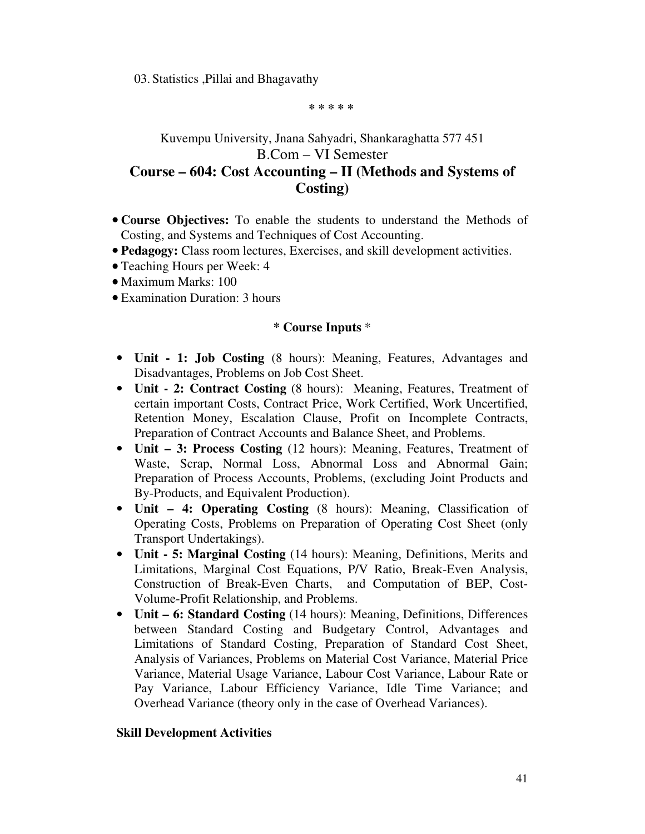03. Statistics ,Pillai and Bhagavathy

**\* \* \* \* \*** 

# Kuvempu University, Jnana Sahyadri, Shankaraghatta 577 451 B.Com – VI Semester **Course – 604: Cost Accounting – II (Methods and Systems of**

**Costing)** 

- **Course Objectives:** To enable the students to understand the Methods of Costing, and Systems and Techniques of Cost Accounting.
- **Pedagogy:** Class room lectures, Exercises, and skill development activities.
- Teaching Hours per Week: 4
- Maximum Marks: 100
- Examination Duration: 3 hours

### **\* Course Inputs** \*

- **Unit 1: Job Costing** (8 hours): Meaning, Features, Advantages and Disadvantages, Problems on Job Cost Sheet.
- **Unit 2: Contract Costing** (8 hours): Meaning, Features, Treatment of certain important Costs, Contract Price, Work Certified, Work Uncertified, Retention Money, Escalation Clause, Profit on Incomplete Contracts, Preparation of Contract Accounts and Balance Sheet, and Problems.
- **Unit 3: Process Costing** (12 hours): Meaning, Features, Treatment of Waste, Scrap, Normal Loss, Abnormal Loss and Abnormal Gain; Preparation of Process Accounts, Problems, (excluding Joint Products and By-Products, and Equivalent Production).
- **Unit 4: Operating Costing** (8 hours): Meaning, Classification of Operating Costs, Problems on Preparation of Operating Cost Sheet (only Transport Undertakings).
- **Unit 5: Marginal Costing** (14 hours): Meaning, Definitions, Merits and Limitations, Marginal Cost Equations, P/V Ratio, Break-Even Analysis, Construction of Break-Even Charts, and Computation of BEP, Cost-Volume-Profit Relationship, and Problems.
- **Unit 6: Standard Costing** (14 hours): Meaning, Definitions, Differences between Standard Costing and Budgetary Control, Advantages and Limitations of Standard Costing, Preparation of Standard Cost Sheet, Analysis of Variances, Problems on Material Cost Variance, Material Price Variance, Material Usage Variance, Labour Cost Variance, Labour Rate or Pay Variance, Labour Efficiency Variance, Idle Time Variance; and Overhead Variance (theory only in the case of Overhead Variances).

### **Skill Development Activities**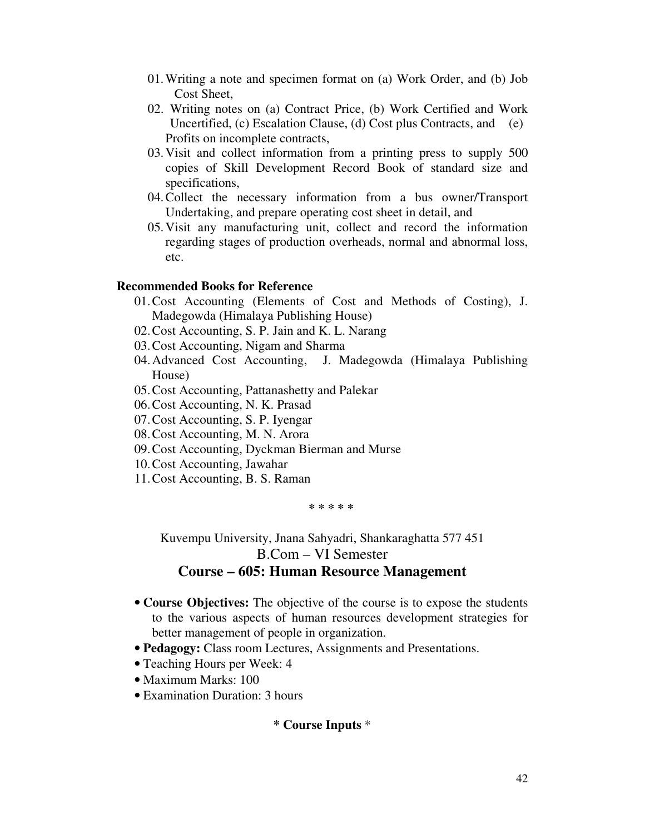- 01.Writing a note and specimen format on (a) Work Order, and (b) Job Cost Sheet,
- 02. Writing notes on (a) Contract Price, (b) Work Certified and Work Uncertified, (c) Escalation Clause, (d) Cost plus Contracts, and (e) Profits on incomplete contracts,
- 03.Visit and collect information from a printing press to supply 500 copies of Skill Development Record Book of standard size and specifications,
- 04.Collect the necessary information from a bus owner/Transport Undertaking, and prepare operating cost sheet in detail, and
- 05.Visit any manufacturing unit, collect and record the information regarding stages of production overheads, normal and abnormal loss, etc.

### **Recommended Books for Reference**

- 01.Cost Accounting (Elements of Cost and Methods of Costing), J. Madegowda (Himalaya Publishing House)
- 02.Cost Accounting, S. P. Jain and K. L. Narang
- 03.Cost Accounting, Nigam and Sharma
- 04.Advanced Cost Accounting, J. Madegowda (Himalaya Publishing House)
- 05.Cost Accounting, Pattanashetty and Palekar
- 06.Cost Accounting, N. K. Prasad
- 07.Cost Accounting, S. P. Iyengar
- 08.Cost Accounting, M. N. Arora
- 09.Cost Accounting, Dyckman Bierman and Murse
- 10.Cost Accounting, Jawahar
- 11.Cost Accounting, B. S. Raman

**\* \* \* \* \*** 

Kuvempu University, Jnana Sahyadri, Shankaraghatta 577 451 B.Com – VI Semester

# **Course – 605: Human Resource Management**

- **Course Objectives:** The objective of the course is to expose the students to the various aspects of human resources development strategies for better management of people in organization.
- **Pedagogy:** Class room Lectures, Assignments and Presentations.
- Teaching Hours per Week: 4
- Maximum Marks: 100
- Examination Duration: 3 hours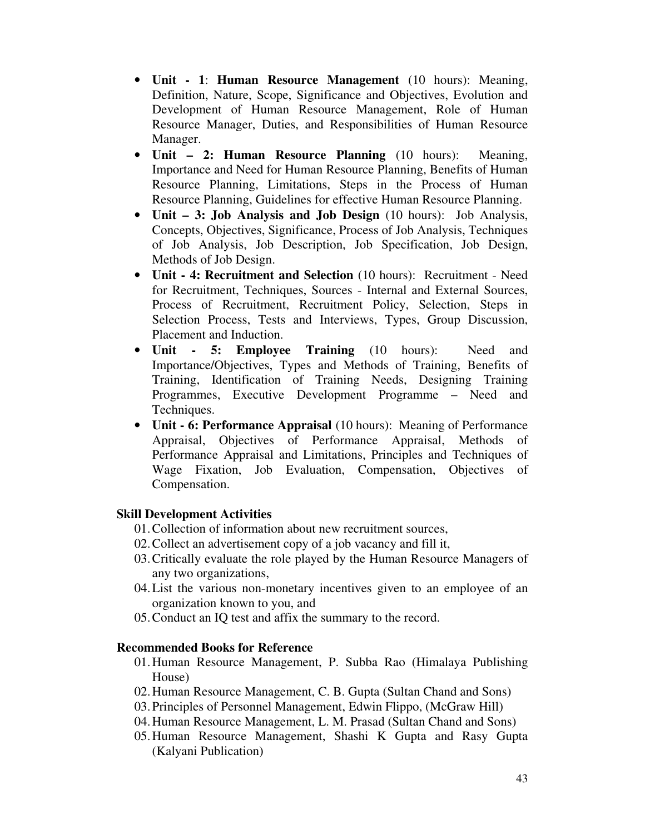- **Unit 1**: **Human Resource Management** (10 hours): Meaning, Definition, Nature, Scope, Significance and Objectives, Evolution and Development of Human Resource Management, Role of Human Resource Manager, Duties, and Responsibilities of Human Resource Manager.
- **Unit 2: Human Resource Planning** (10 hours): Meaning, Importance and Need for Human Resource Planning, Benefits of Human Resource Planning, Limitations, Steps in the Process of Human Resource Planning, Guidelines for effective Human Resource Planning.
- **Unit 3: Job Analysis and Job Design** (10 hours): Job Analysis, Concepts, Objectives, Significance, Process of Job Analysis, Techniques of Job Analysis, Job Description, Job Specification, Job Design, Methods of Job Design.
- **Unit 4: Recruitment and Selection** (10 hours): Recruitment Need for Recruitment, Techniques, Sources - Internal and External Sources, Process of Recruitment, Recruitment Policy, Selection, Steps in Selection Process, Tests and Interviews, Types, Group Discussion, Placement and Induction.
- **Unit 5: Employee Training** (10 hours): Need and Importance/Objectives, Types and Methods of Training, Benefits of Training, Identification of Training Needs, Designing Training Programmes, Executive Development Programme – Need and Techniques.
- **Unit 6: Performance Appraisal** (10 hours): Meaning of Performance Appraisal, Objectives of Performance Appraisal, Methods of Performance Appraisal and Limitations, Principles and Techniques of Wage Fixation, Job Evaluation, Compensation, Objectives of Compensation.

- 01.Collection of information about new recruitment sources,
- 02.Collect an advertisement copy of a job vacancy and fill it,
- 03.Critically evaluate the role played by the Human Resource Managers of any two organizations,
- 04.List the various non-monetary incentives given to an employee of an organization known to you, and
- 05.Conduct an IQ test and affix the summary to the record.

### **Recommended Books for Reference**

- 01.Human Resource Management, P. Subba Rao (Himalaya Publishing House)
- 02.Human Resource Management, C. B. Gupta (Sultan Chand and Sons)
- 03.Principles of Personnel Management, Edwin Flippo, (McGraw Hill)
- 04.Human Resource Management, L. M. Prasad (Sultan Chand and Sons)
- 05.Human Resource Management, Shashi K Gupta and Rasy Gupta (Kalyani Publication)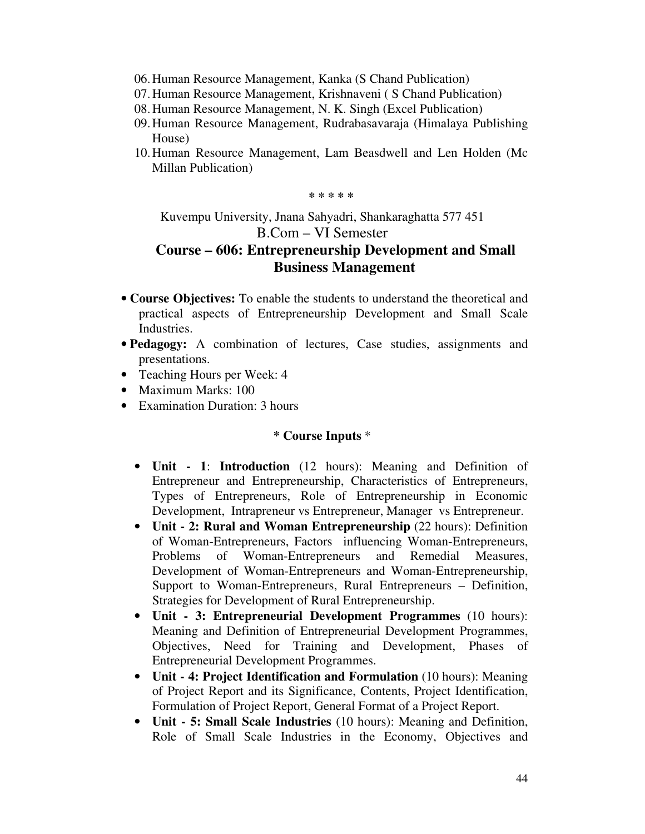- 06.Human Resource Management, Kanka (S Chand Publication)
- 07.Human Resource Management, Krishnaveni ( S Chand Publication)
- 08.Human Resource Management, N. K. Singh (Excel Publication)
- 09.Human Resource Management, Rudrabasavaraja (Himalaya Publishing House)
- 10.Human Resource Management, Lam Beasdwell and Len Holden (Mc Millan Publication)

**\* \* \* \* \*** 

Kuvempu University, Jnana Sahyadri, Shankaraghatta 577 451 B.Com – VI Semester

# **Course – 606: Entrepreneurship Development and Small Business Management**

- **Course Objectives:** To enable the students to understand the theoretical and practical aspects of Entrepreneurship Development and Small Scale Industries.
- **Pedagogy:** A combination of lectures, Case studies, assignments and presentations.
- Teaching Hours per Week: 4
- Maximum Marks: 100
- Examination Duration: 3 hours

- **Unit 1**: **Introduction** (12 hours): Meaning and Definition of Entrepreneur and Entrepreneurship, Characteristics of Entrepreneurs, Types of Entrepreneurs, Role of Entrepreneurship in Economic Development, Intrapreneur vs Entrepreneur, Manager vs Entrepreneur.
- **Unit 2: Rural and Woman Entrepreneurship** (22 hours): Definition of Woman-Entrepreneurs, Factors influencing Woman-Entrepreneurs, Problems of Woman-Entrepreneurs and Remedial Measures, Development of Woman-Entrepreneurs and Woman-Entrepreneurship, Support to Woman-Entrepreneurs, Rural Entrepreneurs – Definition, Strategies for Development of Rural Entrepreneurship.
- **Unit 3: Entrepreneurial Development Programmes** (10 hours): Meaning and Definition of Entrepreneurial Development Programmes, Objectives, Need for Training and Development, Phases of Entrepreneurial Development Programmes.
- **Unit 4: Project Identification and Formulation** (10 hours): Meaning of Project Report and its Significance, Contents, Project Identification, Formulation of Project Report, General Format of a Project Report.
- **Unit 5: Small Scale Industries** (10 hours): Meaning and Definition, Role of Small Scale Industries in the Economy, Objectives and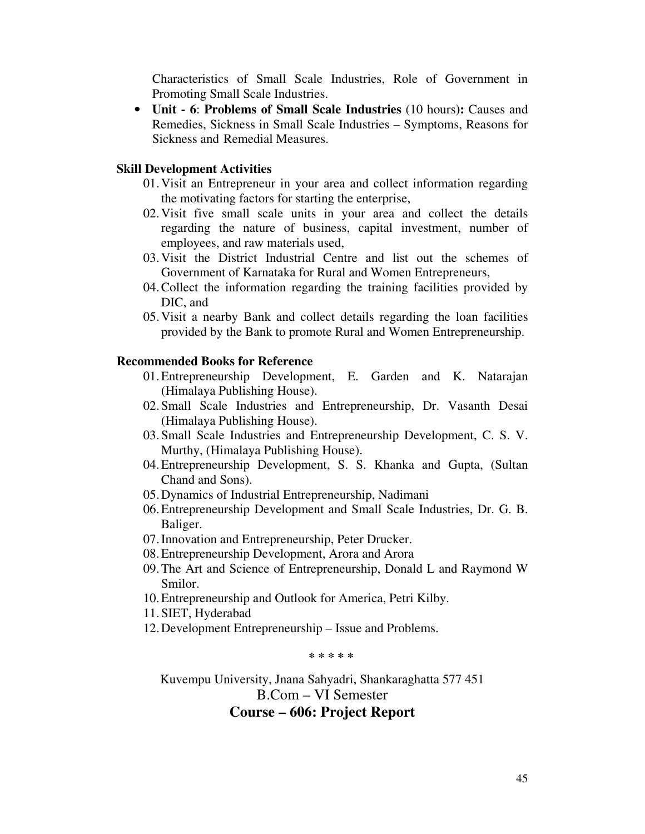Characteristics of Small Scale Industries, Role of Government in Promoting Small Scale Industries.

• **Unit - 6**: **Problems of Small Scale Industries** (10 hours**):** Causes and Remedies, Sickness in Small Scale Industries – Symptoms, Reasons for Sickness and Remedial Measures.

#### **Skill Development Activities**

- 01.Visit an Entrepreneur in your area and collect information regarding the motivating factors for starting the enterprise,
- 02.Visit five small scale units in your area and collect the details regarding the nature of business, capital investment, number of employees, and raw materials used,
- 03.Visit the District Industrial Centre and list out the schemes of Government of Karnataka for Rural and Women Entrepreneurs,
- 04.Collect the information regarding the training facilities provided by DIC, and
- 05.Visit a nearby Bank and collect details regarding the loan facilities provided by the Bank to promote Rural and Women Entrepreneurship.

### **Recommended Books for Reference**

- 01.Entrepreneurship Development, E. Garden and K. Natarajan (Himalaya Publishing House).
- 02.Small Scale Industries and Entrepreneurship, Dr. Vasanth Desai (Himalaya Publishing House).
- 03.Small Scale Industries and Entrepreneurship Development, C. S. V. Murthy, (Himalaya Publishing House).
- 04.Entrepreneurship Development, S. S. Khanka and Gupta, (Sultan Chand and Sons).
- 05.Dynamics of Industrial Entrepreneurship, Nadimani
- 06.Entrepreneurship Development and Small Scale Industries, Dr. G. B. Baliger.
- 07.Innovation and Entrepreneurship, Peter Drucker.
- 08.Entrepreneurship Development, Arora and Arora
- 09.The Art and Science of Entrepreneurship, Donald L and Raymond W Smilor.
- 10.Entrepreneurship and Outlook for America, Petri Kilby.
- 11.SIET, Hyderabad
- 12.Development Entrepreneurship Issue and Problems.

**\* \* \* \* \*** 

Kuvempu University, Jnana Sahyadri, Shankaraghatta 577 451

B.Com – VI Semester

## **Course – 606: Project Report**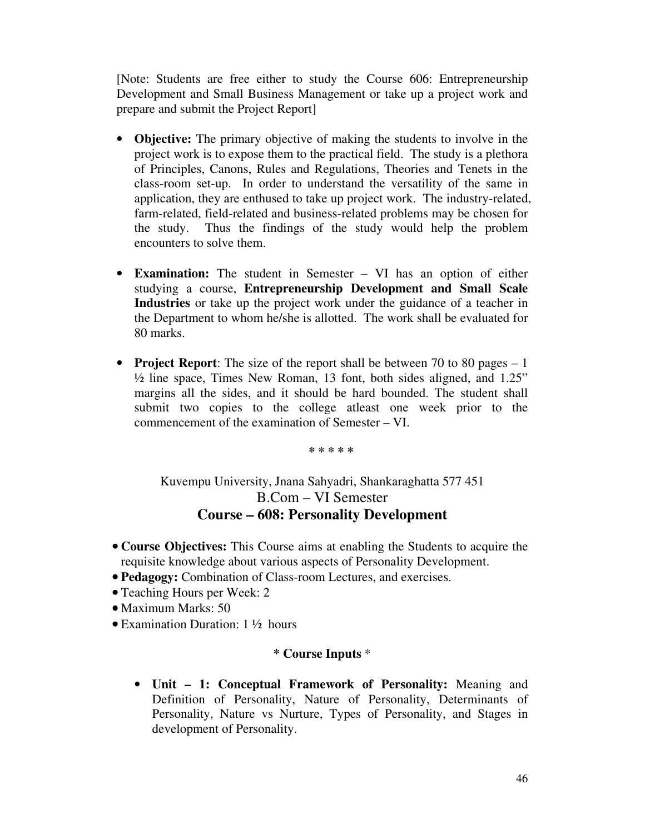[Note: Students are free either to study the Course 606: Entrepreneurship Development and Small Business Management or take up a project work and prepare and submit the Project Report]

- **Objective:** The primary objective of making the students to involve in the project work is to expose them to the practical field. The study is a plethora of Principles, Canons, Rules and Regulations, Theories and Tenets in the class-room set-up. In order to understand the versatility of the same in application, they are enthused to take up project work. The industry-related, farm-related, field-related and business-related problems may be chosen for the study. Thus the findings of the study would help the problem encounters to solve them.
- **Examination:** The student in Semester VI has an option of either studying a course, **Entrepreneurship Development and Small Scale Industries** or take up the project work under the guidance of a teacher in the Department to whom he/she is allotted. The work shall be evaluated for 80 marks.
- **Project Report**: The size of the report shall be between 70 to 80 pages 1 ½ line space, Times New Roman, 13 font, both sides aligned, and 1.25" margins all the sides, and it should be hard bounded. The student shall submit two copies to the college atleast one week prior to the commencement of the examination of Semester – VI.

**\* \* \* \* \*** 

Kuvempu University, Jnana Sahyadri, Shankaraghatta 577 451 B.Com – VI Semester **Course – 608: Personality Development** 

- **Course Objectives:** This Course aims at enabling the Students to acquire the requisite knowledge about various aspects of Personality Development.
- **Pedagogy:** Combination of Class-room Lectures, and exercises.
- Teaching Hours per Week: 2
- Maximum Marks: 50
- Examination Duration: 1 ½ hours

### **\* Course Inputs** \*

• **Unit – 1: Conceptual Framework of Personality:** Meaning and Definition of Personality, Nature of Personality, Determinants of Personality, Nature vs Nurture, Types of Personality, and Stages in development of Personality.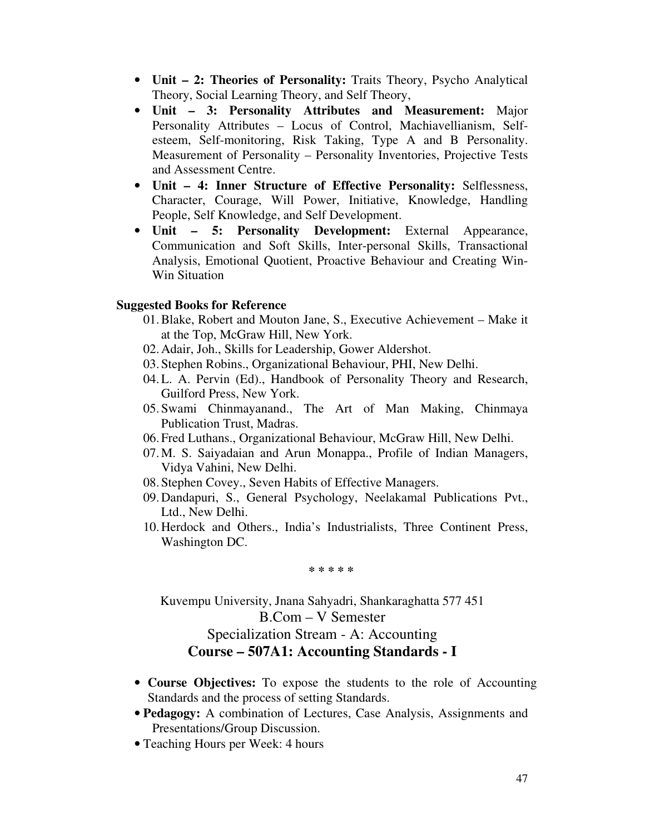- **Unit 2: Theories of Personality:** Traits Theory, Psycho Analytical Theory, Social Learning Theory, and Self Theory,
- **Unit 3: Personality Attributes and Measurement:** Major Personality Attributes – Locus of Control, Machiavellianism, Selfesteem, Self-monitoring, Risk Taking, Type A and B Personality. Measurement of Personality – Personality Inventories, Projective Tests and Assessment Centre.
- **Unit 4: Inner Structure of Effective Personality:** Selflessness, Character, Courage, Will Power, Initiative, Knowledge, Handling People, Self Knowledge, and Self Development.
- **Unit 5: Personality Development:** External Appearance, Communication and Soft Skills, Inter-personal Skills, Transactional Analysis, Emotional Quotient, Proactive Behaviour and Creating Win-Win Situation

### **Suggested Books for Reference**

- 01.Blake, Robert and Mouton Jane, S., Executive Achievement Make it at the Top, McGraw Hill, New York.
- 02.Adair, Joh., Skills for Leadership, Gower Aldershot.
- 03.Stephen Robins., Organizational Behaviour, PHI, New Delhi.
- 04.L. A. Pervin (Ed)., Handbook of Personality Theory and Research, Guilford Press, New York.
- 05.Swami Chinmayanand., The Art of Man Making, Chinmaya Publication Trust, Madras.
- 06.Fred Luthans., Organizational Behaviour, McGraw Hill, New Delhi.
- 07.M. S. Saiyadaian and Arun Monappa., Profile of Indian Managers, Vidya Vahini, New Delhi.
- 08.Stephen Covey., Seven Habits of Effective Managers.
- 09.Dandapuri, S., General Psychology, Neelakamal Publications Pvt., Ltd., New Delhi.
- 10.Herdock and Others., India's Industrialists, Three Continent Press, Washington DC.

**\* \* \* \* \*** 

Kuvempu University, Jnana Sahyadri, Shankaraghatta 577 451 B.Com – V Semester Specialization Stream - A: Accounting **Course – 507A1: Accounting Standards - I** 

- **Course Objectives:** To expose the students to the role of Accounting Standards and the process of setting Standards.
- **Pedagogy:** A combination of Lectures, Case Analysis, Assignments and Presentations/Group Discussion.
- Teaching Hours per Week: 4 hours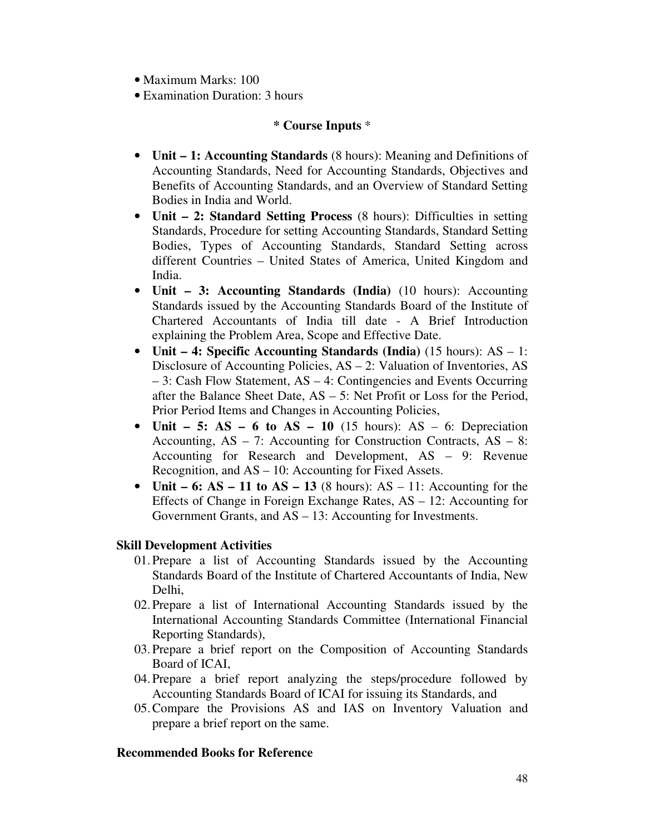- Maximum Marks: 100
- Examination Duration: 3 hours

# **\* Course Inputs** \*

- **Unit 1: Accounting Standards** (8 hours): Meaning and Definitions of Accounting Standards, Need for Accounting Standards, Objectives and Benefits of Accounting Standards, and an Overview of Standard Setting Bodies in India and World.
- **Unit 2: Standard Setting Process** (8 hours): Difficulties in setting Standards, Procedure for setting Accounting Standards, Standard Setting Bodies, Types of Accounting Standards, Standard Setting across different Countries – United States of America, United Kingdom and India.
- **Unit 3: Accounting Standards (India)** (10 hours): Accounting Standards issued by the Accounting Standards Board of the Institute of Chartered Accountants of India till date - A Brief Introduction explaining the Problem Area, Scope and Effective Date.
- **Unit 4: Specific Accounting Standards (India)** (15 hours): AS 1: Disclosure of Accounting Policies, AS – 2: Valuation of Inventories, AS – 3: Cash Flow Statement, AS – 4: Contingencies and Events Occurring after the Balance Sheet Date, AS – 5: Net Profit or Loss for the Period, Prior Period Items and Changes in Accounting Policies,
- **Unit 5:** AS 6 to AS 10 (15 hours): AS 6: Depreciation Accounting,  $AS - 7$ : Accounting for Construction Contracts,  $AS - 8$ : Accounting for Research and Development, AS – 9: Revenue Recognition, and AS – 10: Accounting for Fixed Assets.
- **Unit 6:** AS 11 to AS 13  $(8 \text{ hours})$ : AS 11: Accounting for the Effects of Change in Foreign Exchange Rates, AS – 12: Accounting for Government Grants, and AS – 13: Accounting for Investments.

# **Skill Development Activities**

- 01.Prepare a list of Accounting Standards issued by the Accounting Standards Board of the Institute of Chartered Accountants of India, New Delhi,
- 02.Prepare a list of International Accounting Standards issued by the International Accounting Standards Committee (International Financial Reporting Standards),
- 03.Prepare a brief report on the Composition of Accounting Standards Board of ICAI,
- 04.Prepare a brief report analyzing the steps/procedure followed by Accounting Standards Board of ICAI for issuing its Standards, and
- 05.Compare the Provisions AS and IAS on Inventory Valuation and prepare a brief report on the same.

### **Recommended Books for Reference**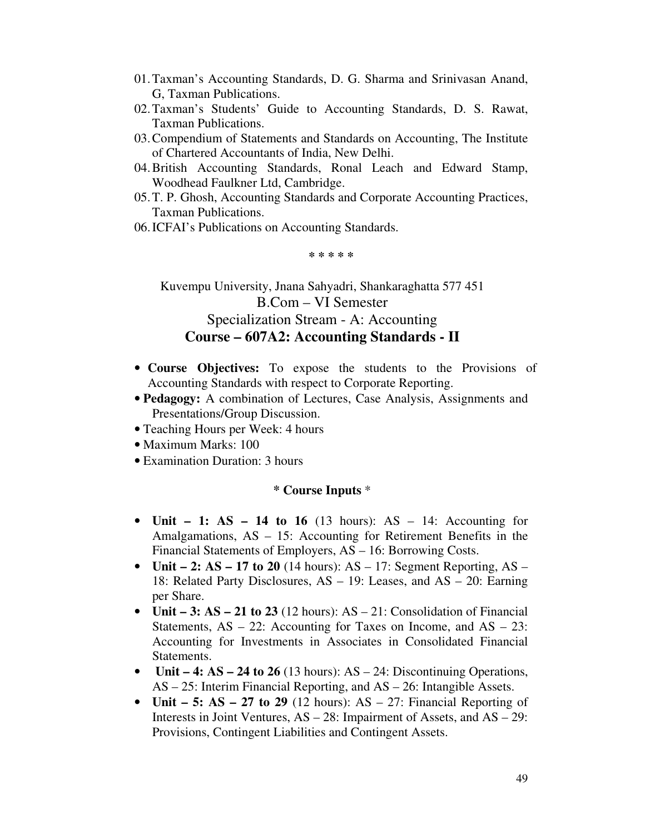- 01.Taxman's Accounting Standards, D. G. Sharma and Srinivasan Anand, G, Taxman Publications.
- 02.Taxman's Students' Guide to Accounting Standards, D. S. Rawat, Taxman Publications.
- 03.Compendium of Statements and Standards on Accounting, The Institute of Chartered Accountants of India, New Delhi.
- 04.British Accounting Standards, Ronal Leach and Edward Stamp, Woodhead Faulkner Ltd, Cambridge.
- 05.T. P. Ghosh, Accounting Standards and Corporate Accounting Practices, Taxman Publications.
- 06.ICFAI's Publications on Accounting Standards.

**\* \* \* \* \*** 

Kuvempu University, Jnana Sahyadri, Shankaraghatta 577 451 B.Com – VI Semester Specialization Stream - A: Accounting **Course – 607A2: Accounting Standards - II** 

- **Course Objectives:** To expose the students to the Provisions of Accounting Standards with respect to Corporate Reporting.
- **Pedagogy:** A combination of Lectures, Case Analysis, Assignments and Presentations/Group Discussion.
- Teaching Hours per Week: 4 hours
- Maximum Marks: 100
- Examination Duration: 3 hours

- **Unit 1: AS 14 to 16** (13 hours): AS 14: Accounting for Amalgamations, AS – 15: Accounting for Retirement Benefits in the Financial Statements of Employers, AS – 16: Borrowing Costs.
- **Unit 2: AS 17 to 20** (14 hours):  $AS 17$ : Segment Reporting,  $AS -$ 18: Related Party Disclosures, AS – 19: Leases, and AS – 20: Earning per Share.
- **Unit 3: AS 21 to 23** (12 hours): AS 21: Consolidation of Financial Statements,  $AS - 22$ : Accounting for Taxes on Income, and  $AS - 23$ : Accounting for Investments in Associates in Consolidated Financial Statements.
- **Unit 4: AS 24 to 26** (13 hours): AS 24: Discontinuing Operations, AS – 25: Interim Financial Reporting, and AS – 26: Intangible Assets.
- **Unit 5: AS 27 to 29** (12 hours): AS 27: Financial Reporting of Interests in Joint Ventures, AS – 28: Impairment of Assets, and AS – 29: Provisions, Contingent Liabilities and Contingent Assets.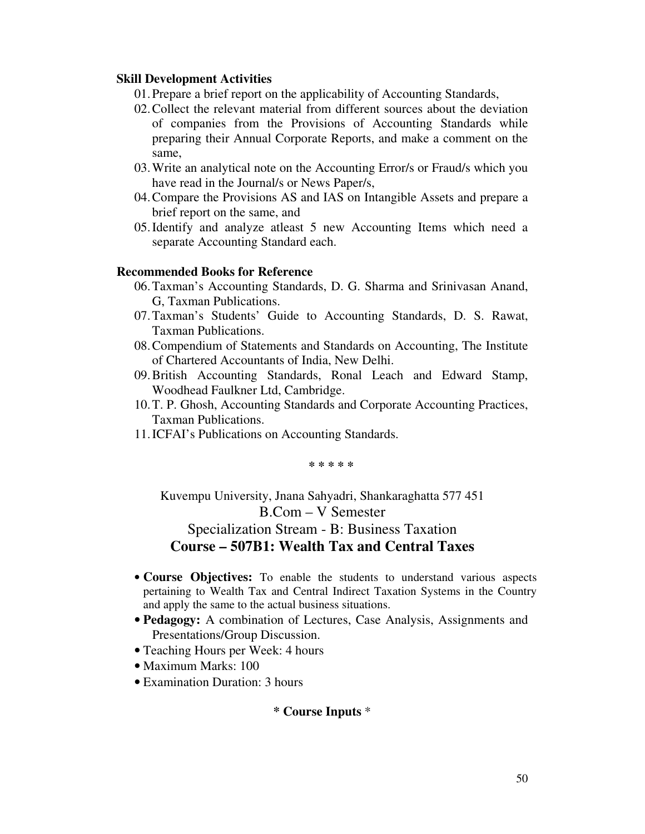- 01.Prepare a brief report on the applicability of Accounting Standards,
- 02.Collect the relevant material from different sources about the deviation of companies from the Provisions of Accounting Standards while preparing their Annual Corporate Reports, and make a comment on the same,
- 03.Write an analytical note on the Accounting Error/s or Fraud/s which you have read in the Journal/s or News Paper/s,
- 04.Compare the Provisions AS and IAS on Intangible Assets and prepare a brief report on the same, and
- 05.Identify and analyze atleast 5 new Accounting Items which need a separate Accounting Standard each.

#### **Recommended Books for Reference**

- 06.Taxman's Accounting Standards, D. G. Sharma and Srinivasan Anand, G, Taxman Publications.
- 07.Taxman's Students' Guide to Accounting Standards, D. S. Rawat, Taxman Publications.
- 08.Compendium of Statements and Standards on Accounting, The Institute of Chartered Accountants of India, New Delhi.
- 09.British Accounting Standards, Ronal Leach and Edward Stamp, Woodhead Faulkner Ltd, Cambridge.
- 10.T. P. Ghosh, Accounting Standards and Corporate Accounting Practices, Taxman Publications.
- 11.ICFAI's Publications on Accounting Standards.

**\* \* \* \* \*** 

Kuvempu University, Jnana Sahyadri, Shankaraghatta 577 451 B.Com – V Semester Specialization Stream - B: Business Taxation **Course – 507B1: Wealth Tax and Central Taxes** 

- **Course Objectives:** To enable the students to understand various aspects pertaining to Wealth Tax and Central Indirect Taxation Systems in the Country and apply the same to the actual business situations.
- **Pedagogy:** A combination of Lectures, Case Analysis, Assignments and Presentations/Group Discussion.
- Teaching Hours per Week: 4 hours
- Maximum Marks: 100
- Examination Duration: 3 hours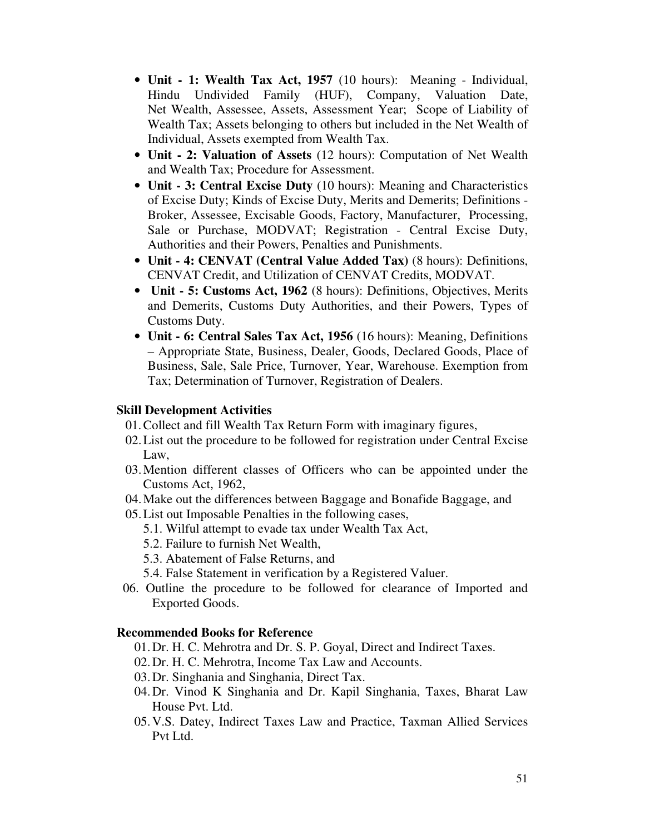- **Unit 1: Wealth Tax Act, 1957** (10 hours):Meaning Individual, Hindu Undivided Family (HUF), Company, Valuation Date, Net Wealth, Assessee, Assets, Assessment Year; Scope of Liability of Wealth Tax; Assets belonging to others but included in the Net Wealth of Individual, Assets exempted from Wealth Tax.
- **Unit 2: Valuation of Assets** (12 hours): Computation of Net Wealth and Wealth Tax; Procedure for Assessment.
- **Unit 3: Central Excise Duty** (10 hours): Meaning and Characteristics of Excise Duty; Kinds of Excise Duty, Merits and Demerits; Definitions - Broker, Assessee, Excisable Goods, Factory, Manufacturer, Processing, Sale or Purchase, MODVAT; Registration - Central Excise Duty, Authorities and their Powers, Penalties and Punishments.
- **Unit 4: CENVAT (Central Value Added Tax)** (8 hours): Definitions, CENVAT Credit, and Utilization of CENVAT Credits, MODVAT.
- • **Unit 5: Customs Act, 1962** (8 hours): Definitions, Objectives, Merits and Demerits, Customs Duty Authorities, and their Powers, Types of Customs Duty.
- **Unit 6: Central Sales Tax Act, 1956** (16 hours): Meaning, Definitions – Appropriate State, Business, Dealer, Goods, Declared Goods, Place of Business, Sale, Sale Price, Turnover, Year, Warehouse. Exemption from Tax; Determination of Turnover, Registration of Dealers.

- 01.Collect and fill Wealth Tax Return Form with imaginary figures,
- 02.List out the procedure to be followed for registration under Central Excise Law,
- 03.Mention different classes of Officers who can be appointed under the Customs Act, 1962,
- 04.Make out the differences between Baggage and Bonafide Baggage, and
- 05.List out Imposable Penalties in the following cases,
	- 5.1. Wilful attempt to evade tax under Wealth Tax Act,
	- 5.2. Failure to furnish Net Wealth,
	- 5.3. Abatement of False Returns, and
	- 5.4. False Statement in verification by a Registered Valuer.
- 06. Outline the procedure to be followed for clearance of Imported and Exported Goods.

### **Recommended Books for Reference**

- 01.Dr. H. C. Mehrotra and Dr. S. P. Goyal, Direct and Indirect Taxes.
- 02.Dr. H. C. Mehrotra, Income Tax Law and Accounts.
- 03.Dr. Singhania and Singhania, Direct Tax.
- 04.Dr. Vinod K Singhania and Dr. Kapil Singhania, Taxes, Bharat Law House Pvt. Ltd.
- 05.V.S. Datey, Indirect Taxes Law and Practice, Taxman Allied Services Pvt Ltd.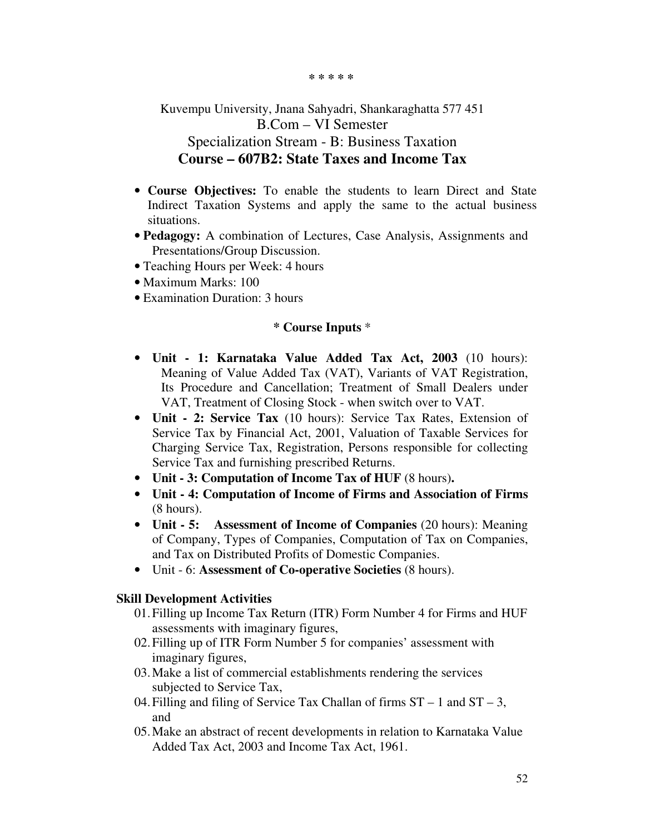**\* \* \* \* \*** 

Kuvempu University, Jnana Sahyadri, Shankaraghatta 577 451 B.Com – VI Semester Specialization Stream - B: Business Taxation **Course – 607B2: State Taxes and Income Tax** 

- **Course Objectives:** To enable the students to learn Direct and State Indirect Taxation Systems and apply the same to the actual business situations.
- **Pedagogy:** A combination of Lectures, Case Analysis, Assignments and Presentations/Group Discussion.
- Teaching Hours per Week: 4 hours
- Maximum Marks: 100
- Examination Duration: 3 hours

### **\* Course Inputs** \*

- **Unit 1: Karnataka Value Added Tax Act, 2003** (10 hours): Meaning of Value Added Tax (VAT), Variants of VAT Registration, Its Procedure and Cancellation; Treatment of Small Dealers under VAT, Treatment of Closing Stock - when switch over to VAT.
- **Unit 2: Service Tax** (10 hours): Service Tax Rates, Extension of Service Tax by Financial Act, 2001, Valuation of Taxable Services for Charging Service Tax, Registration, Persons responsible for collecting Service Tax and furnishing prescribed Returns.
- **Unit 3: Computation of Income Tax of HUF** (8 hours)**.**
- **Unit 4: Computation of Income of Firms and Association of Firms** (8 hours).
- **Unit 5: Assessment of Income of Companies** (20 hours): Meaning of Company, Types of Companies, Computation of Tax on Companies, and Tax on Distributed Profits of Domestic Companies.
- Unit 6: **Assessment of Co-operative Societies** (8 hours).

### **Skill Development Activities**

- 01.Filling up Income Tax Return (ITR) Form Number 4 for Firms and HUF assessments with imaginary figures,
- 02.Filling up of ITR Form Number 5 for companies' assessment with imaginary figures,
- 03.Make a list of commercial establishments rendering the services subjected to Service Tax,
- 04. Filling and filing of Service Tax Challan of firms  $ST 1$  and  $ST 3$ , and
- 05.Make an abstract of recent developments in relation to Karnataka Value Added Tax Act, 2003 and Income Tax Act, 1961.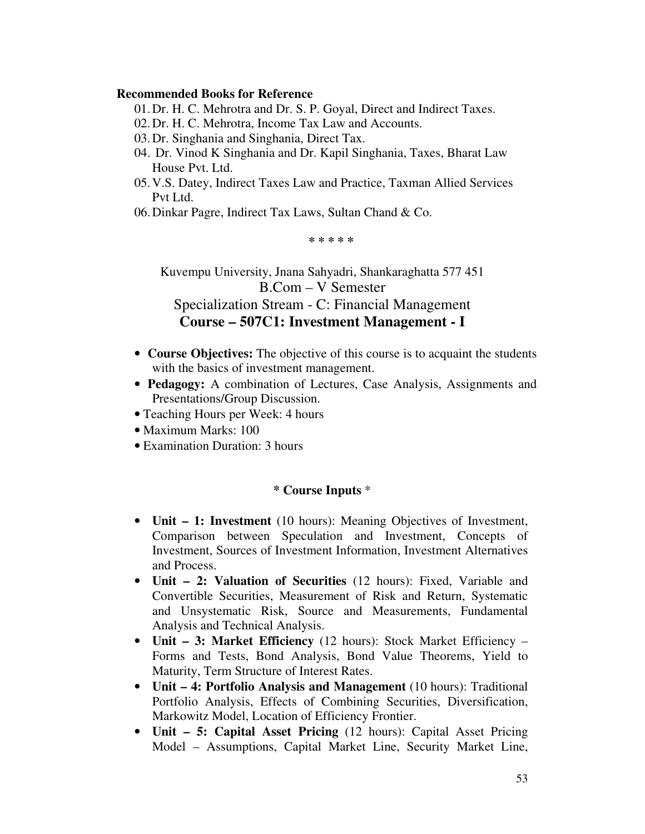### **Recommended Books for Reference**

- 01.Dr. H. C. Mehrotra and Dr. S. P. Goyal, Direct and Indirect Taxes.
- 02.Dr. H. C. Mehrotra, Income Tax Law and Accounts.
- 03.Dr. Singhania and Singhania, Direct Tax.
- 04. Dr. Vinod K Singhania and Dr. Kapil Singhania, Taxes, Bharat Law House Pvt. Ltd.
- 05.V.S. Datey, Indirect Taxes Law and Practice, Taxman Allied Services Pvt Ltd.
- 06.Dinkar Pagre, Indirect Tax Laws, Sultan Chand & Co.

**\* \* \* \* \*** 

Kuvempu University, Jnana Sahyadri, Shankaraghatta 577 451 B.Com – V Semester Specialization Stream - C: Financial Management **Course – 507C1: Investment Management - I** 

- **Course Objectives:** The objective of this course is to acquaint the students with the basics of investment management.
- **Pedagogy:** A combination of Lectures, Case Analysis, Assignments and Presentations/Group Discussion.
- Teaching Hours per Week: 4 hours
- Maximum Marks: 100
- Examination Duration: 3 hours

- **Unit 1: Investment** (10 hours): Meaning Objectives of Investment, Comparison between Speculation and Investment, Concepts of Investment, Sources of Investment Information, Investment Alternatives and Process.
- **Unit 2: Valuation of Securities** (12 hours): Fixed, Variable and Convertible Securities, Measurement of Risk and Return, Systematic and Unsystematic Risk, Source and Measurements, Fundamental Analysis and Technical Analysis.
- **Unit 3: Market Efficiency** (12 hours): Stock Market Efficiency Forms and Tests, Bond Analysis, Bond Value Theorems, Yield to Maturity, Term Structure of Interest Rates.
- **Unit 4: Portfolio Analysis and Management** (10 hours): Traditional Portfolio Analysis, Effects of Combining Securities, Diversification, Markowitz Model, Location of Efficiency Frontier.
- **Unit 5: Capital Asset Pricing** (12 hours): Capital Asset Pricing Model – Assumptions, Capital Market Line, Security Market Line,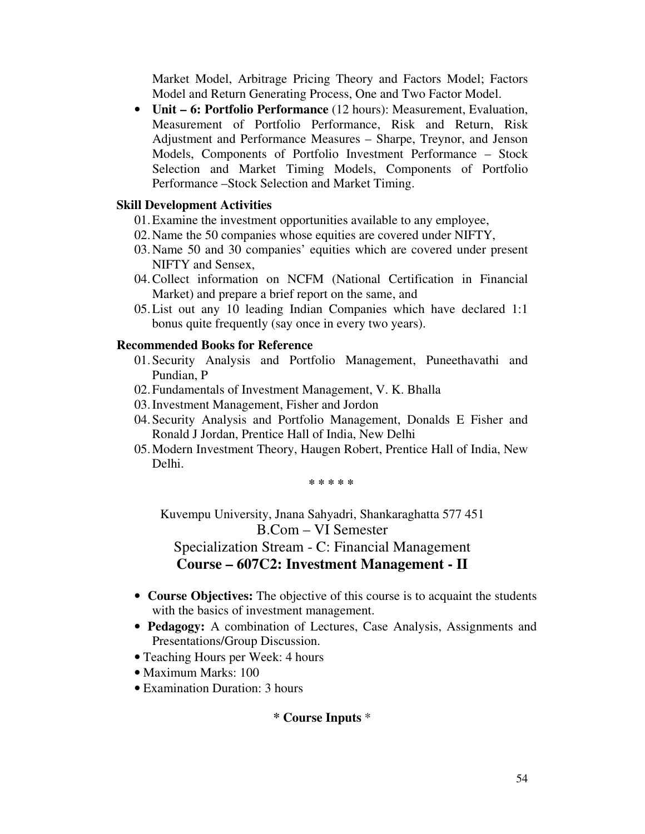Market Model, Arbitrage Pricing Theory and Factors Model; Factors Model and Return Generating Process, One and Two Factor Model.

• **Unit – 6: Portfolio Performance** (12 hours): Measurement, Evaluation, Measurement of Portfolio Performance, Risk and Return, Risk Adjustment and Performance Measures – Sharpe, Treynor, and Jenson Models, Components of Portfolio Investment Performance – Stock Selection and Market Timing Models, Components of Portfolio Performance –Stock Selection and Market Timing.

### **Skill Development Activities**

- 01.Examine the investment opportunities available to any employee,
- 02.Name the 50 companies whose equities are covered under NIFTY,
- 03.Name 50 and 30 companies' equities which are covered under present NIFTY and Sensex,
- 04.Collect information on NCFM (National Certification in Financial Market) and prepare a brief report on the same, and
- 05.List out any 10 leading Indian Companies which have declared 1:1 bonus quite frequently (say once in every two years).

### **Recommended Books for Reference**

- 01.Security Analysis and Portfolio Management, Puneethavathi and Pundian, P
- 02.Fundamentals of Investment Management, V. K. Bhalla
- 03.Investment Management, Fisher and Jordon
- 04.Security Analysis and Portfolio Management, Donalds E Fisher and Ronald J Jordan, Prentice Hall of India, New Delhi
- 05.Modern Investment Theory, Haugen Robert, Prentice Hall of India, New Delhi.

**\* \* \* \* \*** 

Kuvempu University, Jnana Sahyadri, Shankaraghatta 577 451 B.Com – VI Semester Specialization Stream - C: Financial Management

**Course – 607C2: Investment Management - II** 

- **Course Objectives:** The objective of this course is to acquaint the students with the basics of investment management.
- **Pedagogy:** A combination of Lectures, Case Analysis, Assignments and Presentations/Group Discussion.
- Teaching Hours per Week: 4 hours
- Maximum Marks: 100
- Examination Duration: 3 hours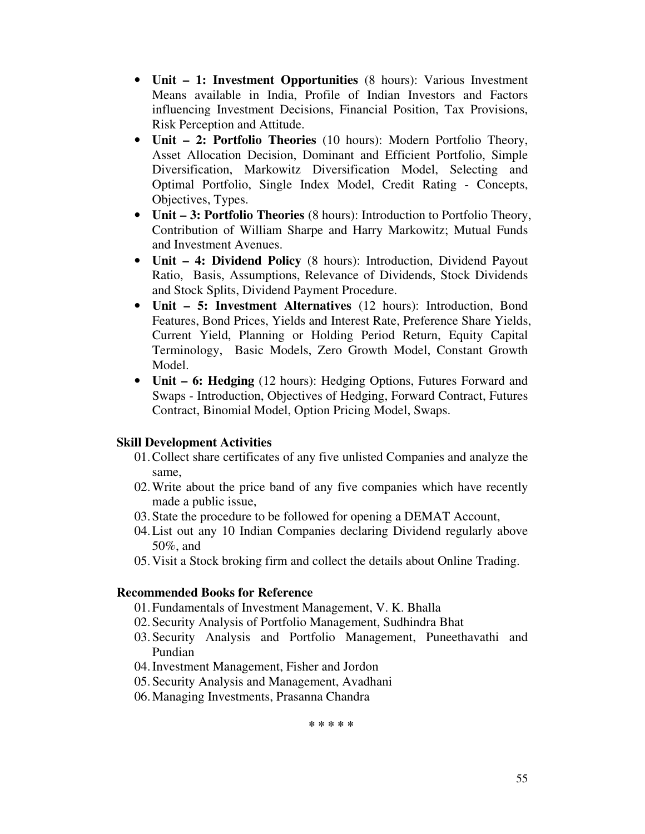- **Unit 1: Investment Opportunities** (8 hours): Various Investment Means available in India, Profile of Indian Investors and Factors influencing Investment Decisions, Financial Position, Tax Provisions, Risk Perception and Attitude.
- **Unit 2: Portfolio Theories** (10 hours): Modern Portfolio Theory, Asset Allocation Decision, Dominant and Efficient Portfolio, Simple Diversification, Markowitz Diversification Model, Selecting and Optimal Portfolio, Single Index Model, Credit Rating - Concepts, Objectives, Types.
- **Unit 3: Portfolio Theories** (8 hours): Introduction to Portfolio Theory, Contribution of William Sharpe and Harry Markowitz; Mutual Funds and Investment Avenues.
- **Unit 4: Dividend Policy** (8 hours): Introduction, Dividend Payout Ratio, Basis, Assumptions, Relevance of Dividends, Stock Dividends and Stock Splits, Dividend Payment Procedure.
- **Unit 5: Investment Alternatives** (12 hours): Introduction, Bond Features, Bond Prices, Yields and Interest Rate, Preference Share Yields, Current Yield, Planning or Holding Period Return, Equity Capital Terminology, Basic Models, Zero Growth Model, Constant Growth Model.
- **Unit 6: Hedging** (12 hours): Hedging Options, Futures Forward and Swaps - Introduction, Objectives of Hedging, Forward Contract, Futures Contract, Binomial Model, Option Pricing Model, Swaps.

- 01.Collect share certificates of any five unlisted Companies and analyze the same,
- 02.Write about the price band of any five companies which have recently made a public issue,
- 03.State the procedure to be followed for opening a DEMAT Account,
- 04.List out any 10 Indian Companies declaring Dividend regularly above 50%, and
- 05.Visit a Stock broking firm and collect the details about Online Trading.

# **Recommended Books for Reference**

- 01.Fundamentals of Investment Management, V. K. Bhalla
- 02.Security Analysis of Portfolio Management, Sudhindra Bhat
- 03.Security Analysis and Portfolio Management, Puneethavathi and Pundian
- 04.Investment Management, Fisher and Jordon
- 05.Security Analysis and Management, Avadhani
- 06.Managing Investments, Prasanna Chandra

**\* \* \* \* \***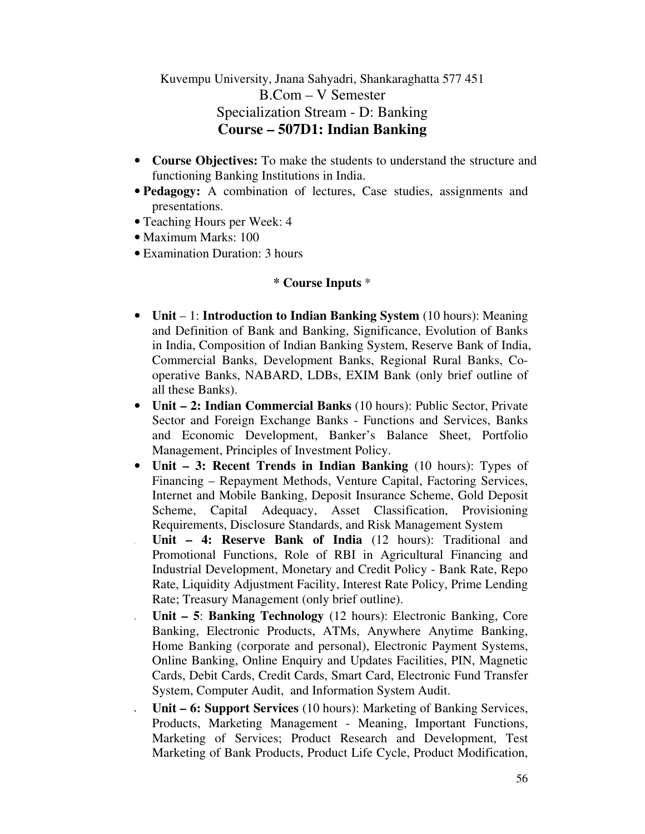Kuvempu University, Jnana Sahyadri, Shankaraghatta 577 451 B.Com – V Semester Specialization Stream - D: Banking **Course – 507D1: Indian Banking** 

- **Course Objectives:** To make the students to understand the structure and functioning Banking Institutions in India.
- **Pedagogy:** A combination of lectures, Case studies, assignments and presentations.
- Teaching Hours per Week: 4
- Maximum Marks: 100
- Examination Duration: 3 hours

- **Unit** 1: **Introduction to Indian Banking System** (10 hours): Meaning and Definition of Bank and Banking, Significance, Evolution of Banks in India, Composition of Indian Banking System, Reserve Bank of India, Commercial Banks, Development Banks, Regional Rural Banks, Cooperative Banks, NABARD, LDBs, EXIM Bank (only brief outline of all these Banks).
- **Unit 2: Indian Commercial Banks** (10 hours): Public Sector, Private Sector and Foreign Exchange Banks - Functions and Services, Banks and Economic Development, Banker's Balance Sheet, Portfolio Management, Principles of Investment Policy.
- **Unit 3: Recent Trends in Indian Banking** (10 hours): Types of Financing – Repayment Methods, Venture Capital, Factoring Services, Internet and Mobile Banking, Deposit Insurance Scheme, Gold Deposit Scheme, Capital Adequacy, Asset Classification, Provisioning Requirements, Disclosure Standards, and Risk Management System
- **Unit 4: Reserve Bank of India** (12 hours): Traditional and Promotional Functions, Role of RBI in Agricultural Financing and Industrial Development, Monetary and Credit Policy - Bank Rate, Repo Rate, Liquidity Adjustment Facility, Interest Rate Policy, Prime Lending Rate; Treasury Management (only brief outline).
- **Unit 5**: **Banking Technology** (12 hours): Electronic Banking, Core Banking, Electronic Products, ATMs, Anywhere Anytime Banking, Home Banking (corporate and personal), Electronic Payment Systems, Online Banking, Online Enquiry and Updates Facilities, PIN, Magnetic Cards, Debit Cards, Credit Cards, Smart Card, Electronic Fund Transfer System, Computer Audit, and Information System Audit.
- **Unit 6: Support Services** (10 hours): Marketing of Banking Services, Products, Marketing Management - Meaning, Important Functions, Marketing of Services; Product Research and Development, Test Marketing of Bank Products, Product Life Cycle, Product Modification,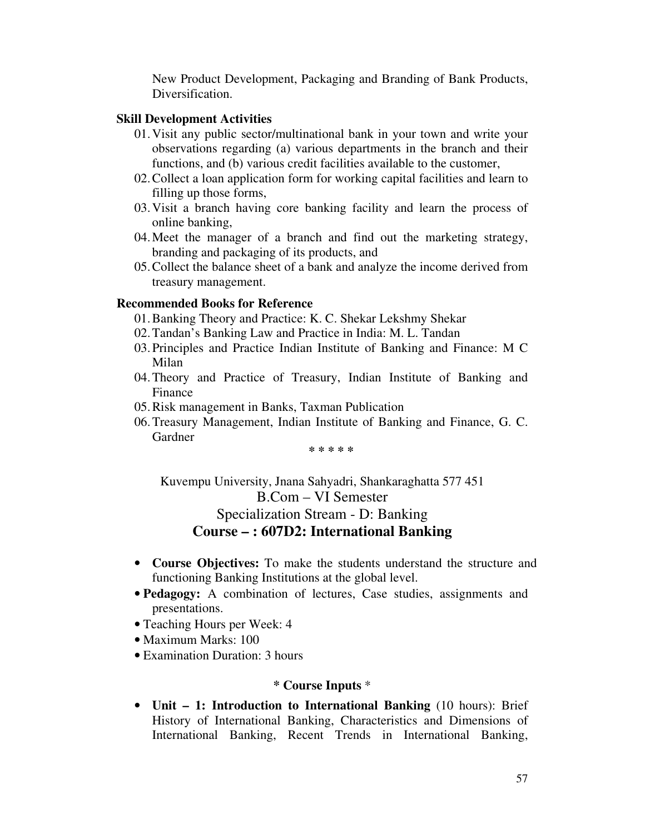New Product Development, Packaging and Branding of Bank Products, Diversification.

#### **Skill Development Activities**

- 01.Visit any public sector/multinational bank in your town and write your observations regarding (a) various departments in the branch and their functions, and (b) various credit facilities available to the customer,
- 02.Collect a loan application form for working capital facilities and learn to filling up those forms,
- 03.Visit a branch having core banking facility and learn the process of online banking,
- 04.Meet the manager of a branch and find out the marketing strategy, branding and packaging of its products, and
- 05.Collect the balance sheet of a bank and analyze the income derived from treasury management.

#### **Recommended Books for Reference**

- 01.Banking Theory and Practice: K. C. Shekar Lekshmy Shekar
- 02.Tandan's Banking Law and Practice in India: M. L. Tandan
- 03.Principles and Practice Indian Institute of Banking and Finance: M C Milan
- 04.Theory and Practice of Treasury, Indian Institute of Banking and Finance
- 05.Risk management in Banks, Taxman Publication
- 06.Treasury Management, Indian Institute of Banking and Finance, G. C. Gardner

**\* \* \* \* \*** 

Kuvempu University, Jnana Sahyadri, Shankaraghatta 577 451 B.Com – VI Semester Specialization Stream - D: Banking **Course – : 607D2: International Banking** 

- **Course Objectives:** To make the students understand the structure and functioning Banking Institutions at the global level.
- **Pedagogy:** A combination of lectures, Case studies, assignments and presentations.
- Teaching Hours per Week: 4
- Maximum Marks: 100
- Examination Duration: 3 hours

### **\* Course Inputs** \*

• **Unit – 1: Introduction to International Banking** (10 hours): Brief History of International Banking, Characteristics and Dimensions of International Banking, Recent Trends in International Banking,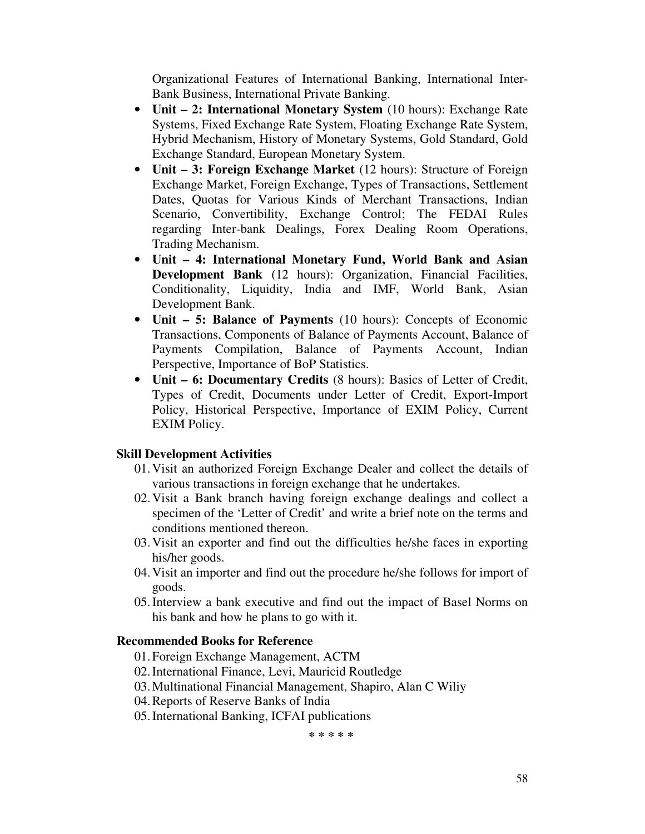Organizational Features of International Banking, International Inter-Bank Business, International Private Banking.

- **Unit 2: International Monetary System** (10 hours): Exchange Rate Systems, Fixed Exchange Rate System, Floating Exchange Rate System, Hybrid Mechanism, History of Monetary Systems, Gold Standard, Gold Exchange Standard, European Monetary System.
- **Unit 3: Foreign Exchange Market** (12 hours): Structure of Foreign Exchange Market, Foreign Exchange, Types of Transactions, Settlement Dates, Quotas for Various Kinds of Merchant Transactions, Indian Scenario, Convertibility, Exchange Control; The FEDAI Rules regarding Inter-bank Dealings, Forex Dealing Room Operations, Trading Mechanism.
- **Unit 4: International Monetary Fund, World Bank and Asian Development Bank** (12 hours): Organization, Financial Facilities, Conditionality, Liquidity, India and IMF, World Bank, Asian Development Bank.
- **Unit 5: Balance of Payments** (10 hours): Concepts of Economic Transactions, Components of Balance of Payments Account, Balance of Payments Compilation, Balance of Payments Account, Indian Perspective, Importance of BoP Statistics.
- **Unit 6: Documentary Credits** (8 hours): Basics of Letter of Credit, Types of Credit, Documents under Letter of Credit, Export-Import Policy, Historical Perspective, Importance of EXIM Policy, Current EXIM Policy.

# **Skill Development Activities**

- 01.Visit an authorized Foreign Exchange Dealer and collect the details of various transactions in foreign exchange that he undertakes.
- 02.Visit a Bank branch having foreign exchange dealings and collect a specimen of the 'Letter of Credit' and write a brief note on the terms and conditions mentioned thereon.
- 03.Visit an exporter and find out the difficulties he/she faces in exporting his/her goods.
- 04.Visit an importer and find out the procedure he/she follows for import of goods.
- 05.Interview a bank executive and find out the impact of Basel Norms on his bank and how he plans to go with it.

### **Recommended Books for Reference**

- 01.Foreign Exchange Management, ACTM
- 02.International Finance, Levi, Mauricid Routledge
- 03.Multinational Financial Management, Shapiro, Alan C Wiliy
- 04.Reports of Reserve Banks of India
- 05.International Banking, ICFAI publications

**\* \* \* \* \***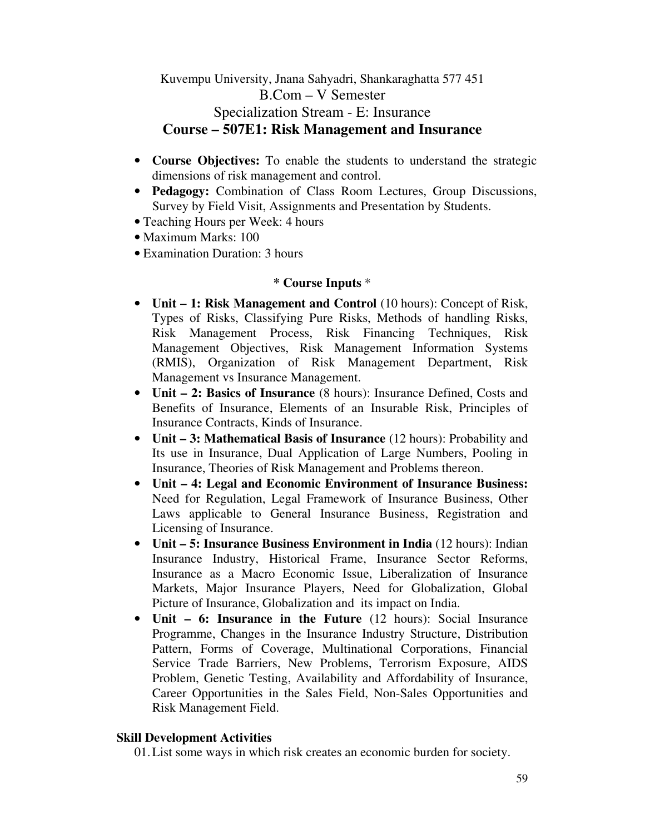Kuvempu University, Jnana Sahyadri, Shankaraghatta 577 451 B.Com – V Semester Specialization Stream - E: Insurance **Course – 507E1: Risk Management and Insurance** 

- **Course Objectives:** To enable the students to understand the strategic dimensions of risk management and control.
- **Pedagogy:** Combination of Class Room Lectures, Group Discussions, Survey by Field Visit, Assignments and Presentation by Students.
- Teaching Hours per Week: 4 hours
- Maximum Marks: 100
- Examination Duration: 3 hours

### **\* Course Inputs** \*

- **Unit 1: Risk Management and Control** (10 hours): Concept of Risk, Types of Risks, Classifying Pure Risks, Methods of handling Risks, Risk Management Process, Risk Financing Techniques, Risk Management Objectives, Risk Management Information Systems (RMIS), Organization of Risk Management Department, Risk Management vs Insurance Management.
- **Unit 2: Basics of Insurance** (8 hours): Insurance Defined, Costs and Benefits of Insurance, Elements of an Insurable Risk, Principles of Insurance Contracts, Kinds of Insurance.
- **Unit 3: Mathematical Basis of Insurance** (12 hours): Probability and Its use in Insurance, Dual Application of Large Numbers, Pooling in Insurance, Theories of Risk Management and Problems thereon.
- **Unit 4: Legal and Economic Environment of Insurance Business:**  Need for Regulation, Legal Framework of Insurance Business, Other Laws applicable to General Insurance Business, Registration and Licensing of Insurance.
- **Unit 5: Insurance Business Environment in India** (12 hours): Indian Insurance Industry, Historical Frame, Insurance Sector Reforms, Insurance as a Macro Economic Issue, Liberalization of Insurance Markets, Major Insurance Players, Need for Globalization, Global Picture of Insurance, Globalization and its impact on India.
- **Unit 6: Insurance in the Future** (12 hours): Social Insurance Programme, Changes in the Insurance Industry Structure, Distribution Pattern, Forms of Coverage, Multinational Corporations, Financial Service Trade Barriers, New Problems, Terrorism Exposure, AIDS Problem, Genetic Testing, Availability and Affordability of Insurance, Career Opportunities in the Sales Field, Non-Sales Opportunities and Risk Management Field.

### **Skill Development Activities**

01.List some ways in which risk creates an economic burden for society.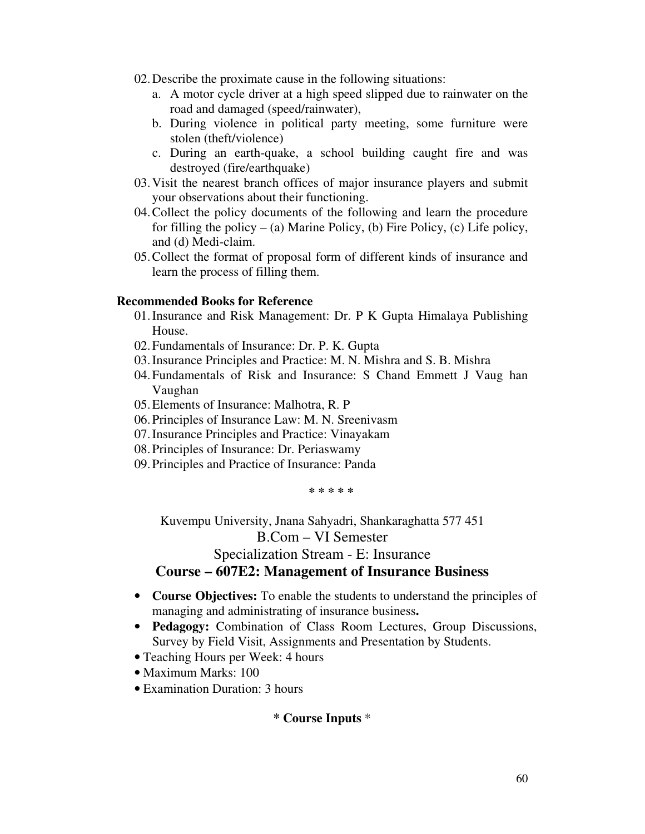- 02.Describe the proximate cause in the following situations:
	- a. A motor cycle driver at a high speed slipped due to rainwater on the road and damaged (speed/rainwater),
	- b. During violence in political party meeting, some furniture were stolen (theft/violence)
	- c. During an earth-quake, a school building caught fire and was destroyed (fire/earthquake)
- 03.Visit the nearest branch offices of major insurance players and submit your observations about their functioning.
- 04.Collect the policy documents of the following and learn the procedure for filling the policy – (a) Marine Policy, (b) Fire Policy, (c) Life policy, and (d) Medi-claim.
- 05.Collect the format of proposal form of different kinds of insurance and learn the process of filling them.

### **Recommended Books for Reference**

- 01.Insurance and Risk Management: Dr. P K Gupta Himalaya Publishing House.
- 02.Fundamentals of Insurance: Dr. P. K. Gupta
- 03.Insurance Principles and Practice: M. N. Mishra and S. B. Mishra
- 04.Fundamentals of Risk and Insurance: S Chand Emmett J Vaug han Vaughan
- 05.Elements of Insurance: Malhotra, R. P
- 06.Principles of Insurance Law: M. N. Sreenivasm
- 07.Insurance Principles and Practice: Vinayakam
- 08.Principles of Insurance: Dr. Periaswamy
- 09.Principles and Practice of Insurance: Panda

**\* \* \* \* \*** 

Kuvempu University, Jnana Sahyadri, Shankaraghatta 577 451

### B.Com – VI Semester

Specialization Stream - E: Insurance

# **Course – 607E2: Management of Insurance Business**

- **Course Objectives:** To enable the students to understand the principles of managing and administrating of insurance business**.**
- **Pedagogy:** Combination of Class Room Lectures, Group Discussions, Survey by Field Visit, Assignments and Presentation by Students.
- Teaching Hours per Week: 4 hours
- Maximum Marks: 100
- Examination Duration: 3 hours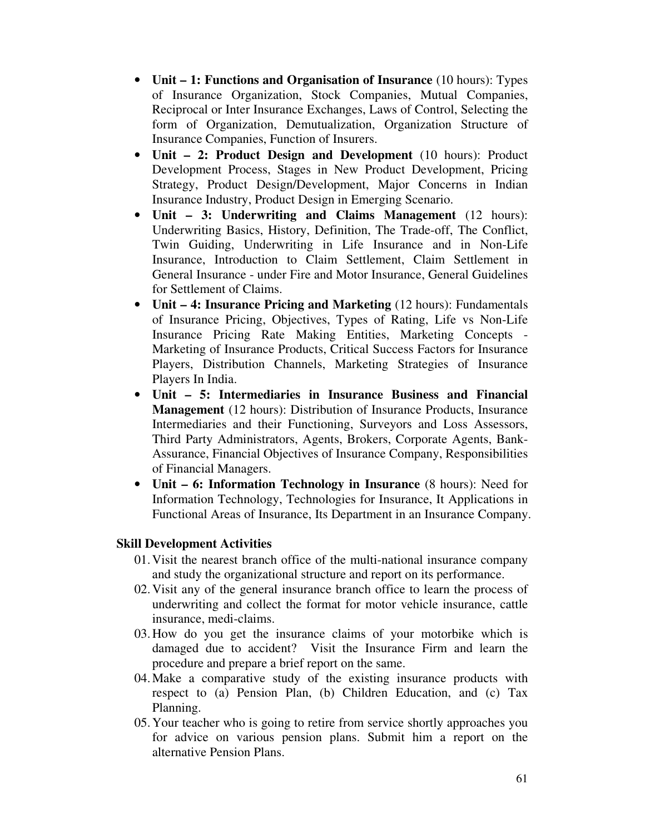- **Unit 1: Functions and Organisation of Insurance** (10 hours): Types of Insurance Organization, Stock Companies, Mutual Companies, Reciprocal or Inter Insurance Exchanges, Laws of Control, Selecting the form of Organization, Demutualization, Organization Structure of Insurance Companies, Function of Insurers.
- **Unit 2: Product Design and Development** (10 hours): Product Development Process, Stages in New Product Development, Pricing Strategy, Product Design/Development, Major Concerns in Indian Insurance Industry, Product Design in Emerging Scenario.
- **Unit 3: Underwriting and Claims Management** (12 hours): Underwriting Basics, History, Definition, The Trade-off, The Conflict, Twin Guiding, Underwriting in Life Insurance and in Non-Life Insurance, Introduction to Claim Settlement, Claim Settlement in General Insurance - under Fire and Motor Insurance, General Guidelines for Settlement of Claims.
- **Unit 4: Insurance Pricing and Marketing** (12 hours): Fundamentals of Insurance Pricing, Objectives, Types of Rating, Life vs Non-Life Insurance Pricing Rate Making Entities, Marketing Concepts - Marketing of Insurance Products, Critical Success Factors for Insurance Players, Distribution Channels, Marketing Strategies of Insurance Players In India.
- **Unit 5: Intermediaries in Insurance Business and Financial Management** (12 hours): Distribution of Insurance Products, Insurance Intermediaries and their Functioning, Surveyors and Loss Assessors, Third Party Administrators, Agents, Brokers, Corporate Agents, Bank-Assurance, Financial Objectives of Insurance Company, Responsibilities of Financial Managers.
- **Unit 6: Information Technology in Insurance** (8 hours): Need for Information Technology, Technologies for Insurance, It Applications in Functional Areas of Insurance, Its Department in an Insurance Company.

- 01.Visit the nearest branch office of the multi-national insurance company and study the organizational structure and report on its performance.
- 02.Visit any of the general insurance branch office to learn the process of underwriting and collect the format for motor vehicle insurance, cattle insurance, medi-claims.
- 03.How do you get the insurance claims of your motorbike which is damaged due to accident? Visit the Insurance Firm and learn the procedure and prepare a brief report on the same.
- 04.Make a comparative study of the existing insurance products with respect to (a) Pension Plan, (b) Children Education, and (c) Tax Planning.
- 05.Your teacher who is going to retire from service shortly approaches you for advice on various pension plans. Submit him a report on the alternative Pension Plans.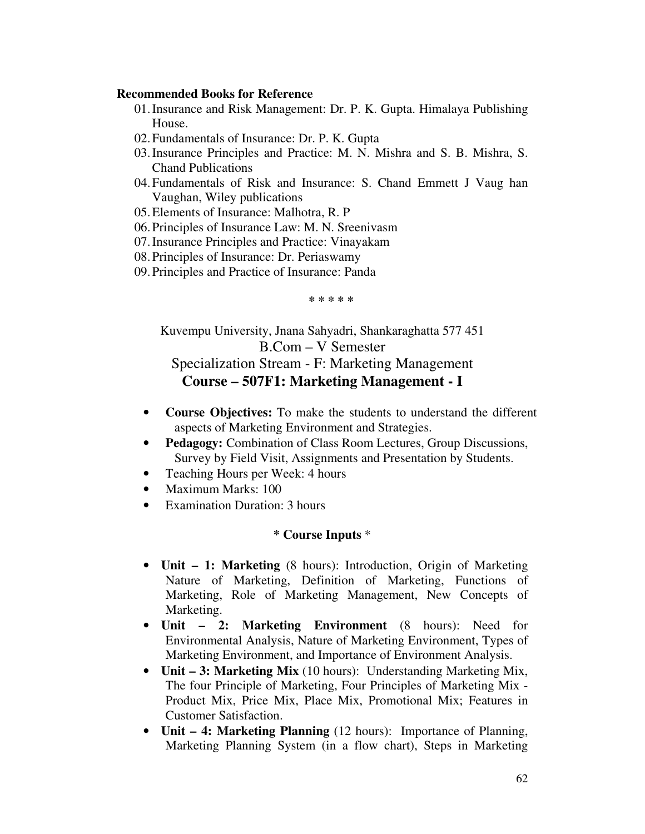#### **Recommended Books for Reference**

- 01.Insurance and Risk Management: Dr. P. K. Gupta. Himalaya Publishing House.
- 02.Fundamentals of Insurance: Dr. P. K. Gupta
- 03.Insurance Principles and Practice: M. N. Mishra and S. B. Mishra, S. Chand Publications
- 04.Fundamentals of Risk and Insurance: S. Chand Emmett J Vaug han Vaughan, Wiley publications
- 05.Elements of Insurance: Malhotra, R. P
- 06.Principles of Insurance Law: M. N. Sreenivasm
- 07.Insurance Principles and Practice: Vinayakam
- 08.Principles of Insurance: Dr. Periaswamy
- 09.Principles and Practice of Insurance: Panda

**\* \* \* \* \*** 

Kuvempu University, Jnana Sahyadri, Shankaraghatta 577 451 B.Com – V Semester Specialization Stream - F: Marketing Management **Course – 507F1: Marketing Management - I** 

- **Course Objectives:** To make the students to understand the different aspects of Marketing Environment and Strategies.
- **Pedagogy:** Combination of Class Room Lectures, Group Discussions, Survey by Field Visit, Assignments and Presentation by Students.
- Teaching Hours per Week: 4 hours
- Maximum Marks: 100
- Examination Duration: 3 hours

- **Unit 1: Marketing** (8 hours): Introduction, Origin of Marketing Nature of Marketing, Definition of Marketing, Functions of Marketing, Role of Marketing Management, New Concepts of Marketing.
- **Unit 2: Marketing Environment** (8 hours): Need for Environmental Analysis, Nature of Marketing Environment, Types of Marketing Environment, and Importance of Environment Analysis.
- **Unit 3: Marketing Mix** (10 hours): Understanding Marketing Mix, The four Principle of Marketing, Four Principles of Marketing Mix - Product Mix, Price Mix, Place Mix, Promotional Mix; Features in Customer Satisfaction.
- **Unit 4: Marketing Planning** (12 hours): Importance of Planning, Marketing Planning System (in a flow chart), Steps in Marketing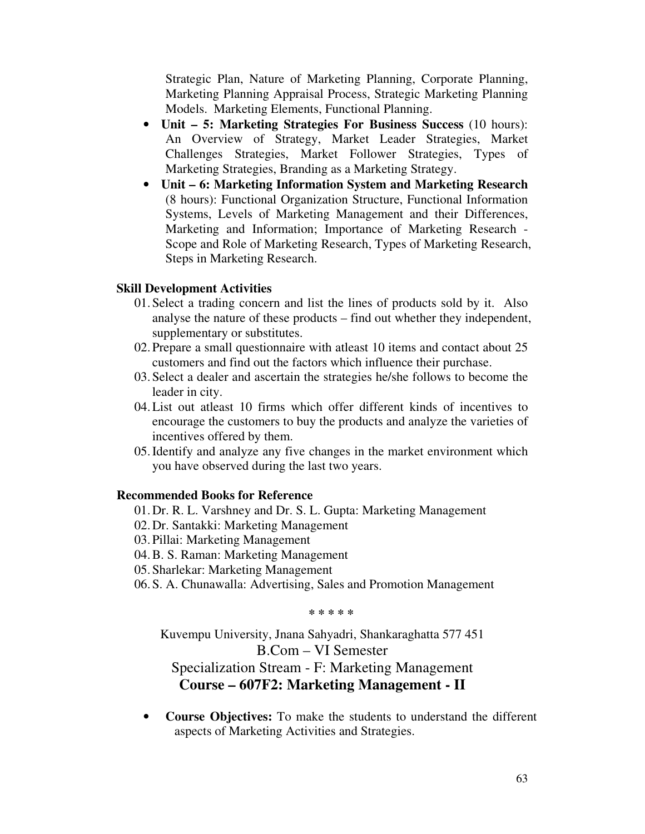Strategic Plan, Nature of Marketing Planning, Corporate Planning, Marketing Planning Appraisal Process, Strategic Marketing Planning Models. Marketing Elements, Functional Planning.

- **Unit 5: Marketing Strategies For Business Success** (10 hours): An Overview of Strategy, Market Leader Strategies, Market Challenges Strategies, Market Follower Strategies, Types of Marketing Strategies, Branding as a Marketing Strategy.
- **Unit 6: Marketing Information System and Marketing Research** (8 hours): Functional Organization Structure, Functional Information Systems, Levels of Marketing Management and their Differences, Marketing and Information; Importance of Marketing Research - Scope and Role of Marketing Research, Types of Marketing Research, Steps in Marketing Research.

#### **Skill Development Activities**

- 01.Select a trading concern and list the lines of products sold by it. Also analyse the nature of these products – find out whether they independent, supplementary or substitutes.
- 02.Prepare a small questionnaire with atleast 10 items and contact about 25 customers and find out the factors which influence their purchase.
- 03.Select a dealer and ascertain the strategies he/she follows to become the leader in city.
- 04.List out atleast 10 firms which offer different kinds of incentives to encourage the customers to buy the products and analyze the varieties of incentives offered by them.
- 05.Identify and analyze any five changes in the market environment which you have observed during the last two years.

#### **Recommended Books for Reference**

- 01.Dr. R. L. Varshney and Dr. S. L. Gupta: Marketing Management
- 02.Dr. Santakki: Marketing Management
- 03.Pillai: Marketing Management
- 04.B. S. Raman: Marketing Management
- 05.Sharlekar: Marketing Management
- 06.S. A. Chunawalla: Advertising, Sales and Promotion Management

**\* \* \* \* \*** 

Kuvempu University, Jnana Sahyadri, Shankaraghatta 577 451 B.Com – VI Semester Specialization Stream - F: Marketing Management **Course – 607F2: Marketing Management - II** 

• **Course Objectives:** To make the students to understand the different aspects of Marketing Activities and Strategies.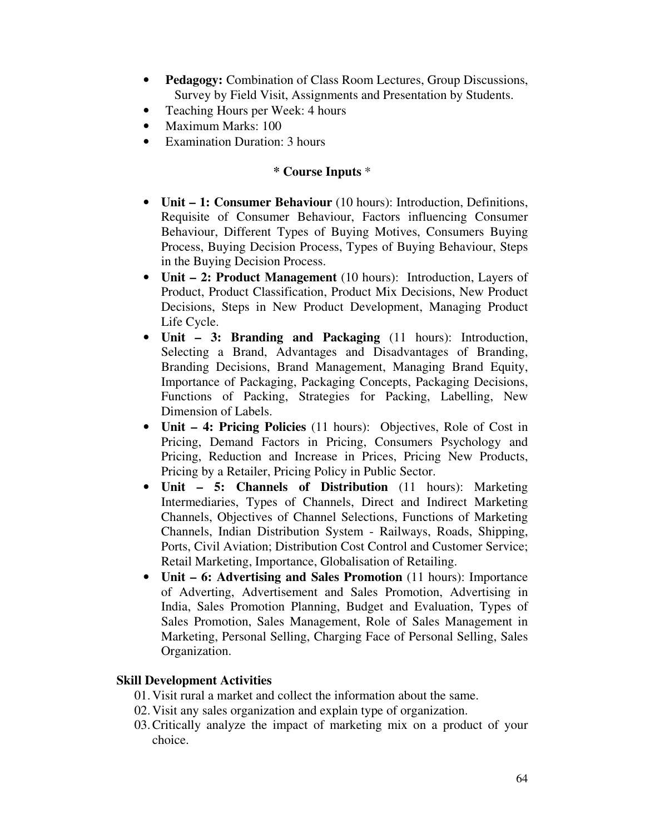- **Pedagogy:** Combination of Class Room Lectures, Group Discussions, Survey by Field Visit, Assignments and Presentation by Students.
- Teaching Hours per Week: 4 hours
- Maximum Marks: 100
- Examination Duration: 3 hours

### **\* Course Inputs** \*

- **Unit 1: Consumer Behaviour** (10 hours): Introduction, Definitions, Requisite of Consumer Behaviour, Factors influencing Consumer Behaviour, Different Types of Buying Motives, Consumers Buying Process, Buying Decision Process, Types of Buying Behaviour, Steps in the Buying Decision Process.
- **Unit 2: Product Management** (10 hours): Introduction, Layers of Product, Product Classification, Product Mix Decisions, New Product Decisions, Steps in New Product Development, Managing Product Life Cycle.
- **Unit 3: Branding and Packaging** (11 hours): Introduction, Selecting a Brand, Advantages and Disadvantages of Branding, Branding Decisions, Brand Management, Managing Brand Equity, Importance of Packaging, Packaging Concepts, Packaging Decisions, Functions of Packing, Strategies for Packing, Labelling, New Dimension of Labels.
- **Unit 4: Pricing Policies** (11 hours): Objectives, Role of Cost in Pricing, Demand Factors in Pricing, Consumers Psychology and Pricing, Reduction and Increase in Prices, Pricing New Products, Pricing by a Retailer, Pricing Policy in Public Sector.
- **Unit 5: Channels of Distribution** (11 hours): Marketing Intermediaries, Types of Channels, Direct and Indirect Marketing Channels, Objectives of Channel Selections, Functions of Marketing Channels, Indian Distribution System - Railways, Roads, Shipping, Ports, Civil Aviation; Distribution Cost Control and Customer Service; Retail Marketing, Importance, Globalisation of Retailing.
- **Unit 6: Advertising and Sales Promotion** (11 hours): Importance of Adverting, Advertisement and Sales Promotion, Advertising in India, Sales Promotion Planning, Budget and Evaluation, Types of Sales Promotion, Sales Management, Role of Sales Management in Marketing, Personal Selling, Charging Face of Personal Selling, Sales Organization.

### **Skill Development Activities**

- 01.Visit rural a market and collect the information about the same.
- 02.Visit any sales organization and explain type of organization.
- 03.Critically analyze the impact of marketing mix on a product of your choice.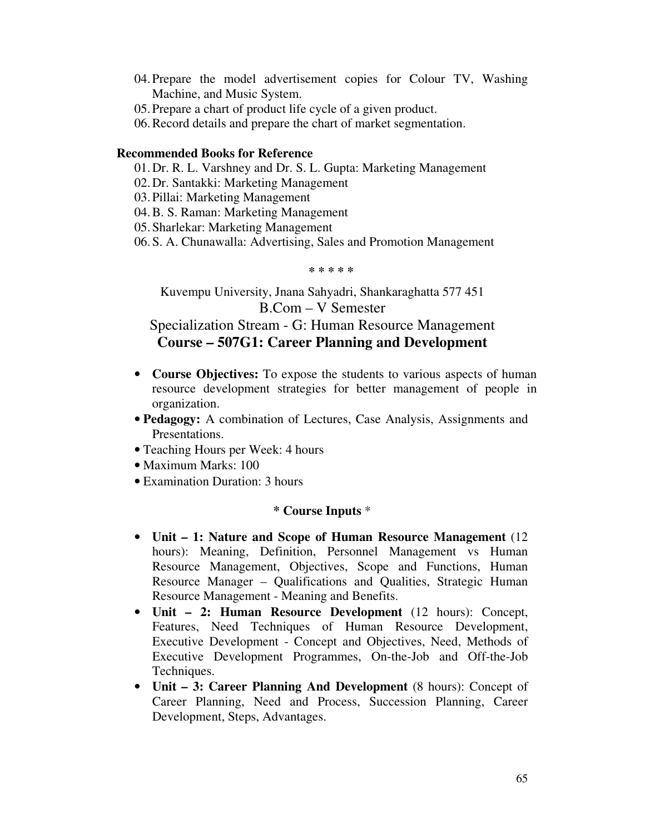- 04.Prepare the model advertisement copies for Colour TV, Washing Machine, and Music System.
- 05.Prepare a chart of product life cycle of a given product.
- 06.Record details and prepare the chart of market segmentation.

### **Recommended Books for Reference**

- 01.Dr. R. L. Varshney and Dr. S. L. Gupta: Marketing Management
- 02.Dr. Santakki: Marketing Management
- 03.Pillai: Marketing Management
- 04.B. S. Raman: Marketing Management
- 05.Sharlekar: Marketing Management
- 06.S. A. Chunawalla: Advertising, Sales and Promotion Management

**\* \* \* \* \*** 

Kuvempu University, Jnana Sahyadri, Shankaraghatta 577 451 B.Com – V Semester

# Specialization Stream - G: Human Resource Management **Course – 507G1: Career Planning and Development**

- **Course Objectives:** To expose the students to various aspects of human resource development strategies for better management of people in organization.
- **Pedagogy:** A combination of Lectures, Case Analysis, Assignments and Presentations.
- Teaching Hours per Week: 4 hours
- Maximum Marks: 100
- Examination Duration: 3 hours

- **Unit 1: Nature and Scope of Human Resource Management** (12 hours): Meaning, Definition, Personnel Management vs Human Resource Management, Objectives, Scope and Functions, Human Resource Manager – Qualifications and Qualities, Strategic Human Resource Management - Meaning and Benefits.
- **Unit 2: Human Resource Development** (12 hours): Concept, Features, Need Techniques of Human Resource Development, Executive Development - Concept and Objectives, Need, Methods of Executive Development Programmes, On-the-Job and Off-the-Job Techniques.
- **Unit 3: Career Planning And Development** (8 hours): Concept of Career Planning, Need and Process, Succession Planning, Career Development, Steps, Advantages.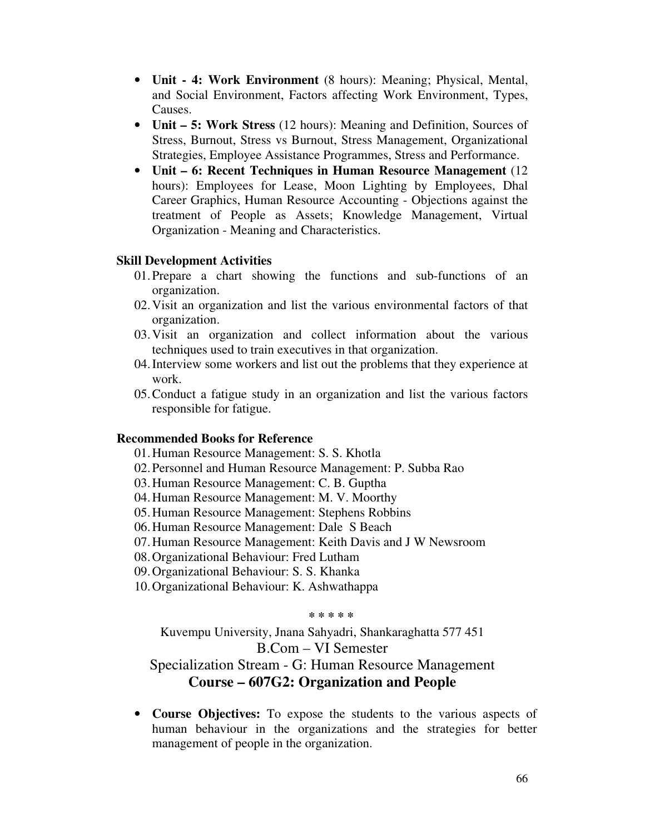- **Unit 4: Work Environment** (8 hours): Meaning; Physical, Mental, and Social Environment, Factors affecting Work Environment, Types, Causes.
- **Unit 5: Work Stress** (12 hours): Meaning and Definition, Sources of Stress, Burnout, Stress vs Burnout, Stress Management, Organizational Strategies, Employee Assistance Programmes, Stress and Performance.
- **Unit 6: Recent Techniques in Human Resource Management** (12 hours): Employees for Lease, Moon Lighting by Employees, Dhal Career Graphics, Human Resource Accounting - Objections against the treatment of People as Assets; Knowledge Management, Virtual Organization - Meaning and Characteristics.

- 01.Prepare a chart showing the functions and sub-functions of an organization.
- 02.Visit an organization and list the various environmental factors of that organization.
- 03.Visit an organization and collect information about the various techniques used to train executives in that organization.
- 04.Interview some workers and list out the problems that they experience at work.
- 05.Conduct a fatigue study in an organization and list the various factors responsible for fatigue.

#### **Recommended Books for Reference**

01.Human Resource Management: S. S. Khotla

- 02.Personnel and Human Resource Management: P. Subba Rao
- 03.Human Resource Management: C. B. Guptha
- 04.Human Resource Management: M. V. Moorthy
- 05.Human Resource Management: Stephens Robbins
- 06.Human Resource Management: Dale S Beach
- 07.Human Resource Management: Keith Davis and J W Newsroom
- 08.Organizational Behaviour: Fred Lutham
- 09.Organizational Behaviour: S. S. Khanka
- 10.Organizational Behaviour: K. Ashwathappa

### **\* \* \* \* \***

Kuvempu University, Jnana Sahyadri, Shankaraghatta 577 451 B.Com – VI Semester Specialization Stream - G: Human Resource Management **Course – 607G2: Organization and People** 

• **Course Objectives:** To expose the students to the various aspects of human behaviour in the organizations and the strategies for better management of people in the organization.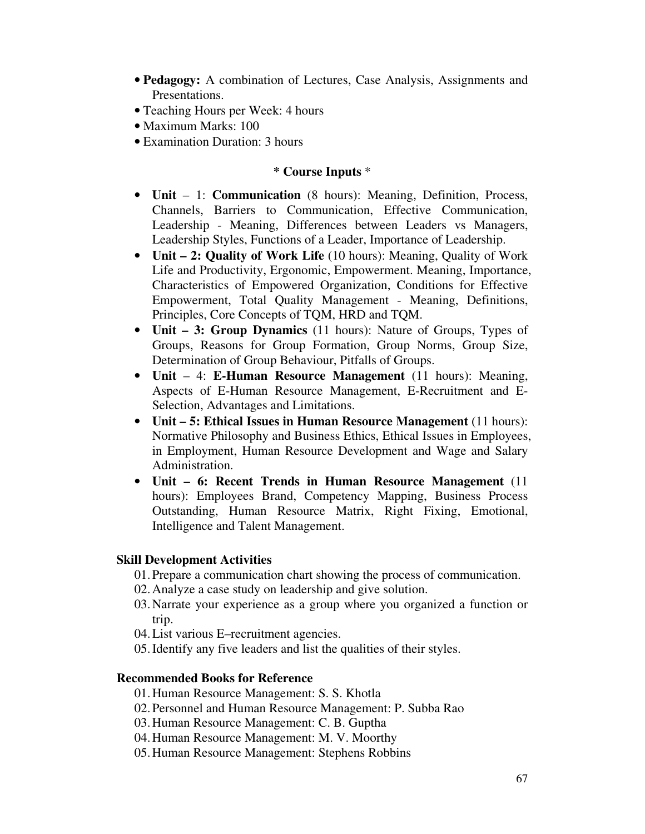- **Pedagogy:** A combination of Lectures, Case Analysis, Assignments and Presentations.
- Teaching Hours per Week: 4 hours
- Maximum Marks: 100
- Examination Duration: 3 hours

### **\* Course Inputs** \*

- **Unit** 1: **Communication** (8 hours): Meaning, Definition, Process, Channels, Barriers to Communication, Effective Communication, Leadership - Meaning, Differences between Leaders vs Managers, Leadership Styles, Functions of a Leader, Importance of Leadership.
- **Unit 2: Quality of Work Life** (10 hours): Meaning, Quality of Work Life and Productivity, Ergonomic, Empowerment. Meaning, Importance, Characteristics of Empowered Organization, Conditions for Effective Empowerment, Total Quality Management - Meaning, Definitions, Principles, Core Concepts of TQM, HRD and TQM.
- **Unit 3: Group Dynamics** (11 hours): Nature of Groups, Types of Groups, Reasons for Group Formation, Group Norms, Group Size, Determination of Group Behaviour, Pitfalls of Groups.
- **Unit** 4: **E-Human Resource Management** (11 hours): Meaning, Aspects of E-Human Resource Management, E-Recruitment and E-Selection, Advantages and Limitations.
- **Unit 5: Ethical Issues in Human Resource Management** (11 hours): Normative Philosophy and Business Ethics, Ethical Issues in Employees, in Employment, Human Resource Development and Wage and Salary Administration.
- **Unit 6: Recent Trends in Human Resource Management** (11 hours): Employees Brand, Competency Mapping, Business Process Outstanding, Human Resource Matrix, Right Fixing, Emotional, Intelligence and Talent Management.

### **Skill Development Activities**

- 01.Prepare a communication chart showing the process of communication.
- 02.Analyze a case study on leadership and give solution.
- 03.Narrate your experience as a group where you organized a function or trip.
- 04.List various E–recruitment agencies.
- 05.Identify any five leaders and list the qualities of their styles.

### **Recommended Books for Reference**

- 01.Human Resource Management: S. S. Khotla
- 02.Personnel and Human Resource Management: P. Subba Rao
- 03.Human Resource Management: C. B. Guptha
- 04.Human Resource Management: M. V. Moorthy
- 05.Human Resource Management: Stephens Robbins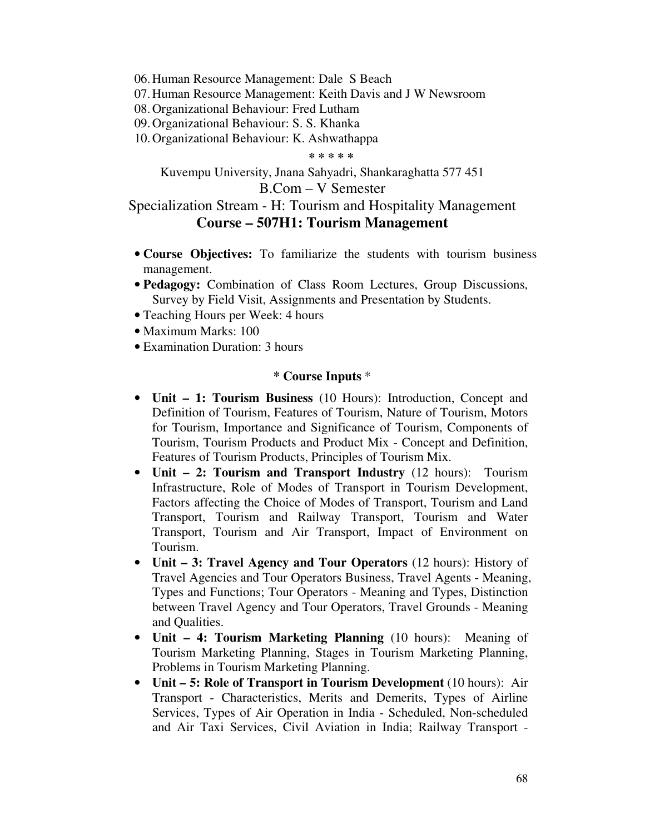06.Human Resource Management: Dale S Beach

07.Human Resource Management: Keith Davis and J W Newsroom

08.Organizational Behaviour: Fred Lutham

09.Organizational Behaviour: S. S. Khanka

10.Organizational Behaviour: K. Ashwathappa

**\* \* \* \* \*** 

Kuvempu University, Jnana Sahyadri, Shankaraghatta 577 451

# B.Com – V Semester

# Specialization Stream - H: Tourism and Hospitality Management **Course – 507H1: Tourism Management**

- **Course Objectives:** To familiarize the students with tourism business management.
- **Pedagogy:** Combination of Class Room Lectures, Group Discussions, Survey by Field Visit, Assignments and Presentation by Students.
- Teaching Hours per Week: 4 hours
- Maximum Marks: 100
- Examination Duration: 3 hours

- **Unit 1: Tourism Business** (10 Hours): Introduction, Concept and Definition of Tourism, Features of Tourism, Nature of Tourism, Motors for Tourism, Importance and Significance of Tourism, Components of Tourism, Tourism Products and Product Mix - Concept and Definition, Features of Tourism Products, Principles of Tourism Mix.
- **Unit 2: Tourism and Transport Industry** (12 hours):Tourism Infrastructure, Role of Modes of Transport in Tourism Development, Factors affecting the Choice of Modes of Transport, Tourism and Land Transport, Tourism and Railway Transport, Tourism and Water Transport, Tourism and Air Transport, Impact of Environment on Tourism.
- **Unit 3: Travel Agency and Tour Operators** (12 hours): History of Travel Agencies and Tour Operators Business, Travel Agents - Meaning, Types and Functions; Tour Operators - Meaning and Types, Distinction between Travel Agency and Tour Operators, Travel Grounds - Meaning and Qualities.
- **Unit 4: Tourism Marketing Planning** (10 hours):Meaning of Tourism Marketing Planning, Stages in Tourism Marketing Planning, Problems in Tourism Marketing Planning.
- **Unit 5: Role of Transport in Tourism Development** (10 hours): Air Transport - Characteristics, Merits and Demerits, Types of Airline Services, Types of Air Operation in India - Scheduled, Non-scheduled and Air Taxi Services, Civil Aviation in India; Railway Transport -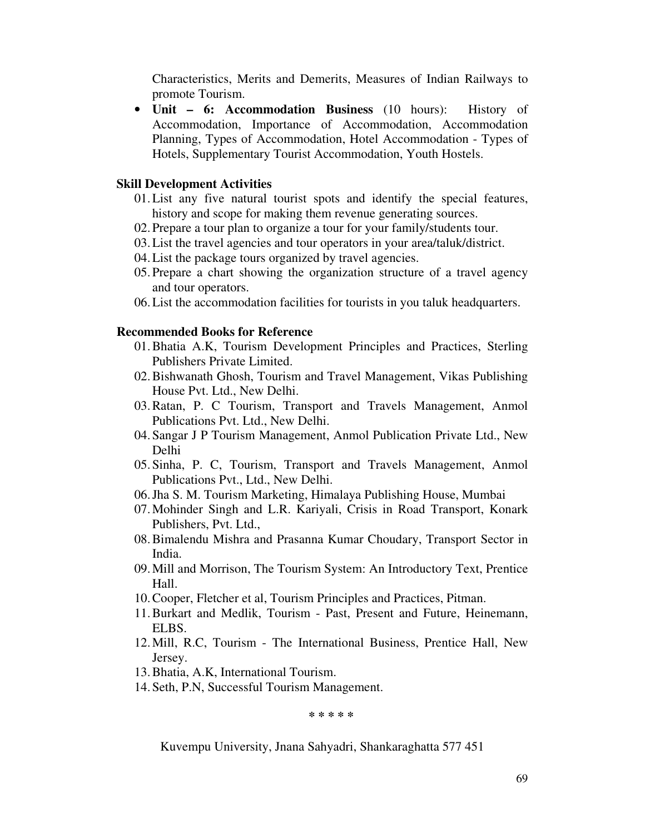Characteristics, Merits and Demerits, Measures of Indian Railways to promote Tourism.

• **Unit – 6: Accommodation Business** (10 hours): History of Accommodation, Importance of Accommodation, Accommodation Planning, Types of Accommodation, Hotel Accommodation - Types of Hotels, Supplementary Tourist Accommodation, Youth Hostels.

#### **Skill Development Activities**

- 01.List any five natural tourist spots and identify the special features, history and scope for making them revenue generating sources.
- 02.Prepare a tour plan to organize a tour for your family/students tour.
- 03.List the travel agencies and tour operators in your area/taluk/district.
- 04.List the package tours organized by travel agencies.
- 05.Prepare a chart showing the organization structure of a travel agency and tour operators.
- 06.List the accommodation facilities for tourists in you taluk headquarters.

### **Recommended Books for Reference**

- 01.Bhatia A.K, Tourism Development Principles and Practices, Sterling Publishers Private Limited.
- 02.Bishwanath Ghosh, Tourism and Travel Management, Vikas Publishing House Pvt. Ltd., New Delhi.
- 03.Ratan, P. C Tourism, Transport and Travels Management, Anmol Publications Pvt. Ltd., New Delhi.
- 04.Sangar J P Tourism Management, Anmol Publication Private Ltd., New Delhi
- 05.Sinha, P. C, Tourism, Transport and Travels Management, Anmol Publications Pvt., Ltd., New Delhi.
- 06.Jha S. M. Tourism Marketing, Himalaya Publishing House, Mumbai
- 07.Mohinder Singh and L.R. Kariyali, Crisis in Road Transport, Konark Publishers, Pvt. Ltd.,
- 08.Bimalendu Mishra and Prasanna Kumar Choudary, Transport Sector in India.
- 09.Mill and Morrison, The Tourism System: An Introductory Text, Prentice Hall.
- 10.Cooper, Fletcher et al, Tourism Principles and Practices, Pitman.
- 11.Burkart and Medlik, Tourism Past, Present and Future, Heinemann, ELBS.
- 12.Mill, R.C, Tourism The International Business, Prentice Hall, New Jersey.
- 13.Bhatia, A.K, International Tourism.
- 14.Seth, P.N, Successful Tourism Management.

**\* \* \* \* \*** 

Kuvempu University, Jnana Sahyadri, Shankaraghatta 577 451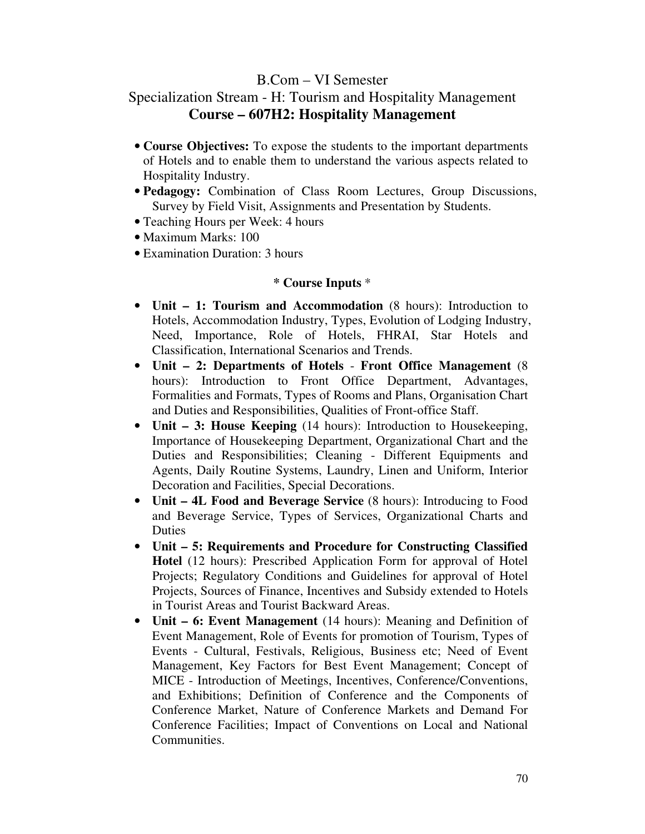# B.Com – VI Semester

# Specialization Stream - H: Tourism and Hospitality Management **Course – 607H2: Hospitality Management**

- **Course Objectives:** To expose the students to the important departments of Hotels and to enable them to understand the various aspects related to Hospitality Industry.
- **Pedagogy:** Combination of Class Room Lectures, Group Discussions, Survey by Field Visit, Assignments and Presentation by Students.
- Teaching Hours per Week: 4 hours
- Maximum Marks: 100
- Examination Duration: 3 hours

- **Unit 1: Tourism and Accommodation** (8 hours): Introduction to Hotels, Accommodation Industry, Types, Evolution of Lodging Industry, Need, Importance, Role of Hotels, FHRAI, Star Hotels and Classification, International Scenarios and Trends.
- **Unit 2: Departments of Hotels Front Office Management** (8 hours): Introduction to Front Office Department, Advantages, Formalities and Formats, Types of Rooms and Plans, Organisation Chart and Duties and Responsibilities, Qualities of Front-office Staff.
- **Unit 3: House Keeping** (14 hours): Introduction to Housekeeping, Importance of Housekeeping Department, Organizational Chart and the Duties and Responsibilities; Cleaning - Different Equipments and Agents, Daily Routine Systems, Laundry, Linen and Uniform, Interior Decoration and Facilities, Special Decorations.
- **Unit 4L Food and Beverage Service** (8 hours): Introducing to Food and Beverage Service, Types of Services, Organizational Charts and Duties
- **Unit 5: Requirements and Procedure for Constructing Classified Hotel** (12 hours): Prescribed Application Form for approval of Hotel Projects; Regulatory Conditions and Guidelines for approval of Hotel Projects, Sources of Finance, Incentives and Subsidy extended to Hotels in Tourist Areas and Tourist Backward Areas.
- **Unit 6: Event Management** (14 hours): Meaning and Definition of Event Management, Role of Events for promotion of Tourism, Types of Events - Cultural, Festivals, Religious, Business etc; Need of Event Management, Key Factors for Best Event Management; Concept of MICE - Introduction of Meetings, Incentives, Conference/Conventions, and Exhibitions; Definition of Conference and the Components of Conference Market, Nature of Conference Markets and Demand For Conference Facilities; Impact of Conventions on Local and National Communities.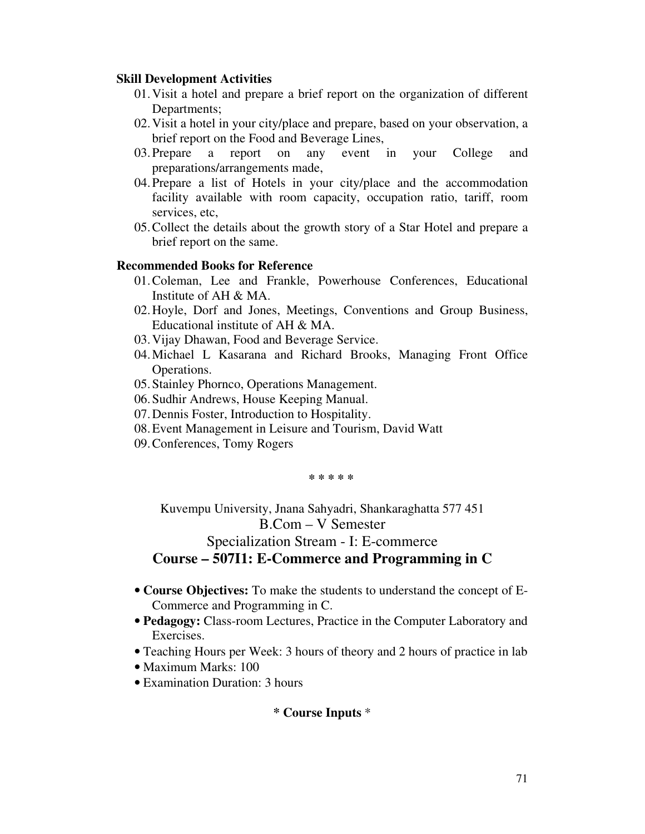- 01.Visit a hotel and prepare a brief report on the organization of different Departments;
- 02.Visit a hotel in your city/place and prepare, based on your observation, a brief report on the Food and Beverage Lines,
- 03.Prepare a report on any event in your College and preparations/arrangements made,
- 04.Prepare a list of Hotels in your city/place and the accommodation facility available with room capacity, occupation ratio, tariff, room services, etc,
- 05.Collect the details about the growth story of a Star Hotel and prepare a brief report on the same.

### **Recommended Books for Reference**

- 01.Coleman, Lee and Frankle, Powerhouse Conferences, Educational Institute of AH & MA.
- 02.Hoyle, Dorf and Jones, Meetings, Conventions and Group Business, Educational institute of AH & MA.
- 03.Vijay Dhawan, Food and Beverage Service.
- 04.Michael L Kasarana and Richard Brooks, Managing Front Office Operations.
- 05.Stainley Phornco, Operations Management.
- 06.Sudhir Andrews, House Keeping Manual.
- 07.Dennis Foster, Introduction to Hospitality.
- 08.Event Management in Leisure and Tourism, David Watt
- 09.Conferences, Tomy Rogers

**\* \* \* \* \*** 

Kuvempu University, Jnana Sahyadri, Shankaraghatta 577 451 B.Com – V Semester Specialization Stream - I: E-commerce

**Course – 507I1: E-Commerce and Programming in C** 

- **Course Objectives:** To make the students to understand the concept of E-Commerce and Programming in C.
- **Pedagogy:** Class-room Lectures, Practice in the Computer Laboratory and Exercises.
- Teaching Hours per Week: 3 hours of theory and 2 hours of practice in lab
- Maximum Marks: 100
- Examination Duration: 3 hours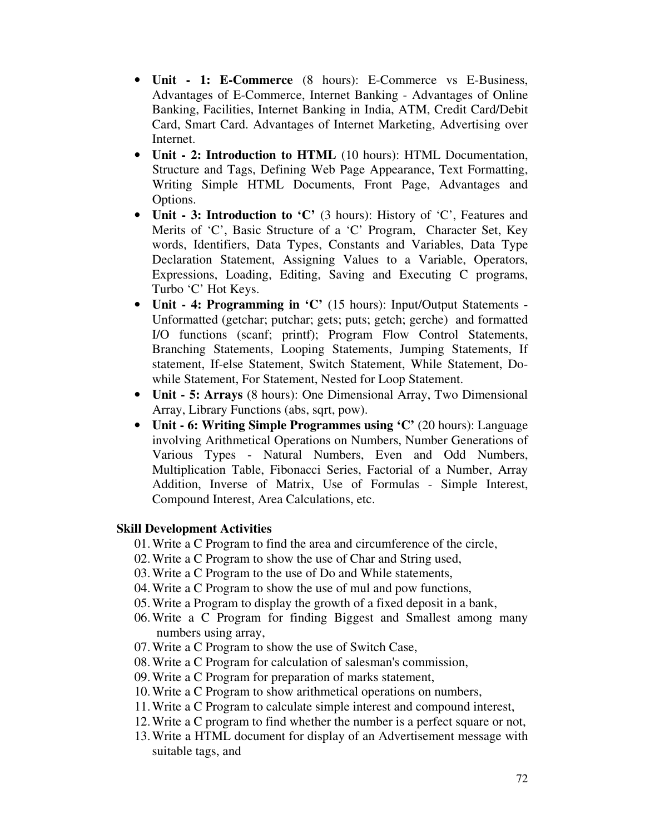- **Unit 1: E-Commerce** (8 hours): E-Commerce vs E-Business, Advantages of E-Commerce, Internet Banking - Advantages of Online Banking, Facilities, Internet Banking in India, ATM, Credit Card/Debit Card, Smart Card. Advantages of Internet Marketing, Advertising over Internet.
- **Unit 2: Introduction to HTML** (10 hours): HTML Documentation, Structure and Tags, Defining Web Page Appearance, Text Formatting, Writing Simple HTML Documents, Front Page, Advantages and Options.
- **Unit 3: Introduction to 'C'** (3 hours): History of 'C', Features and Merits of 'C', Basic Structure of a 'C' Program, Character Set, Key words, Identifiers, Data Types, Constants and Variables, Data Type Declaration Statement, Assigning Values to a Variable, Operators, Expressions, Loading, Editing, Saving and Executing C programs, Turbo 'C' Hot Keys.
- **Unit 4: Programming in 'C'** (15 hours): Input/Output Statements Unformatted (getchar; putchar; gets; puts; getch; gerche) and formatted I/O functions (scanf; printf); Program Flow Control Statements, Branching Statements, Looping Statements, Jumping Statements, If statement, If-else Statement, Switch Statement, While Statement, Dowhile Statement, For Statement, Nested for Loop Statement.
- **Unit 5: Arrays** (8 hours): One Dimensional Array, Two Dimensional Array, Library Functions (abs, sqrt, pow).
- **Unit 6: Writing Simple Programmes using 'C'** (20 hours): Language involving Arithmetical Operations on Numbers, Number Generations of Various Types - Natural Numbers, Even and Odd Numbers, Multiplication Table, Fibonacci Series, Factorial of a Number, Array Addition, Inverse of Matrix, Use of Formulas - Simple Interest, Compound Interest, Area Calculations, etc.

- 01.Write a C Program to find the area and circumference of the circle,
- 02.Write a C Program to show the use of Char and String used,
- 03.Write a C Program to the use of Do and While statements,
- 04.Write a C Program to show the use of mul and pow functions,
- 05.Write a Program to display the growth of a fixed deposit in a bank,
- 06.Write a C Program for finding Biggest and Smallest among many numbers using array,
- 07.Write a C Program to show the use of Switch Case,
- 08.Write a C Program for calculation of salesman's commission,
- 09.Write a C Program for preparation of marks statement,
- 10.Write a C Program to show arithmetical operations on numbers,
- 11.Write a C Program to calculate simple interest and compound interest,
- 12.Write a C program to find whether the number is a perfect square or not,
- 13.Write a HTML document for display of an Advertisement message with suitable tags, and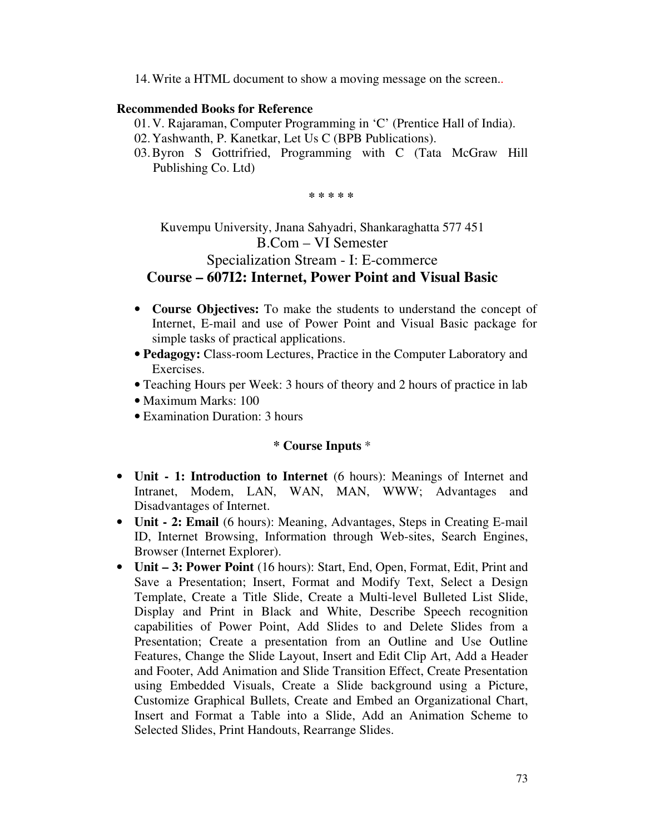14.Write a HTML document to show a moving message on the screen..

#### **Recommended Books for Reference**

- 01.V. Rajaraman, Computer Programming in 'C' (Prentice Hall of India).
- 02.Yashwanth, P. Kanetkar, Let Us C (BPB Publications).
- 03.Byron S Gottrifried, Programming with C (Tata McGraw Hill Publishing Co. Ltd)

**\* \* \* \* \*** 

# Kuvempu University, Jnana Sahyadri, Shankaraghatta 577 451 B.Com – VI Semester Specialization Stream - I: E-commerce **Course – 607I2: Internet, Power Point and Visual Basic**

- **Course Objectives:** To make the students to understand the concept of Internet, E-mail and use of Power Point and Visual Basic package for simple tasks of practical applications.
- **Pedagogy:** Class-room Lectures, Practice in the Computer Laboratory and Exercises.
- Teaching Hours per Week: 3 hours of theory and 2 hours of practice in lab
- Maximum Marks: 100
- Examination Duration: 3 hours

#### **\* Course Inputs** \*

- **Unit 1: Introduction to Internet** (6 hours): Meanings of Internet and Intranet, Modem, LAN, WAN, MAN, WWW; Advantages and Disadvantages of Internet.
- **Unit 2: Email** (6 hours): Meaning, Advantages, Steps in Creating E-mail ID, Internet Browsing, Information through Web-sites, Search Engines, Browser (Internet Explorer).
- **Unit 3: Power Point** (16 hours): Start, End, Open, Format, Edit, Print and Save a Presentation; Insert, Format and Modify Text, Select a Design Template, Create a Title Slide, Create a Multi-level Bulleted List Slide, Display and Print in Black and White, Describe Speech recognition capabilities of Power Point, Add Slides to and Delete Slides from a Presentation; Create a presentation from an Outline and Use Outline Features, Change the Slide Layout, Insert and Edit Clip Art, Add a Header and Footer, Add Animation and Slide Transition Effect, Create Presentation using Embedded Visuals, Create a Slide background using a Picture, Customize Graphical Bullets, Create and Embed an Organizational Chart, Insert and Format a Table into a Slide, Add an Animation Scheme to Selected Slides, Print Handouts, Rearrange Slides.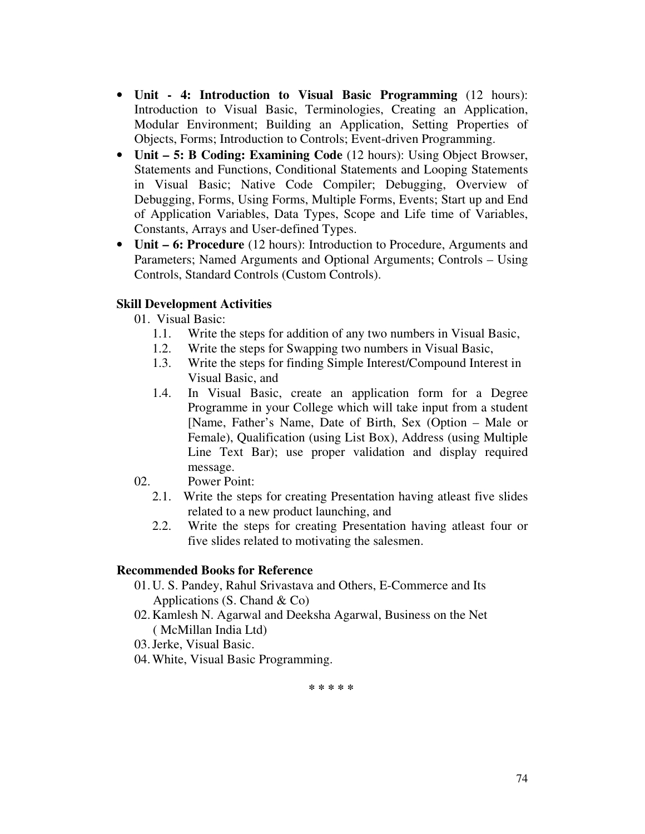- **Unit 4: Introduction to Visual Basic Programming** (12 hours): Introduction to Visual Basic, Terminologies, Creating an Application, Modular Environment; Building an Application, Setting Properties of Objects, Forms; Introduction to Controls; Event-driven Programming.
- **Unit 5: B Coding: Examining Code** (12 hours): Using Object Browser, Statements and Functions, Conditional Statements and Looping Statements in Visual Basic; Native Code Compiler; Debugging, Overview of Debugging, Forms, Using Forms, Multiple Forms, Events; Start up and End of Application Variables, Data Types, Scope and Life time of Variables, Constants, Arrays and User-defined Types.
- **Unit 6: Procedure** (12 hours): Introduction to Procedure, Arguments and Parameters; Named Arguments and Optional Arguments; Controls – Using Controls, Standard Controls (Custom Controls).

## **Skill Development Activities**

- 01. Visual Basic:
	- 1.1. Write the steps for addition of any two numbers in Visual Basic,
	- 1.2. Write the steps for Swapping two numbers in Visual Basic,
	- 1.3. Write the steps for finding Simple Interest/Compound Interest in Visual Basic, and
	- 1.4. In Visual Basic, create an application form for a Degree Programme in your College which will take input from a student [Name, Father's Name, Date of Birth, Sex (Option – Male or Female), Qualification (using List Box), Address (using Multiple Line Text Bar); use proper validation and display required message.
- 02. Power Point:
	- 2.1. Write the steps for creating Presentation having atleast five slides related to a new product launching, and
	- 2.2. Write the steps for creating Presentation having atleast four or five slides related to motivating the salesmen.

## **Recommended Books for Reference**

- 01.U. S. Pandey, Rahul Srivastava and Others, E-Commerce and Its Applications  $(S. Chand \& Co)$
- 02.Kamlesh N. Agarwal and Deeksha Agarwal, Business on the Net ( McMillan India Ltd)
- 03.Jerke, Visual Basic.
- 04.White, Visual Basic Programming.

**\* \* \* \* \***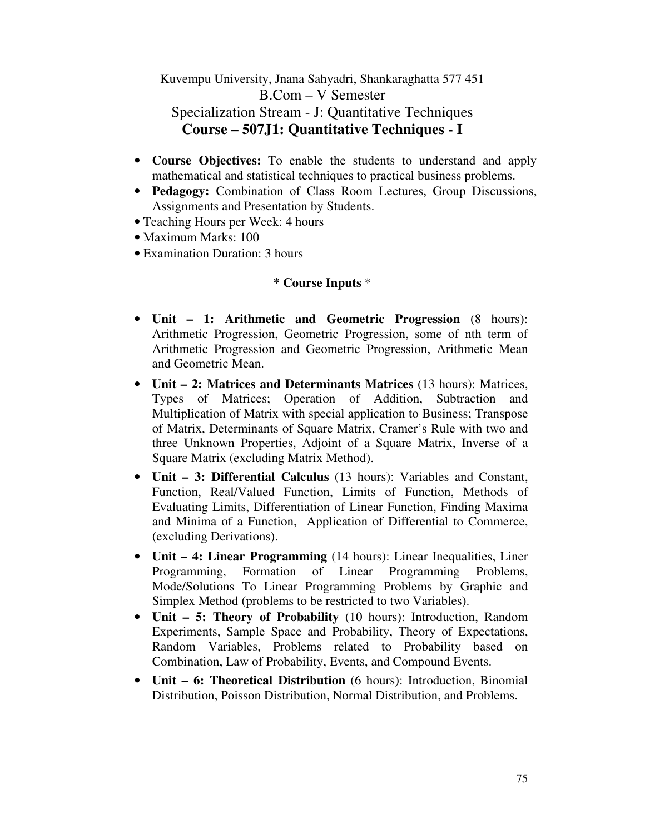Kuvempu University, Jnana Sahyadri, Shankaraghatta 577 451 B.Com – V Semester Specialization Stream - J: Quantitative Techniques **Course – 507J1: Quantitative Techniques - I** 

- **Course Objectives:** To enable the students to understand and apply mathematical and statistical techniques to practical business problems.
- **Pedagogy:** Combination of Class Room Lectures, Group Discussions, Assignments and Presentation by Students.
- Teaching Hours per Week: 4 hours
- Maximum Marks: 100
- Examination Duration: 3 hours

## **\* Course Inputs** \*

- **Unit 1: Arithmetic and Geometric Progression** (8 hours): Arithmetic Progression, Geometric Progression, some of nth term of Arithmetic Progression and Geometric Progression, Arithmetic Mean and Geometric Mean.
- **Unit 2: Matrices and Determinants Matrices** (13 hours): Matrices, Types of Matrices; Operation of Addition, Subtraction and Multiplication of Matrix with special application to Business; Transpose of Matrix, Determinants of Square Matrix, Cramer's Rule with two and three Unknown Properties, Adjoint of a Square Matrix, Inverse of a Square Matrix (excluding Matrix Method).
- **Unit 3: Differential Calculus** (13 hours): Variables and Constant, Function, Real/Valued Function, Limits of Function, Methods of Evaluating Limits, Differentiation of Linear Function, Finding Maxima and Minima of a Function, Application of Differential to Commerce, (excluding Derivations).
- **Unit 4: Linear Programming** (14 hours): Linear Inequalities, Liner Programming, Formation of Linear Programming Problems, Mode/Solutions To Linear Programming Problems by Graphic and Simplex Method (problems to be restricted to two Variables).
- **Unit 5: Theory of Probability** (10 hours): Introduction, Random Experiments, Sample Space and Probability, Theory of Expectations, Random Variables, Problems related to Probability based on Combination, Law of Probability, Events, and Compound Events.
- **Unit 6: Theoretical Distribution** (6 hours): Introduction, Binomial Distribution, Poisson Distribution, Normal Distribution, and Problems.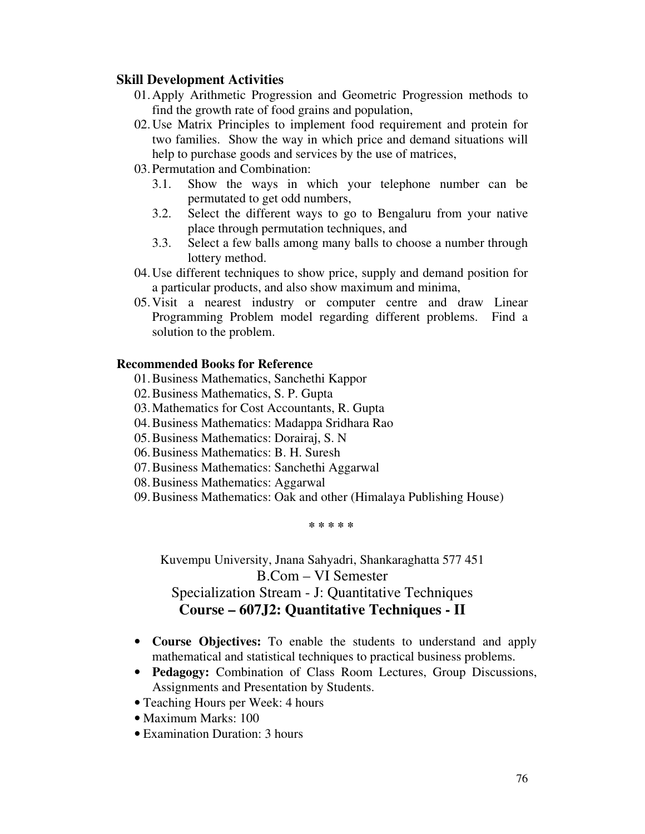#### **Skill Development Activities**

- 01.Apply Arithmetic Progression and Geometric Progression methods to find the growth rate of food grains and population,
- 02.Use Matrix Principles to implement food requirement and protein for two families. Show the way in which price and demand situations will help to purchase goods and services by the use of matrices,
- 03.Permutation and Combination:
	- 3.1. Show the ways in which your telephone number can be permutated to get odd numbers,
	- 3.2. Select the different ways to go to Bengaluru from your native place through permutation techniques, and
	- 3.3. Select a few balls among many balls to choose a number through lottery method.
- 04.Use different techniques to show price, supply and demand position for a particular products, and also show maximum and minima,
- 05.Visit a nearest industry or computer centre and draw Linear Programming Problem model regarding different problems. Find a solution to the problem.

#### **Recommended Books for Reference**

- 01.Business Mathematics, Sanchethi Kappor
- 02.Business Mathematics, S. P. Gupta
- 03.Mathematics for Cost Accountants, R. Gupta
- 04.Business Mathematics: Madappa Sridhara Rao
- 05.Business Mathematics: Dorairaj, S. N
- 06.Business Mathematics: B. H. Suresh
- 07.Business Mathematics: Sanchethi Aggarwal
- 08.Business Mathematics: Aggarwal
- 09.Business Mathematics: Oak and other (Himalaya Publishing House)

**\* \* \* \* \*** 

Kuvempu University, Jnana Sahyadri, Shankaraghatta 577 451 B.Com – VI Semester Specialization Stream - J: Quantitative Techniques **Course – 607J2: Quantitative Techniques - II** 

- **Course Objectives:** To enable the students to understand and apply mathematical and statistical techniques to practical business problems.
- **Pedagogy:** Combination of Class Room Lectures, Group Discussions, Assignments and Presentation by Students.
- Teaching Hours per Week: 4 hours
- Maximum Marks: 100
- Examination Duration: 3 hours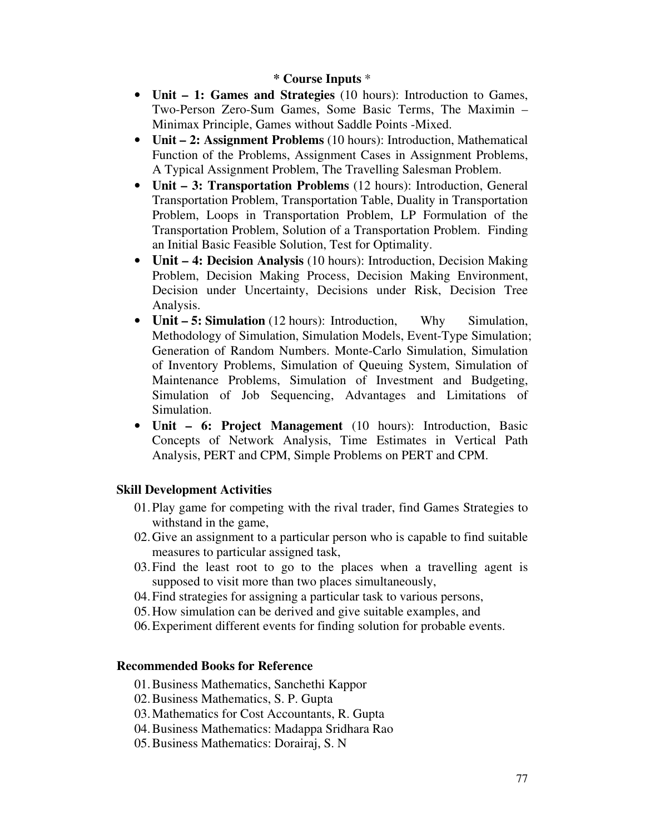### **\* Course Inputs** \*

- **Unit 1: Games and Strategies** (10 hours): Introduction to Games, Two-Person Zero-Sum Games, Some Basic Terms, The Maximin – Minimax Principle, Games without Saddle Points -Mixed.
- **Unit 2: Assignment Problems** (10 hours): Introduction, Mathematical Function of the Problems, Assignment Cases in Assignment Problems, A Typical Assignment Problem, The Travelling Salesman Problem.
- **Unit 3: Transportation Problems** (12 hours): Introduction, General Transportation Problem, Transportation Table, Duality in Transportation Problem, Loops in Transportation Problem, LP Formulation of the Transportation Problem, Solution of a Transportation Problem. Finding an Initial Basic Feasible Solution, Test for Optimality.
- **Unit 4: Decision Analysis** (10 hours): Introduction, Decision Making Problem, Decision Making Process, Decision Making Environment, Decision under Uncertainty, Decisions under Risk, Decision Tree Analysis.
- **Unit 5: Simulation** (12 hours): Introduction, Why Simulation, Methodology of Simulation, Simulation Models, Event-Type Simulation; Generation of Random Numbers. Monte-Carlo Simulation, Simulation of Inventory Problems, Simulation of Queuing System, Simulation of Maintenance Problems, Simulation of Investment and Budgeting, Simulation of Job Sequencing, Advantages and Limitations of Simulation.
- **Unit 6: Project Management** (10 hours): Introduction, Basic Concepts of Network Analysis, Time Estimates in Vertical Path Analysis, PERT and CPM, Simple Problems on PERT and CPM.

## **Skill Development Activities**

- 01.Play game for competing with the rival trader, find Games Strategies to withstand in the game,
- 02.Give an assignment to a particular person who is capable to find suitable measures to particular assigned task,
- 03.Find the least root to go to the places when a travelling agent is supposed to visit more than two places simultaneously,
- 04.Find strategies for assigning a particular task to various persons,
- 05.How simulation can be derived and give suitable examples, and
- 06.Experiment different events for finding solution for probable events.

#### **Recommended Books for Reference**

- 01.Business Mathematics, Sanchethi Kappor
- 02.Business Mathematics, S. P. Gupta
- 03.Mathematics for Cost Accountants, R. Gupta
- 04.Business Mathematics: Madappa Sridhara Rao
- 05.Business Mathematics: Dorairaj, S. N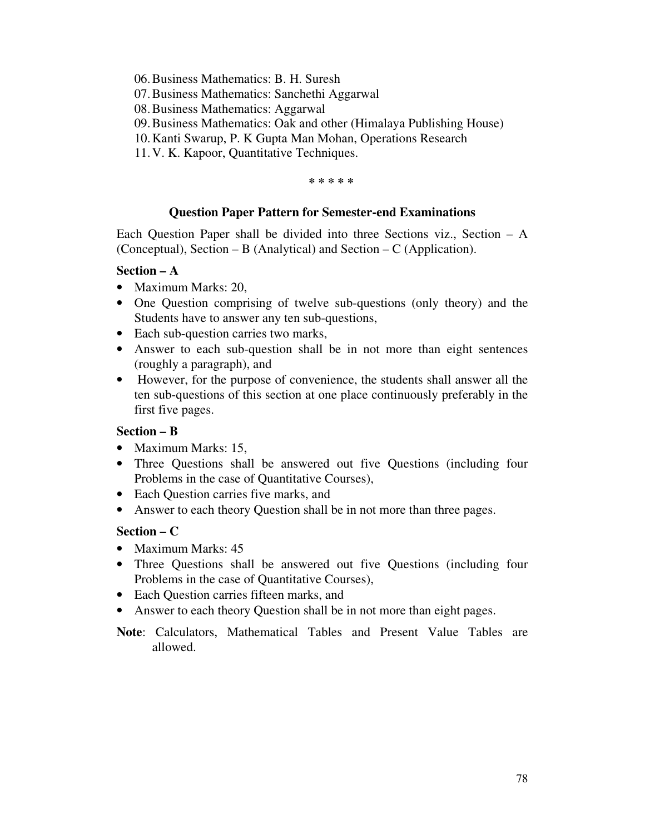- 06.Business Mathematics: B. H. Suresh
- 07.Business Mathematics: Sanchethi Aggarwal
- 08.Business Mathematics: Aggarwal
- 09.Business Mathematics: Oak and other (Himalaya Publishing House)
- 10.Kanti Swarup, P. K Gupta Man Mohan, Operations Research
- 11.V. K. Kapoor, Quantitative Techniques.

#### **\* \* \* \* \***

## **Question Paper Pattern for Semester-end Examinations**

Each Question Paper shall be divided into three Sections viz., Section – A (Conceptual), Section – B (Analytical) and Section – C (Application).

### **Section – A**

- Maximum Marks: 20,
- One Question comprising of twelve sub-questions (only theory) and the Students have to answer any ten sub-questions,
- Each sub-question carries two marks,
- Answer to each sub-question shall be in not more than eight sentences (roughly a paragraph), and
- However, for the purpose of convenience, the students shall answer all the ten sub-questions of this section at one place continuously preferably in the first five pages.

## **Section – B**

- Maximum Marks: 15,
- Three Questions shall be answered out five Questions (including four Problems in the case of Quantitative Courses),
- Each Question carries five marks, and
- Answer to each theory Question shall be in not more than three pages.

## **Section – C**

- Maximum Marks: 45
- Three Questions shall be answered out five Questions (including four Problems in the case of Quantitative Courses),
- Each Question carries fifteen marks, and
- Answer to each theory Question shall be in not more than eight pages.
- **Note**: Calculators, Mathematical Tables and Present Value Tables are allowed.